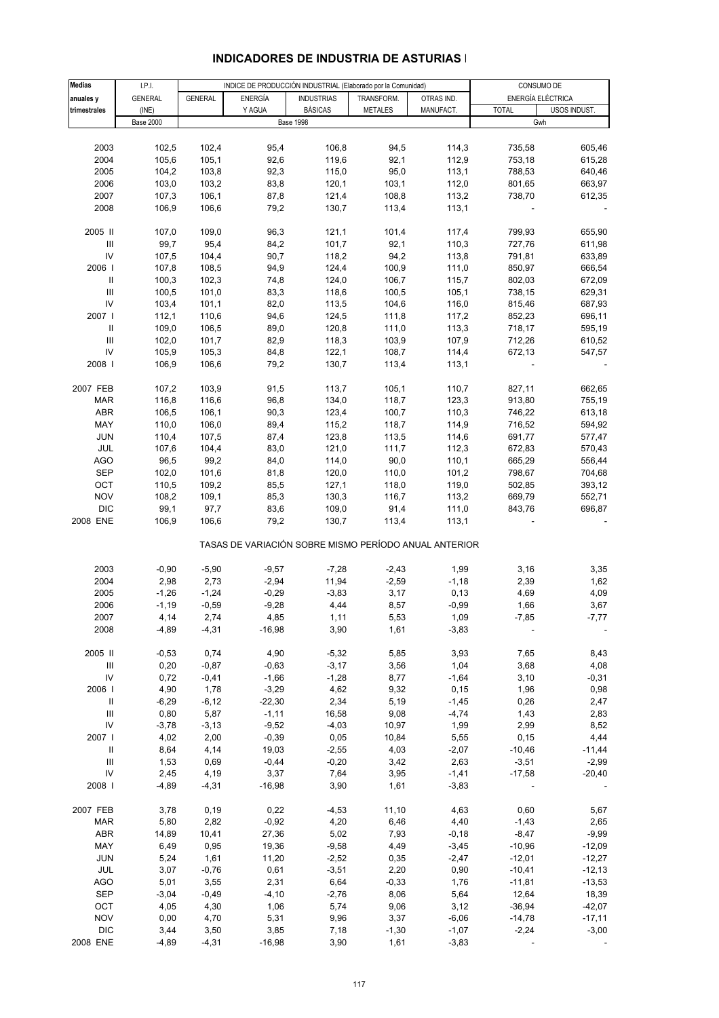| <b>Medias</b>                      | I.P.I.           |                |                | INDICE DE PRODUCCIÓN INDUSTRIAL (Elaborado por la Comunidad) |                |            |                          | CONSUMO DE               |
|------------------------------------|------------------|----------------|----------------|--------------------------------------------------------------|----------------|------------|--------------------------|--------------------------|
| anuales y                          | <b>GENERAL</b>   | <b>GENERAL</b> | <b>ENERGÍA</b> | <b>INDUSTRIAS</b>                                            | TRANSFORM.     | OTRAS IND. |                          | ENERGÍA ELÉCTRICA        |
| trimestrales                       | (INE)            |                | Y AGUA         | <b>BÁSICAS</b>                                               | <b>METALES</b> | MANUFACT.  | <b>TOTAL</b>             | USOS INDUST.             |
|                                    | <b>Base 2000</b> |                |                | <b>Base 1998</b>                                             |                |            |                          | Gwh                      |
|                                    |                  |                |                |                                                              |                |            |                          |                          |
| 2003                               | 102,5            | 102,4          | 95,4           | 106,8                                                        | 94,5           | 114,3      | 735,58                   | 605,46                   |
| 2004                               | 105,6            | 105,1          | 92,6           | 119,6                                                        | 92,1           | 112,9      | 753,18                   | 615,28                   |
| 2005                               | 104,2            | 103,8          | 92,3           | 115,0                                                        | 95,0           | 113,1      | 788,53                   | 640,46                   |
| 2006                               | 103,0            | 103,2          | 83,8           | 120,1                                                        | 103,1          | 112,0      | 801,65                   | 663,97                   |
| 2007                               | 107,3            | 106,1          | 87,8           | 121,4                                                        | 108,8          | 113,2      | 738,70                   | 612,35                   |
| 2008                               | 106,9            | 106,6          | 79,2           | 130,7                                                        | 113,4          | 113,1      |                          |                          |
|                                    |                  |                |                |                                                              |                |            |                          |                          |
| 2005 II                            | 107,0            | 109,0          | 96,3           | 121,1                                                        | 101,4          | 117,4      | 799,93                   | 655,90                   |
| $\ensuremath{\mathsf{III}}\xspace$ | 99,7             | 95,4           | 84,2           | 101,7                                                        | 92,1           | 110,3      | 727,76                   | 611,98                   |
| IV                                 | 107,5            | 104,4          | 90,7           | 118,2                                                        | 94,2           | 113,8      | 791,81                   | 633,89                   |
|                                    |                  |                |                |                                                              |                |            |                          |                          |
| 2006                               | 107,8            | 108,5          | 94,9           | 124,4                                                        | 100,9          | 111,0      | 850,97                   | 666,54                   |
| Ш                                  | 100,3            | 102,3          | 74,8           | 124,0                                                        | 106,7          | 115,7      | 802,03                   | 672,09                   |
| Ш                                  | 100,5            | 101,0          | 83,3           | 118,6                                                        | 100,5          | 105,1      | 738,15                   | 629,31                   |
| IV                                 | 103,4            | 101,1          | 82,0           | 113,5                                                        | 104,6          | 116,0      | 815,46                   | 687,93                   |
| 2007 l                             | 112,1            | 110,6          | 94,6           | 124,5                                                        | 111,8          | 117,2      | 852,23                   | 696,11                   |
| Ш                                  | 109,0            | 106,5          | 89,0           | 120,8                                                        | 111,0          | 113,3      | 718,17                   | 595,19                   |
| $\ensuremath{\mathsf{III}}\xspace$ | 102,0            | 101,7          | 82,9           | 118,3                                                        | 103,9          | 107,9      | 712,26                   | 610,52                   |
| IV                                 | 105,9            | 105,3          | 84,8           | 122,1                                                        | 108,7          | 114,4      | 672,13                   | 547,57                   |
| 2008                               | 106,9            | 106,6          | 79,2           | 130,7                                                        | 113,4          | 113,1      |                          |                          |
|                                    |                  |                |                |                                                              |                |            |                          |                          |
| 2007 FEB                           | 107,2            | 103,9          | 91,5           | 113,7                                                        | 105,1          | 110,7      | 827,11                   | 662,65                   |
| MAR                                | 116,8            | 116,6          | 96,8           | 134,0                                                        | 118,7          | 123,3      | 913,80                   | 755,19                   |
| ABR                                | 106,5            | 106,1          | 90,3           | 123,4                                                        | 100,7          | 110,3      | 746,22                   | 613,18                   |
| MAY                                | 110,0            | 106,0          | 89,4           | 115,2                                                        | 118,7          | 114,9      | 716,52                   | 594,92                   |
| <b>JUN</b>                         | 110,4            | 107,5          | 87,4           | 123,8                                                        | 113,5          | 114,6      | 691,77                   | 577,47                   |
| JUL                                | 107,6            | 104,4          | 83,0           | 121,0                                                        | 111,7          | 112,3      | 672,83                   | 570,43                   |
| AGO                                | 96,5             | 99,2           | 84,0           | 114,0                                                        | 90,0           | 110,1      | 665,29                   | 556,44                   |
| <b>SEP</b>                         | 102,0            | 101,6          | 81,8           | 120,0                                                        | 110,0          | 101,2      | 798,67                   | 704,68                   |
| OCT                                | 110,5            | 109,2          | 85,5           | 127,1                                                        | 118,0          | 119,0      | 502,85                   | 393,12                   |
|                                    |                  |                |                |                                                              |                |            |                          |                          |
| <b>NOV</b>                         | 108,2            | 109,1          | 85,3           | 130,3                                                        | 116,7          | 113,2      | 669,79                   | 552,71                   |
| <b>DIC</b>                         | 99,1             | 97,7           | 83,6           | 109,0                                                        | 91,4           | 111,0      | 843,76                   | 696,87                   |
| 2008 ENE                           | 106,9            | 106,6          | 79,2           | 130,7                                                        | 113,4          | 113,1      |                          |                          |
|                                    |                  |                |                | TASAS DE VARIACIÓN SOBRE MISMO PERÍODO ANUAL ANTERIOR        |                |            |                          |                          |
|                                    |                  |                |                |                                                              |                |            |                          |                          |
| 2003                               | $-0,90$          | $-5,90$        | $-9.57$        | $-7,28$                                                      | $-2,43$        | 1,99       | 3,16                     | 3,35                     |
| 2004                               | 2,98             | 2,73           | $-2,94$        | 11,94                                                        | $-2,59$        | $-1,18$    | 2,39                     | 1,62                     |
| 2005                               | $-1,26$          | $-1,24$        | $-0,29$        | $-3,83$                                                      | 3,17           | 0, 13      | 4,69                     | 4,09                     |
| 2006                               | $-1,19$          | $-0,59$        | $-9,28$        | 4,44                                                         | 8,57           | $-0,99$    | 1,66                     | 3,67                     |
| 2007                               | 4,14             | 2,74           | 4,85           | 1,11                                                         | 5,53           | 1,09       | $-7,85$                  | $-7,77$                  |
| 2008                               | $-4,89$          | $-4,31$        | $-16,98$       | 3,90                                                         | 1,61           | $-3,83$    |                          |                          |
|                                    |                  |                |                |                                                              |                |            |                          |                          |
| 2005 II                            | $-0,53$          | 0,74           | 4,90           | $-5,32$                                                      | 5,85           | 3,93       | 7,65                     | 8,43                     |
| Ш                                  | 0,20             | $-0,87$        | $-0,63$        | $-3,17$                                                      | 3,56           | 1,04       | 3,68                     | 4,08                     |
| ${\sf IV}$                         | 0,72             | $-0,41$        | $-1,66$        | $-1,28$                                                      | 8,77           | $-1,64$    | 3,10                     | $-0,31$                  |
| 2006                               | 4,90             | 1,78           | $-3,29$        | 4,62                                                         | 9,32           | 0, 15      | 1,96                     | 0,98                     |
| Ш                                  | $-6,29$          | $-6, 12$       | $-22,30$       | 2,34                                                         | 5,19           | $-1,45$    | 0,26                     | 2,47                     |
| $\ensuremath{\mathsf{III}}\xspace$ | 0,80             | 5,87           | $-1,11$        | 16,58                                                        | 9,08           | $-4,74$    | 1,43                     | 2,83                     |
| IV                                 | $-3,78$          | $-3,13$        | $-9,52$        | $-4,03$                                                      | 10,97          | 1,99       | 2,99                     | 8,52                     |
| 2007                               | 4,02             | 2,00           | $-0,39$        | 0,05                                                         | 10,84          | 5,55       | 0, 15                    | 4,44                     |
| Ш                                  | 8,64             | 4,14           | 19,03          | $-2,55$                                                      | 4,03           | $-2,07$    | $-10,46$                 | $-11,44$                 |
| $\ensuremath{\mathsf{III}}\xspace$ | 1,53             | 0,69           | $-0,44$        | $-0,20$                                                      | 3,42           | 2,63       | $-3,51$                  | $-2,99$                  |
| IV                                 | 2,45             | 4,19           | 3,37           | 7,64                                                         | 3,95           | $-1,41$    | $-17,58$                 | $-20,40$                 |
| 2008                               | $-4,89$          | $-4,31$        | $-16,98$       | 3,90                                                         | 1,61           | $-3,83$    |                          |                          |
|                                    |                  |                |                |                                                              |                |            |                          |                          |
| 2007 FEB                           | 3,78             | 0, 19          | 0,22           | $-4,53$                                                      | 11,10          | 4,63       | 0,60                     | 5,67                     |
| MAR                                | 5,80             | 2,82           | $-0,92$        | 4,20                                                         | 6,46           | 4,40       | $-1,43$                  | 2,65                     |
| ABR                                | 14,89            | 10,41          | 27,36          | 5,02                                                         | 7,93           | $-0,18$    | $-8,47$                  | $-9,99$                  |
| MAY                                | 6,49             | 0,95           | 19,36          | $-9,58$                                                      | 4,49           | $-3,45$    | $-10,96$                 | $-12,09$                 |
|                                    |                  |                |                |                                                              |                |            |                          |                          |
| JUN                                | 5,24             | 1,61           | 11,20          | $-2,52$                                                      | 0,35           | $-2,47$    | $-12,01$                 | $-12,27$                 |
| JUL                                | 3,07             | $-0,76$        | 0,61           | $-3,51$                                                      | 2,20           | 0,90       | $-10,41$                 | $-12,13$                 |
| <b>AGO</b>                         | 5,01             | 3,55           | 2,31           | 6,64                                                         | $-0,33$        | 1,76       | $-11,81$                 | $-13,53$                 |
| SEP                                | $-3,04$          | $-0,49$        | $-4, 10$       | $-2,76$                                                      | 8,06           | 5,64       | 12,64                    | 18,39                    |
| OCT                                | 4,05             | 4,30           | 1,06           | 5,74                                                         | 9,06           | 3,12       | $-36,94$                 | $-42,07$                 |
| <b>NOV</b>                         | 0,00             | 4,70           | 5,31           | 9,96                                                         | 3,37           | $-6,06$    | $-14,78$                 | -17,11                   |
| $DIC$                              | 3,44             | 3,50           | 3,85           | 7,18                                                         | $-1,30$        | $-1,07$    | $-2,24$                  | $-3,00$                  |
| 2008 ENE                           | $-4,89$          | $-4,31$        | $-16,98$       | 3,90                                                         | 1,61           | $-3,83$    | $\overline{\phantom{a}}$ | $\overline{\phantom{a}}$ |

### **INDICADORES DE INDUSTRIA DE ASTURIAS I**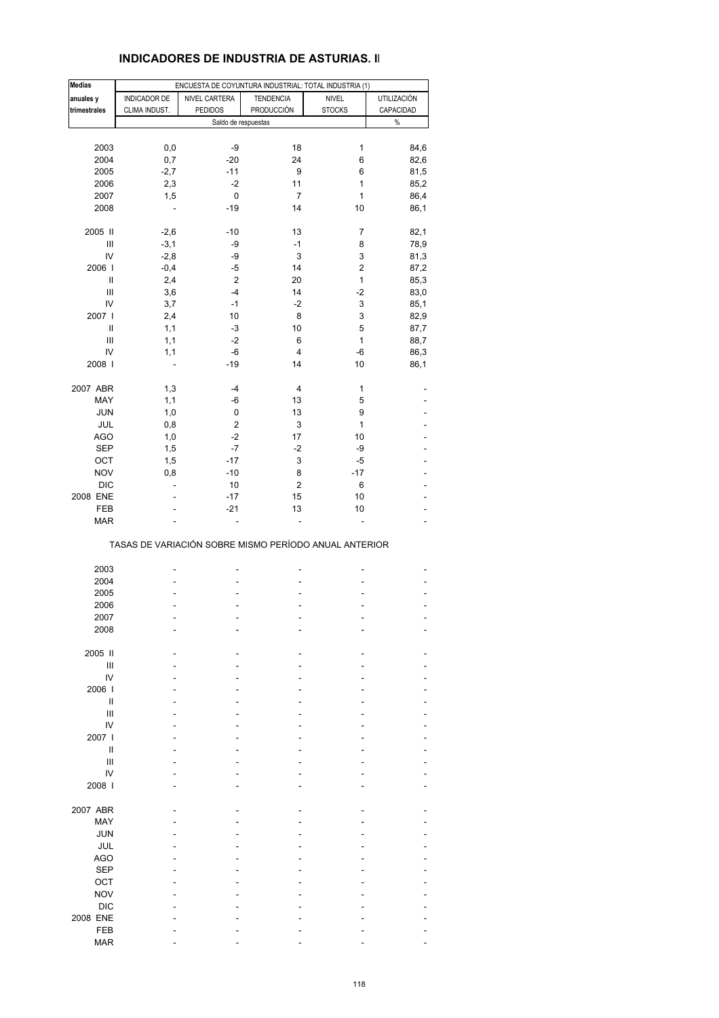### **INDICADORES DE INDUSTRIA DE ASTURIAS. II**

| <b>Medias</b>    |                                                       | ENCUESTA DE COYUNTURA INDUSTRIAL: TOTAL INDUSTRIA (1) |                         |                         |                    |
|------------------|-------------------------------------------------------|-------------------------------------------------------|-------------------------|-------------------------|--------------------|
| anuales y        | INDICADOR DE                                          | NIVEL CARTERA                                         | <b>TENDENCIA</b>        | <b>NIVEL</b>            | <b>UTILIZACIÓN</b> |
| trimestrales     | CLIMA INDUST.                                         | <b>PEDIDOS</b>                                        | PRODUCCIÓN              | <b>STOCKS</b>           | CAPACIDAD          |
|                  |                                                       | Saldo de respuestas                                   |                         |                         | $\%$               |
|                  |                                                       |                                                       |                         |                         |                    |
| 2003             | 0,0                                                   | -9                                                    | 18                      | 1                       | 84,6               |
| 2004             | 0,7                                                   | $-20$                                                 | 24                      | 6                       | 82,6               |
| 2005             | $-2,7$                                                | $-11$                                                 | 9                       | 6                       | 81,5               |
| 2006             | 2,3                                                   | $-2$                                                  | 11                      | 1                       | 85,2               |
| 2007             | 1,5                                                   | 0                                                     | $\overline{7}$          | 1                       | 86,4               |
| 2008             | L,                                                    | $-19$                                                 | 14                      | 10                      | 86,1               |
|                  |                                                       |                                                       |                         |                         |                    |
| 2005 II          | $-2,6$                                                | $-10$                                                 | 13                      | 7                       | 82,1               |
| Ш                | $-3,1$                                                | -9                                                    | $-1$                    | 8                       | 78,9               |
| IV               | $-2,8$                                                | -9                                                    | 3                       | 3                       | 81,3               |
| 2006             | $-0,4$                                                | -5                                                    | 14                      | $\overline{\mathbf{c}}$ | 87,2               |
| Ш                | 2,4                                                   | 2                                                     | 20                      | 1                       | 85,3               |
| Ш                | 3,6                                                   | $-4$                                                  | 14                      | -2                      | 83,0               |
| IV               | 3,7                                                   | $-1$                                                  | $-2$                    | 3                       | 85,1               |
| 2007 l           | 2,4                                                   | 10                                                    | 8                       | 3                       | 82,9               |
| Ш                | 1,1                                                   | -3                                                    | 10                      | 5                       | 87,7               |
| $\mathsf{III}\,$ | 1,1                                                   | $-2$                                                  | 6                       | 1                       | 88,7               |
| IV               | 1,1                                                   | -6                                                    | $\overline{4}$          | -6                      | 86,3               |
| 2008             | $\overline{a}$                                        | $-19$                                                 | 14                      | 10                      | 86,1               |
|                  |                                                       |                                                       |                         |                         |                    |
| 2007 ABR         | 1,3                                                   | $-4$                                                  | 4                       | 1                       |                    |
| MAY              | 1,1                                                   | -6                                                    | 13                      | 5                       |                    |
| <b>JUN</b>       | 1,0                                                   | 0                                                     | 13                      | 9                       |                    |
| JUL              | 0,8                                                   | 2                                                     | 3                       | 1                       |                    |
| <b>AGO</b>       | 1,0                                                   | $-2$                                                  | 17                      | 10                      |                    |
| <b>SEP</b>       | 1,5                                                   | $-7$                                                  | $-2$                    | -9                      |                    |
| OCT              | 1,5                                                   | $-17$                                                 | 3                       | -5                      |                    |
| <b>NOV</b>       | 0,8                                                   | $-10$                                                 | 8                       | $-17$                   | ٠                  |
| <b>DIC</b>       | ÷,                                                    | 10                                                    | $\overline{\mathbf{c}}$ | 6                       |                    |
| 2008 ENE         |                                                       | $-17$                                                 | 15                      | 10                      |                    |
| FEB              |                                                       | $-21$                                                 | 13                      | 10                      | ÷,                 |
| <b>MAR</b>       |                                                       |                                                       | L.                      |                         |                    |
|                  | TASAS DE VARIACIÓN SOBRE MISMO PERÍODO ANUAL ANTERIOR |                                                       |                         |                         |                    |
|                  |                                                       |                                                       |                         |                         |                    |
| 2003             |                                                       |                                                       |                         |                         |                    |
| 2004             |                                                       |                                                       |                         |                         |                    |
| 2005             |                                                       |                                                       |                         |                         |                    |
| 2006<br>2007     |                                                       |                                                       |                         |                         |                    |
|                  |                                                       |                                                       |                         |                         |                    |
| 2008             |                                                       |                                                       |                         |                         |                    |
| 2005 II          |                                                       |                                                       |                         |                         |                    |
| Ш                |                                                       |                                                       |                         |                         |                    |
| IV               |                                                       |                                                       |                         |                         |                    |
| 2006             |                                                       |                                                       |                         |                         |                    |
| Ш                |                                                       |                                                       |                         |                         |                    |
| $\mathsf{III}\,$ |                                                       |                                                       |                         |                         |                    |
| IV               |                                                       |                                                       |                         |                         |                    |
| 2007 l           |                                                       |                                                       |                         |                         |                    |
| Ш                |                                                       |                                                       |                         |                         |                    |
| Ш                |                                                       |                                                       |                         |                         |                    |
| IV               |                                                       |                                                       |                         |                         |                    |
| 2008             |                                                       |                                                       |                         |                         |                    |
|                  |                                                       |                                                       |                         |                         |                    |
| 2007 ABR         |                                                       |                                                       |                         |                         |                    |
| MAY              |                                                       |                                                       |                         |                         |                    |
| <b>JUN</b>       |                                                       |                                                       |                         |                         |                    |
| JUL              |                                                       |                                                       |                         |                         |                    |
| <b>AGO</b>       |                                                       |                                                       |                         |                         |                    |
| <b>SEP</b>       |                                                       |                                                       |                         |                         |                    |
| OCT              |                                                       |                                                       |                         |                         |                    |
| <b>NOV</b>       |                                                       |                                                       |                         |                         |                    |
| <b>DIC</b>       |                                                       |                                                       |                         |                         |                    |
| 2008 ENE         |                                                       |                                                       |                         |                         |                    |
| FEB              |                                                       |                                                       |                         |                         |                    |
| <b>MAR</b>       |                                                       |                                                       |                         |                         |                    |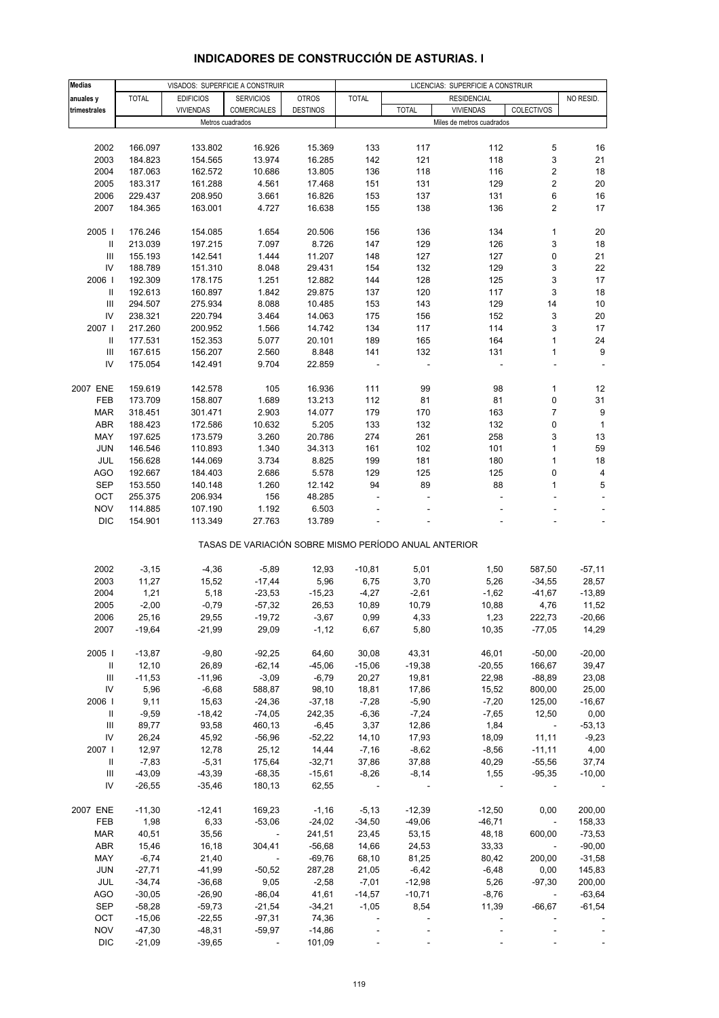| <b>Medias</b> |              | VISADOS: SUPERFICIE A CONSTRUIR |                                                       |                 | LICENCIAS: SUPERFICIE A CONSTRUIR |                |                           |                         |                          |
|---------------|--------------|---------------------------------|-------------------------------------------------------|-----------------|-----------------------------------|----------------|---------------------------|-------------------------|--------------------------|
| anuales y     | <b>TOTAL</b> | <b>EDIFICIOS</b>                | <b>SERVICIOS</b>                                      | <b>OTROS</b>    | <b>TOTAL</b>                      |                | <b>RESIDENCIAL</b>        |                         | NO RESID.                |
| trimestrales  |              | <b>VIVIENDAS</b>                | COMERCIALES                                           | <b>DESTINOS</b> |                                   | <b>TOTAL</b>   | <b>VIVIENDAS</b>          | COLECTIVOS              |                          |
|               |              | Metros cuadrados                |                                                       |                 |                                   |                | Miles de metros cuadrados |                         |                          |
|               |              |                                 |                                                       |                 |                                   |                |                           |                         |                          |
| 2002          | 166.097      | 133.802                         | 16.926                                                | 15.369          | 133                               | 117            | 112                       | 5                       | 16                       |
| 2003          | 184.823      | 154.565                         | 13.974                                                | 16.285          | 142                               | 121            | 118                       | 3                       | 21                       |
| 2004          | 187.063      | 162.572                         | 10.686                                                | 13.805          | 136                               | 118            | 116                       | 2                       | 18                       |
| 2005          | 183.317      | 161.288                         | 4.561                                                 | 17.468          | 151                               | 131            | 129                       | 2                       | 20                       |
| 2006          | 229.437      | 208.950                         | 3.661                                                 | 16.826          | 153                               | 137            | 131                       | 6                       | 16                       |
| 2007          | 184.365      | 163.001                         | 4.727                                                 | 16.638          | 155                               | 138            | 136                       | 2                       | 17                       |
|               |              |                                 |                                                       |                 |                                   |                |                           |                         |                          |
| 2005          | 176.246      | 154.085                         | 1.654                                                 | 20.506          | 156                               | 136            | 134                       | 1                       | 20                       |
| Ш             | 213.039      | 197.215                         | 7.097                                                 | 8.726           | 147                               | 129            | 126                       | 3                       | 18                       |
| Ш             | 155.193      | 142.541                         | 1.444                                                 | 11.207          | 148                               | 127            | 127                       | 0                       | 21                       |
| IV            | 188.789      | 151.310                         | 8.048                                                 | 29.431          | 154                               | 132            | 129                       | 3                       | 22                       |
| 2006          | 192.309      | 178.175                         | 1.251                                                 | 12.882          | 144                               | 128            | 125                       | 3                       | 17                       |
| $\mathbf{II}$ | 192.613      | 160.897                         | 1.842                                                 | 29.875          | 137                               | 120            | 117                       | 3                       | 18                       |
| III           | 294.507      | 275.934                         | 8.088                                                 | 10.485          | 153                               | 143            | 129                       | 14                      | 10                       |
| IV            | 238.321      | 220.794                         | 3.464                                                 | 14.063          | 175                               | 156            | 152                       | 3                       | 20                       |
| 2007 I        | 217.260      | 200.952                         | 1.566                                                 | 14.742          | 134                               | 117            | 114                       | 3                       | 17                       |
| $\mathbf{II}$ | 177.531      | 152.353                         | 5.077                                                 | 20.101          | 189                               | 165            | 164                       | 1                       | 24                       |
| Ш             | 167.615      | 156.207                         | 2.560                                                 | 8.848           | 141                               | 132            | 131                       | 1                       | 9                        |
| IV            | 175.054      | 142.491                         | 9.704                                                 | 22.859          | $\overline{\phantom{a}}$          | ÷,             |                           |                         |                          |
|               |              |                                 |                                                       |                 |                                   |                |                           |                         |                          |
| 2007 ENE      | 159.619      | 142.578                         | 105                                                   | 16.936          | 111                               | 99             | 98                        | 1                       | 12                       |
| FEB           | 173.709      | 158.807                         | 1.689                                                 | 13.213          | 112                               | 81             | 81                        | 0                       | 31                       |
| MAR           | 318.451      | 301.471                         | 2.903                                                 | 14.077          | 179                               | 170            | 163                       | 7                       | 9                        |
| ABR           | 188.423      | 172.586                         | 10.632                                                | 5.205           | 133                               | 132            | 132                       | 0                       | $\mathbf{1}$             |
| MAY           | 197.625      | 173.579                         | 3.260                                                 | 20.786          | 274                               | 261            | 258                       | 3                       | 13                       |
| <b>JUN</b>    | 146.546      | 110.893                         | 1.340                                                 | 34.313          | 161                               | 102            | 101                       | 1                       | 59                       |
| JUL           | 156.628      | 144.069                         | 3.734                                                 | 8.825           | 199                               | 181            | 180                       | $\mathbf{1}$            | 18                       |
| <b>AGO</b>    | 192.667      | 184.403                         | 2.686                                                 | 5.578           | 129                               | 125            | 125                       | 0                       | $\pmb{4}$                |
| <b>SEP</b>    | 153.550      | 140.148                         | 1.260                                                 | 12.142          | 94                                | 89             | 88                        | 1                       | 5                        |
| OCT           | 255.375      | 206.934                         | 156                                                   | 48.285          | ä,                                |                |                           | L,                      | $\overline{\phantom{a}}$ |
| <b>NOV</b>    | 114.885      | 107.190                         | 1.192                                                 | 6.503           |                                   |                |                           |                         | $\overline{\phantom{a}}$ |
| <b>DIC</b>    | 154.901      | 113.349                         | 27.763                                                | 13.789          |                                   |                |                           |                         | $\overline{\phantom{0}}$ |
|               |              |                                 | TASAS DE VARIACIÓN SOBRE MISMO PERÍODO ANUAL ANTERIOR |                 |                                   |                |                           |                         |                          |
| 2002          | $-3,15$      | $-4,36$                         | $-5,89$                                               | 12,93           | $-10,81$                          | 5,01           | 1,50                      | 587,50                  | $-57,11$                 |
| 2003          | 11,27        | 15,52                           | $-17,44$                                              | 5,96            | 6,75                              | 3,70           | 5,26                      | $-34,55$                | 28,57                    |
| 2004          | 1,21         | 5,18                            | $-23,53$                                              | $-15,23$        | $-4,27$                           | $-2,61$        | $-1,62$                   | $-41,67$                | $-13,89$                 |
| 2005          | $-2,00$      | $-0,79$                         | $-57,32$                                              | 26,53           | 10,89                             | 10,79          | 10,88                     | 4,76                    | 11,52                    |
| 2006          | 25,16        | 29,55                           | $-19,72$                                              | $-3,67$         | 0,99                              | 4,33           | 1,23                      | 222,73                  | $-20,66$                 |
| 2007          | $-19,64$     | $-21,99$                        | 29,09                                                 | $-1,12$         | 6,67                              | 5,80           | 10,35                     | $-77,05$                | 14,29                    |
|               |              |                                 |                                                       |                 |                                   |                |                           |                         |                          |
| 2005          | $-13,87$     | $-9,80$                         | $-92,25$                                              | 64,60           | 30,08                             | 43,31          | 46,01                     | $-50,00$                | $-20,00$                 |
| Ш             | 12,10        | 26,89                           | $-62,14$                                              | $-45,06$        | $-15,06$                          | $-19,38$       | $-20,55$                  | 166,67                  | 39,47                    |
| Ш             | $-11,53$     | $-11,96$                        | $-3,09$                                               | $-6,79$         | 20,27                             | 19,81          | 22,98                     | $-88,89$                | 23,08                    |
| IV            | 5,96         | $-6,68$                         | 588,87                                                | 98,10           | 18,81                             | 17,86          | 15,52                     | 800,00                  | 25,00                    |
| 2006          | 9,11         | 15,63                           | $-24,36$                                              | $-37,18$        | $-7,28$                           | $-5,90$        | $-7,20$                   | 125,00                  | $-16,67$                 |
| Ш             | $-9,59$      | $-18,42$                        | $-74,05$                                              | 242,35          | $-6,36$                           | $-7,24$        | $-7,65$                   | 12,50                   | 0,00                     |
| Ш             | 89,77        | 93,58                           | 460,13                                                | $-6,45$         | 3,37                              | 12,86          | 1,84                      | $\sim 100$ km s $^{-1}$ | $-53,13$                 |
| IV            | 26,24        | 45,92                           | $-56,96$                                              | $-52,22$        | 14, 10                            | 17,93          | 18,09                     | 11,11                   | $-9,23$                  |
| 2007          | 12,97        | 12,78                           | 25,12                                                 | 14,44           | $-7,16$                           | $-8,62$        | $-8,56$                   | $-11,11$                | 4,00                     |
| $\mathbf{II}$ | $-7,83$      | $-5,31$                         | 175,64                                                | $-32,71$        | 37,86                             | 37,88          | 40,29                     | $-55,56$                | 37,74                    |
| Ш             | $-43,09$     | $-43,39$                        | $-68,35$                                              | $-15,61$        | $-8,26$                           | $-8,14$        | 1,55                      | $-95,35$                | $-10,00$                 |
| IV            | $-26,55$     | $-35,46$                        | 180,13                                                | 62,55           | $\overline{\phantom{a}}$          |                |                           |                         |                          |
|               |              |                                 |                                                       |                 |                                   |                |                           |                         |                          |
| 2007 ENE      | $-11,30$     | $-12,41$                        | 169,23                                                | $-1,16$         | $-5,13$                           | $-12,39$       | $-12,50$                  | 0,00                    | 200,00                   |
| FEB           | 1,98         | 6,33                            | $-53,06$                                              | $-24,02$        | $-34,50$                          | $-49,06$       | $-46,71$                  | $\sim$ $-$              | 158,33                   |
| <b>MAR</b>    | 40,51        | 35,56                           | $\sim 10^{11}$ m $^{-1}$                              | 241,51          | 23,45                             | 53,15          | 48,18                     | 600,00                  | $-73,53$                 |
| ABR           | 15,46        | 16,18                           | 304,41                                                | $-56,68$        | 14,66                             | 24,53          | 33,33                     | $\sim$                  | $-90,00$                 |
| MAY           | $-6,74$      | 21,40                           | $\sim$                                                | $-69,76$        | 68,10                             | 81,25          | 80,42                     | 200,00                  | $-31,58$                 |
| <b>JUN</b>    | $-27,71$     | $-41,99$                        | $-50,52$                                              | 287,28          | 21,05                             | $-6,42$        | $-6,48$                   | 0,00                    | 145,83                   |
| JUL           | $-34,74$     | $-36,68$                        | 9,05                                                  | $-2,58$         | $-7,01$                           | $-12,98$       | 5,26                      | $-97,30$                | 200,00                   |
| AGO           | $-30,05$     | $-26,90$                        | $-86,04$                                              | 41,61           | $-14,57$                          | $-10,71$       | $-8,76$                   | $\sim$ $\sim$           | $-63,64$                 |
| <b>SEP</b>    | $-58,28$     | $-59,73$                        | $-21,54$                                              | $-34,21$        | $-1,05$                           | 8,54           | 11,39                     | $-66,67$                | $-61,54$                 |
| OCT           | $-15,06$     | $-22,55$                        | $-97,31$                                              | 74,36           | $\blacksquare$                    |                |                           |                         |                          |
| <b>NOV</b>    | $-47,30$     | $-48,31$                        | $-59,97$                                              | $-14,86$        | $\blacksquare$                    |                |                           |                         |                          |
| <b>DIC</b>    | $-21,09$     | $-39,65$                        | $\sim 100$                                            | 101,09          | $\Box$                            | $\blacksquare$ |                           |                         |                          |

# **INDICADORES DE CONSTRUCCIÓN DE ASTURIAS. I**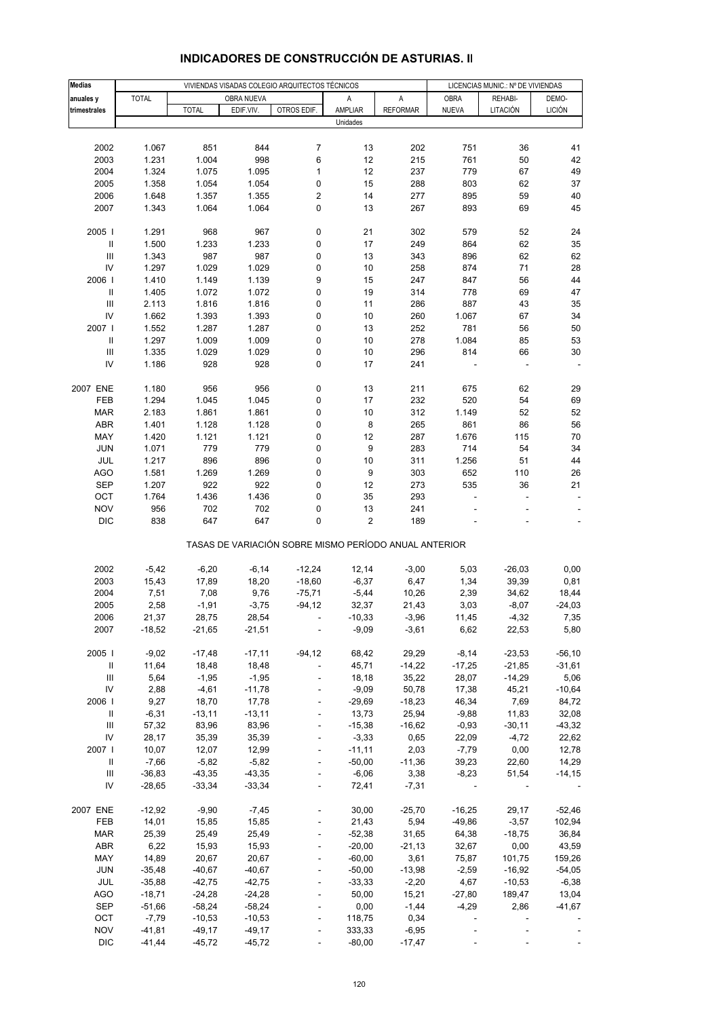| <b>Medias</b>                      |              |              |              | VIVIENDAS VISADAS COLEGIO ARQUITECTOS TÉCNICOS        |          |                 | LICENCIAS MUNIC.: Nº DE VIVIENDAS |          |               |
|------------------------------------|--------------|--------------|--------------|-------------------------------------------------------|----------|-----------------|-----------------------------------|----------|---------------|
| anuales y                          | <b>TOTAL</b> |              | OBRA NUEVA   |                                                       | Α        | A               | <b>OBRA</b>                       | REHABI-  | DEMO-         |
| trimestrales                       |              | <b>TOTAL</b> | EDIF.VIV.    | OTROS EDIF.                                           | AMPLIAR  | <b>REFORMAR</b> | <b>NUEVA</b>                      | LITACIÓN | <b>LICIÓN</b> |
|                                    |              |              |              |                                                       | Unidades |                 |                                   |          |               |
|                                    |              |              |              |                                                       |          |                 |                                   |          |               |
| 2002                               | 1.067        | 851          | 844          | $\overline{7}$                                        | 13       | 202             | 751                               | 36       | 41            |
| 2003                               | 1.231        | 1.004        | 998          | 6                                                     | 12       | 215             | 761                               | 50       | 42            |
| 2004                               | 1.324        | 1.075        | 1.095        | 1                                                     | 12       | 237             | 779                               | 67       | 49            |
| 2005                               | 1.358        | 1.054        | 1.054        | 0                                                     | 15       | 288             | 803                               | 62       | 37            |
| 2006                               | 1.648        | 1.357        | 1.355        | 2                                                     | 14       | 277             | 895                               | 59       | 40            |
| 2007                               | 1.343        | 1.064        | 1.064        | 0                                                     | 13       | 267             | 893                               | 69       | 45            |
|                                    |              |              |              |                                                       |          |                 |                                   |          |               |
| 2005                               | 1.291        | 968          | 967          | 0                                                     | 21       | 302             | 579                               | 52       | 24            |
| $\, \parallel$                     | 1.500        | 1.233        | 1.233        | 0                                                     | 17       | 249             | 864                               | 62       | 35            |
| $\ensuremath{\mathsf{III}}\xspace$ | 1.343        | 987          | 987          | 0                                                     | 13       | 343             | 896                               | 62       | 62            |
| IV                                 | 1.297        | 1.029        | 1.029        | 0                                                     | 10       | 258             | 874                               | 71       | 28            |
| 2006                               | 1.410        | 1.149        | 1.139        | 9                                                     | 15       | 247             | 847                               | 56       | 44            |
| Ш                                  | 1.405        | 1.072        | 1.072        | 0                                                     | 19       | 314             | 778                               | 69       | 47            |
| $\ensuremath{\mathsf{III}}\xspace$ | 2.113        | 1.816        | 1.816        | 0                                                     | 11       | 286             | 887                               | 43       | 35            |
| IV                                 | 1.662        | 1.393        | 1.393        | 0                                                     | 10       | 260             | 1.067                             | 67       | 34            |
| 2007 l                             | 1.552        | 1.287        | 1.287        | 0                                                     | 13       | 252             | 781                               | 56       | 50            |
| $\, \parallel$                     |              |              | 1.009        |                                                       |          |                 | 1.084                             |          | 53            |
|                                    | 1.297        | 1.009        |              | 0                                                     | 10       | 278             |                                   | 85       |               |
| $\ensuremath{\mathsf{III}}\xspace$ | 1.335        | 1.029        | 1.029        | 0                                                     | 10       | 296             | 814                               | 66       | 30            |
| IV                                 | 1.186        | 928          | 928          | 0                                                     | 17       | 241             |                                   |          |               |
|                                    |              |              |              | 0                                                     |          |                 |                                   |          |               |
| 2007 ENE                           | 1.180        | 956<br>1.045 | 956<br>1.045 |                                                       | 13<br>17 | 211             | 675<br>520                        | 62<br>54 | 29<br>69      |
| FEB                                | 1.294        |              |              | 0                                                     |          | 232             |                                   |          |               |
| <b>MAR</b>                         | 2.183        | 1.861        | 1.861        | 0                                                     | 10       | 312             | 1.149                             | 52       | 52            |
| ABR                                | 1.401        | 1.128        | 1.128        | 0                                                     | 8        | 265             | 861                               | 86       | 56            |
| MAY                                | 1.420        | 1.121        | 1.121        | 0                                                     | 12       | 287             | 1.676                             | 115      | 70            |
| <b>JUN</b>                         | 1.071        | 779          | 779          | 0                                                     | 9        | 283             | 714                               | 54       | 34            |
| JUL                                | 1.217        | 896          | 896          | 0                                                     | 10       | 311             | 1.256                             | 51       | 44            |
| AGO                                | 1.581        | 1.269        | 1.269        | 0                                                     | 9        | 303             | 652                               | 110      | 26            |
| <b>SEP</b>                         | 1.207        | 922          | 922          | 0                                                     | 12       | 273             | 535                               | 36       | 21            |
| OCT                                | 1.764        | 1.436        | 1.436        | 0                                                     | 35       | 293             |                                   |          |               |
| <b>NOV</b>                         | 956          | 702          | 702          | 0                                                     | 13       | 241             |                                   |          |               |
| <b>DIC</b>                         | 838          | 647          | 647          | 0                                                     | 2        | 189             |                                   |          |               |
|                                    |              |              |              | TASAS DE VARIACIÓN SOBRE MISMO PERÍODO ANUAL ANTERIOR |          |                 |                                   |          |               |
| 2002                               |              |              |              |                                                       |          |                 |                                   |          |               |
|                                    | $-5,42$      | $-6,20$      | $-6,14$      | $-12,24$                                              | 12,14    | $-3,00$         | 5,03                              | $-26,03$ | 0,00          |
| 2003                               | 15,43        | 17,89        | 18,20        | $-18,60$                                              | $-6,37$  | 6,47            | 1,34                              | 39,39    | 0,81          |
| 2004                               | 7,51         | 7,08         | 9,76         | $-75,71$                                              | $-5,44$  | 10,26           | 2,39                              | 34,62    | 18,44         |
| 2005                               | 2,58         | $-1,91$      | $-3,75$      | $-94, 12$                                             | 32,37    | 21,43           | 3,03                              | $-8,07$  | $-24,03$      |
| 2006                               | 21,37        | 28,75        | 28,54        |                                                       | $-10,33$ | $-3,96$         | 11,45                             | $-4,32$  | 7,35          |
| 2007                               | $-18,52$     | $-21,65$     | $-21,51$     | ٠                                                     | $-9,09$  | $-3,61$         | 6,62                              | 22,53    | 5,80          |
| 2005                               | $-9,02$      | $-17,48$     | $-17,11$     | $-94,12$                                              | 68,42    | 29,29           | $-8,14$                           | $-23,53$ | $-56, 10$     |
| Ш                                  | 11,64        | 18,48        | 18,48        | $\overline{\phantom{a}}$                              | 45,71    | $-14,22$        | $-17,25$                          | $-21,85$ | $-31,61$      |
| Ш                                  | 5,64         | $-1,95$      | $-1,95$      | $\blacksquare$                                        | 18,18    | 35,22           | 28,07                             | $-14,29$ | 5,06          |
| IV                                 | 2,88         | $-4,61$      | $-11,78$     | ÷                                                     | $-9,09$  | 50,78           | 17,38                             | 45,21    | $-10,64$      |
| 2006                               | 9,27         | 18,70        | 17,78        | $\overline{\phantom{a}}$                              | $-29,69$ | $-18,23$        | 46,34                             | 7,69     | 84,72         |
| $\, \parallel$                     | $-6,31$      | $-13,11$     | $-13,11$     | $\overline{\phantom{a}}$                              | 13,73    | 25,94           | $-9,88$                           | 11,83    | 32,08         |
| $\ensuremath{\mathsf{III}}\xspace$ | 57,32        | 83,96        | 83,96        | $\blacksquare$                                        | $-15,38$ | $-16,62$        | $-0,93$                           | $-30,11$ | $-43,32$      |
| IV                                 | 28,17        | 35,39        | 35,39        |                                                       | $-3,33$  | 0,65            | 22,09                             | $-4,72$  | 22,62         |
| 2007 l                             | 10,07        | 12,07        | 12,99        | $\blacksquare$                                        | $-11,11$ | 2,03            | $-7,79$                           | 0,00     | 12,78         |
| Ш                                  | $-7,66$      | $-5,82$      | $-5,82$      | ÷,                                                    | $-50,00$ | $-11,36$        | 39,23                             | 22,60    | 14,29         |
| Ш                                  | $-36,83$     | $-43,35$     | $-43,35$     |                                                       | $-6,06$  | 3,38            | $-8,23$                           | 51,54    | $-14,15$      |
| IV                                 | $-28,65$     | $-33,34$     | $-33,34$     | $\blacksquare$                                        | 72,41    | $-7,31$         | $\overline{\phantom{a}}$          |          |               |
|                                    |              |              |              |                                                       |          |                 |                                   |          |               |
| 2007 ENE                           | $-12,92$     | $-9,90$      | $-7,45$      |                                                       | 30,00    | $-25,70$        | $-16,25$                          | 29,17    | $-52,46$      |
| FEB                                | 14,01        | 15,85        | 15,85        | $\blacksquare$                                        | 21,43    | 5,94            | $-49,86$                          | $-3,57$  | 102,94        |
| <b>MAR</b>                         | 25,39        | 25,49        | 25,49        | $\blacksquare$                                        | $-52,38$ | 31,65           | 64,38                             | $-18,75$ | 36,84         |
| ABR                                | 6,22         | 15,93        | 15,93        |                                                       | $-20,00$ | $-21,13$        | 32,67                             | 0,00     | 43,59         |
| MAY                                | 14,89        | 20,67        | 20,67        | $\blacksquare$                                        | $-60,00$ | 3,61            | 75,87                             | 101,75   | 159,26        |
| <b>JUN</b>                         | $-35,48$     | $-40,67$     | $-40,67$     | $\blacksquare$                                        | $-50,00$ | $-13,98$        | $-2,59$                           | $-16,92$ | $-54,05$      |
| JUL                                | $-35,88$     | $-42,75$     | $-42,75$     | ÷,                                                    | $-33,33$ | $-2,20$         | 4,67                              | $-10,53$ | $-6,38$       |
| AGO                                | $-18,71$     | $-24,28$     | $-24,28$     | $\blacksquare$                                        | 50,00    | 15,21           | $-27,80$                          | 189,47   | 13,04         |
| <b>SEP</b>                         | $-51,66$     | $-58,24$     | $-58,24$     | $\blacksquare$                                        | 0,00     | $-1,44$         | $-4,29$                           | 2,86     | $-41,67$      |
| OCT                                | $-7,79$      | $-10,53$     | $-10,53$     | ÷,                                                    | 118,75   | 0,34            | $\blacksquare$                    |          |               |
| <b>NOV</b>                         | $-41,81$     | $-49,17$     | $-49,17$     | $\frac{1}{2}$                                         | 333,33   | $-6,95$         |                                   |          |               |
| <b>DIC</b>                         | $-41,44$     | $-45,72$     | $-45,72$     | $\blacksquare$                                        | $-80,00$ | $-17,47$        |                                   |          |               |
|                                    |              |              |              |                                                       |          |                 |                                   |          |               |

## **INDICADORES DE CONSTRUCCIÓN DE ASTURIAS. II**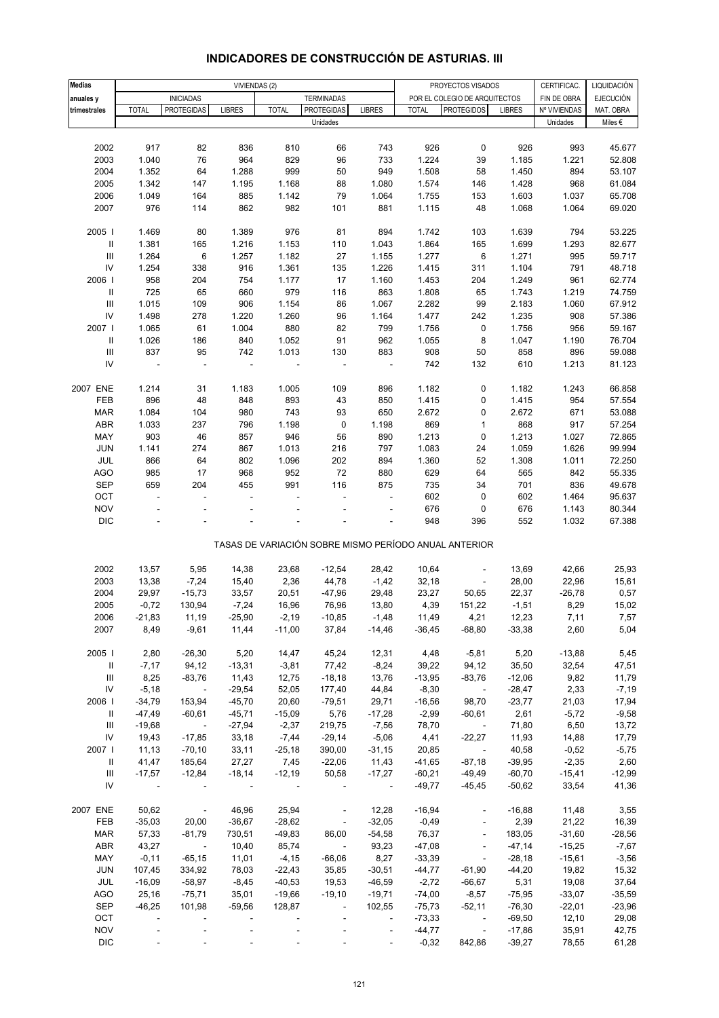| <b>Medias</b>                      |                          | VIVIENDAS (2)            |                          |                          |                              |                          |              | PROYECTOS VISADOS                                     |               | CERTIFICAC.  | LIQUIDACIÓN      |
|------------------------------------|--------------------------|--------------------------|--------------------------|--------------------------|------------------------------|--------------------------|--------------|-------------------------------------------------------|---------------|--------------|------------------|
| anuales y                          |                          | <b>INICIADAS</b>         |                          |                          | <b>TERMINADAS</b>            |                          |              | POR EL COLEGIO DE ARQUITECTOS                         |               | FIN DE OBRA  | <b>EJECUCIÓN</b> |
| trimestrales                       | <b>TOTAL</b>             | <b>PROTEGIDAS</b>        | <b>LIBRES</b>            | <b>TOTAL</b>             | <b>PROTEGIDAS</b>            | <b>LIBRES</b>            | <b>TOTAL</b> | <b>PROTEGIDOS</b>                                     | <b>LIBRES</b> | Nº VIVIENDAS | MAT. OBRA        |
|                                    |                          |                          |                          |                          | Unidades                     |                          |              |                                                       |               | Unidades     | Miles $\epsilon$ |
|                                    |                          |                          |                          |                          |                              |                          |              |                                                       |               |              |                  |
|                                    |                          |                          |                          |                          |                              | 743                      |              | 0                                                     |               | 993          |                  |
| 2002<br>2003                       | 917<br>1.040             | 82<br>76                 | 836<br>964               | 810<br>829               | 66<br>96                     | 733                      | 926<br>1.224 |                                                       | 926<br>1.185  | 1.221        | 45.677<br>52.808 |
|                                    |                          |                          |                          |                          |                              |                          |              | 39                                                    |               |              |                  |
| 2004                               | 1.352                    | 64                       | 1.288                    | 999                      | 50                           | 949                      | 1.508        | 58                                                    | 1.450         | 894          | 53.107           |
| 2005                               | 1.342                    | 147                      | 1.195                    | 1.168                    | 88                           | 1.080                    | 1.574        | 146                                                   | 1.428         | 968          | 61.084           |
| 2006                               | 1.049                    | 164                      | 885                      | 1.142                    | 79                           | 1.064                    | 1.755        | 153                                                   | 1.603         | 1.037        | 65.708           |
| 2007                               | 976                      | 114                      | 862                      | 982                      | 101                          | 881                      | 1.115        | 48                                                    | 1.068         | 1.064        | 69.020           |
|                                    |                          |                          |                          |                          |                              |                          |              |                                                       |               |              |                  |
| 2005                               | 1.469                    | 80                       | 1.389                    | 976                      | 81                           | 894                      | 1.742        | 103                                                   | 1.639         | 794          | 53.225           |
| $\mathbf{II}$                      | 1.381                    | 165                      | 1.216                    | 1.153                    | 110                          | 1.043                    | 1.864        | 165                                                   | 1.699         | 1.293        | 82.677           |
| $\ensuremath{\mathsf{III}}\xspace$ | 1.264                    | $\,6\,$                  | 1.257                    | 1.182                    | 27                           | 1.155                    | 1.277        | 6                                                     | 1.271         | 995          | 59.717           |
| ${\sf IV}$                         | 1.254                    | 338                      | 916                      | 1.361                    | 135                          | 1.226                    | 1.415        | 311                                                   | 1.104         | 791          | 48.718           |
| 2006                               | 958                      | 204                      | 754                      | 1.177                    | 17                           | 1.160                    | 1.453        | 204                                                   | 1.249         | 961          | 62.774           |
| Ш                                  | 725                      | 65                       | 660                      | 979                      | 116                          | 863                      | 1.808        | 65                                                    | 1.743         | 1.219        | 74.759           |
| $\mathbf{III}$                     | 1.015                    | 109                      | 906                      | 1.154                    | 86                           | 1.067                    | 2.282        | 99                                                    | 2.183         | 1.060        | 67.912           |
|                                    |                          |                          |                          |                          |                              |                          |              |                                                       |               |              |                  |
| ${\sf IV}$                         | 1.498                    | 278                      | 1.220                    | 1.260                    | 96                           | 1.164                    | 1.477        | 242                                                   | 1.235         | 908          | 57.386           |
| 2007                               | 1.065                    | 61                       | 1.004                    | 880                      | 82                           | 799                      | 1.756        | 0                                                     | 1.756         | 956          | 59.167           |
| Ш                                  | 1.026                    | 186                      | 840                      | 1.052                    | 91                           | 962                      | 1.055        | 8                                                     | 1.047         | 1.190        | 76.704           |
| $\ensuremath{\mathsf{III}}\xspace$ | 837                      | 95                       | 742                      | 1.013                    | 130                          | 883                      | 908          | 50                                                    | 858           | 896          | 59.088           |
| IV                                 | $\sim$                   | $\bar{a}$                | $\sim$                   |                          |                              |                          | 742          | 132                                                   | 610           | 1.213        | 81.123           |
|                                    |                          |                          |                          |                          |                              |                          |              |                                                       |               |              |                  |
| 2007 ENE                           | 1.214                    | 31                       | 1.183                    | 1.005                    | 109                          | 896                      | 1.182        | 0                                                     | 1.182         | 1.243        | 66.858           |
| FEB                                | 896                      | 48                       | 848                      | 893                      | 43                           | 850                      | 1.415        | 0                                                     | 1.415         | 954          | 57.554           |
| <b>MAR</b>                         | 1.084                    | 104                      | 980                      | 743                      | 93                           | 650                      | 2.672        | 0                                                     | 2.672         | 671          | 53.088           |
| ABR                                | 1.033                    | 237                      | 796                      | 1.198                    | 0                            | 1.198                    | 869          | $\mathbf{1}$                                          | 868           | 917          | 57.254           |
| MAY                                | 903                      | 46                       | 857                      | 946                      | 56                           | 890                      | 1.213        | 0                                                     | 1.213         | 1.027        | 72.865           |
| <b>JUN</b>                         | 1.141                    | 274                      | 867                      | 1.013                    | 216                          | 797                      | 1.083        | 24                                                    | 1.059         | 1.626        | 99.994           |
| JUL                                | 866                      | 64                       | 802                      | 1.096                    | 202                          | 894                      | 1.360        |                                                       | 1.308         | 1.011        | 72.250           |
|                                    |                          |                          |                          |                          |                              |                          |              | 52                                                    |               |              |                  |
| <b>AGO</b>                         | 985                      | 17                       | 968                      | 952                      | 72                           | 880                      | 629          | 64                                                    | 565           | 842          | 55.335           |
| <b>SEP</b>                         | 659                      | 204                      | 455                      | 991                      | 116                          | 875                      | 735          | 34                                                    | 701           | 836          | 49.678           |
| OCT                                | $\overline{\phantom{a}}$ | $\bar{a}$                | $\overline{\phantom{a}}$ |                          |                              | $\overline{\phantom{a}}$ | 602          | 0                                                     | 602           | 1.464        | 95.637           |
| <b>NOV</b>                         |                          |                          |                          |                          |                              |                          | 676          | 0                                                     | 676           | 1.143        | 80.344           |
| <b>DIC</b>                         |                          |                          |                          |                          |                              | $\overline{\phantom{a}}$ | 948          | 396                                                   | 552           | 1.032        | 67.388           |
|                                    |                          |                          |                          |                          |                              |                          |              |                                                       |               |              |                  |
|                                    |                          |                          |                          |                          |                              |                          |              | TASAS DE VARIACIÓN SOBRE MISMO PERÍODO ANUAL ANTERIOR |               |              |                  |
|                                    |                          |                          |                          |                          |                              |                          |              |                                                       |               |              |                  |
| 2002                               | 13,57                    | 5,95                     | 14,38                    | 23,68                    | $-12,54$                     | 28,42                    | 10,64        | $\qquad \qquad \blacksquare$                          | 13,69         | 42,66        | 25,93            |
| 2003                               | 13,38                    | $-7,24$                  | 15,40                    | 2,36                     | 44,78                        | $-1,42$                  | 32,18        | $\blacksquare$                                        | 28,00         | 22,96        | 15,61            |
| 2004                               | 29,97                    | $-15,73$                 | 33,57                    | 20,51                    | $-47,96$                     | 29,48                    | 23,27        | 50,65                                                 | 22,37         | $-26,78$     | 0,57             |
| 2005                               | $-0,72$                  | 130,94                   | $-7,24$                  | 16,96                    | 76,96                        | 13,80                    | 4,39         | 151,22                                                | $-1,51$       | 8,29         | 15,02            |
| 2006                               | $-21,83$                 | 11,19                    | $-25,90$                 | $-2,19$                  | $-10,85$                     | $-1,48$                  | 11,49        | 4,21                                                  | 12,23         | 7,11         | 7,57             |
| 2007                               | 8,49                     | $-9,61$                  | 11,44                    | $-11,00$                 | 37,84                        | $-14,46$                 | $-36,45$     | $-68,80$                                              | $-33,38$      | 2,60         | 5,04             |
|                                    |                          |                          |                          |                          |                              |                          |              |                                                       |               |              |                  |
|                                    |                          | $-26,30$                 |                          |                          |                              |                          |              |                                                       |               |              |                  |
| 2005                               | 2,80                     |                          | 5,20                     | 14,47                    | 45,24                        | 12,31                    | 4,48         | $-5,81$                                               | 5,20          | $-13,88$     | 5,45             |
| $\mathbf{H}$                       | $-7,17$                  | 94,12                    | $-13,31$                 | $-3,81$                  | 77,42                        | $-8,24$                  | 39,22        | 94,12                                                 | 35,50         | 32,54        | 47,51            |
| $\mathop{\mathsf{III}}\nolimits$   | 8,25                     | $-83,76$                 | 11,43                    | 12,75                    | $-18,18$                     | 13,76                    | $-13,95$     | $-83,76$                                              | $-12,06$      | 9,82         | 11,79            |
| ${\sf IV}$                         | $-5,18$                  | $\sim 100$ km s $^{-1}$  | $-29,54$                 | 52,05                    | 177,40                       | 44,84                    | $-8,30$      | $\sim 100$ km s $^{-1}$                               | $-28,47$      | 2,33         | $-7,19$          |
| 2006                               | $-34,79$                 | 153,94                   | $-45,70$                 | 20,60                    | $-79,51$                     | 29,71                    | $-16,56$     | 98,70                                                 | $-23,77$      | 21,03        | 17,94            |
| Ш                                  | $-47,49$                 | $-60,61$                 | $-45,71$                 | $-15,09$                 | 5,76                         | $-17,28$                 | $-2,99$      | $-60,61$                                              | 2,61          | $-5,72$      | $-9,58$          |
| Ш                                  | $-19,68$                 | $\sim 100$               | $-27,94$                 | $-2,37$                  | 219,75                       | $-7,56$                  | 78,70        | $\sim 100$ m $^{-1}$                                  | 71,80         | 6,50         | 13,72            |
| ${\sf IV}$                         | 19,43                    | $-17,85$                 | 33,18                    | $-7,44$                  | $-29,14$                     | $-5,06$                  | 4,41         | $-22,27$                                              | 11,93         | 14,88        | 17,79            |
| 2007                               | 11,13                    | $-70,10$                 | 33,11                    | $-25,18$                 | 390,00                       | $-31,15$                 | 20,85        | $\sim$                                                | 40,58         | $-0,52$      | $-5,75$          |
| Ш                                  | 41,47                    | 185,64                   | 27,27                    | 7,45                     | $-22,06$                     | 11,43                    | $-41,65$     | $-87,18$                                              | $-39,95$      | $-2,35$      | 2,60             |
| Ш                                  | $-17,57$                 | $-12,84$                 | $-18,14$                 | $-12,19$                 | 50,58                        | $-17,27$                 | $-60,21$     | $-49,49$                                              | $-60,70$      | $-15,41$     | $-12,99$         |
| IV                                 | $\sim$                   |                          |                          | $\overline{\phantom{a}}$ | $\overline{\phantom{a}}$     | $\overline{\phantom{a}}$ | $-49,77$     | $-45,45$                                              | $-50,62$      | 33,54        | 41,36            |
|                                    |                          |                          |                          |                          |                              |                          |              |                                                       |               |              |                  |
| 2007 ENE                           |                          |                          |                          |                          |                              |                          |              |                                                       |               |              |                  |
|                                    | 50,62                    | $\overline{\phantom{a}}$ | 46,96                    | 25,94                    | $\blacksquare$               | 12,28                    | $-16,94$     | $\overline{\phantom{a}}$                              | $-16,88$      | 11,48        | 3,55             |
| FEB                                | $-35,03$                 | 20,00                    | $-36,67$                 | $-28,62$                 | $\blacksquare$               | $-32,05$                 | $-0,49$      | ÷                                                     | 2,39          | 21,22        | 16,39            |
| <b>MAR</b>                         | 57,33                    | $-81,79$                 | 730,51                   | $-49,83$                 | 86,00                        | $-54,58$                 | 76,37        | $\blacksquare$                                        | 183,05        | $-31,60$     | $-28,56$         |
| ABR                                | 43,27                    | $\sim 10$                | 10,40                    | 85,74                    | $\sim$                       | 93,23                    | $-47,08$     | $\blacksquare$                                        | $-47,14$      | $-15,25$     | $-7,67$          |
| MAY                                | $-0,11$                  | $-65,15$                 | 11,01                    | $-4, 15$                 | $-66,06$                     | 8,27                     | $-33,39$     | $\Box$                                                | $-28,18$      | $-15,61$     | $-3,56$          |
| JUN                                | 107,45                   | 334,92                   | 78,03                    | $-22,43$                 | 35,85                        | $-30,51$                 | $-44,77$     | $-61,90$                                              | $-44,20$      | 19,82        | 15,32            |
| JUL                                | $-16,09$                 | $-58,97$                 | $-8,45$                  | $-40,53$                 | 19,53                        | $-46,59$                 | $-2,72$      | $-66,67$                                              | 5,31          | 19,08        | 37,64            |
| AGO                                | 25,16                    | $-75,71$                 | 35,01                    | $-19,66$                 | $-19,10$                     | $-19,71$                 | $-74,00$     | $-8,57$                                               | $-75,95$      | $-33,07$     | $-35,59$         |
| <b>SEP</b>                         | $-46,25$                 | 101,98                   | $-59,56$                 | 128,87                   | $\overline{\phantom{a}}$     | 102,55                   | $-75,73$     | $-52,11$                                              | $-76,30$      | $-22,01$     | $-23,96$         |
| OCT                                | $\overline{\phantom{a}}$ | $\overline{\phantom{a}}$ | $\overline{\phantom{a}}$ | $\overline{\phantom{a}}$ | $\qquad \qquad \blacksquare$ | $\blacksquare$           | $-73,33$     | $\sim 10^{-10}$                                       | $-69,50$      | 12,10        | 29,08            |
| <b>NOV</b>                         |                          |                          |                          |                          |                              |                          | $-44,77$     | $\blacksquare$                                        | $-17,86$      | 35,91        | 42,75            |
| <b>DIC</b>                         |                          |                          |                          |                          |                              | $\overline{\phantom{a}}$ | $-0,32$      | 842,86                                                | $-39,27$      | 78,55        | 61,28            |
|                                    |                          |                          |                          |                          |                              |                          |              |                                                       |               |              |                  |

# **INDICADORES DE CONSTRUCCIÓN DE ASTURIAS. III**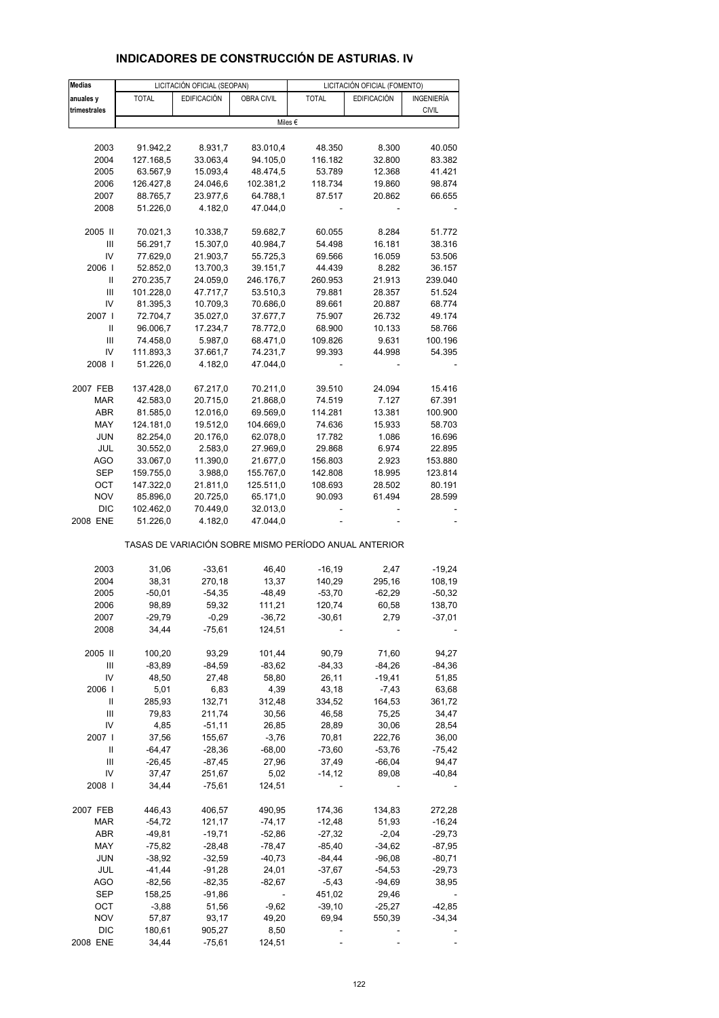| <b>Medias</b> |              | LICITACIÓN OFICIAL (SEOPAN) |                          | LICITACIÓN OFICIAL (FOMENTO)                          |                    |              |  |  |
|---------------|--------------|-----------------------------|--------------------------|-------------------------------------------------------|--------------------|--------------|--|--|
| anuales y     | <b>TOTAL</b> | <b>EDIFICACIÓN</b>          | <b>OBRA CIVIL</b>        | <b>TOTAL</b>                                          | <b>EDIFICACIÓN</b> | INGENIERÍA   |  |  |
| trimestrales  |              |                             |                          |                                                       |                    | <b>CIVIL</b> |  |  |
|               |              |                             |                          | Miles €                                               |                    |              |  |  |
|               |              |                             |                          |                                                       |                    |              |  |  |
| 2003          | 91.942,2     | 8.931,7                     | 83.010,4                 | 48.350                                                | 8.300              | 40.050       |  |  |
| 2004          | 127.168,5    | 33.063,4                    | 94.105,0                 | 116.182                                               | 32.800             | 83.382       |  |  |
| 2005          | 63.567,9     | 15.093,4                    | 48.474,5                 | 53.789                                                | 12.368             | 41.421       |  |  |
| 2006          | 126.427,8    | 24.046,6                    | 102.381,2                | 118.734                                               | 19.860             | 98.874       |  |  |
| 2007          | 88.765,7     | 23.977,6                    | 64.788,1                 | 87.517                                                | 20.862             | 66.655       |  |  |
| 2008          | 51.226,0     | 4.182,0                     | 47.044,0                 |                                                       |                    |              |  |  |
| 2005 II       | 70.021,3     | 10.338,7                    | 59.682,7                 | 60.055                                                | 8.284              | 51.772       |  |  |
| Ш             | 56.291,7     | 15.307,0                    | 40.984,7                 | 54.498                                                | 16.181             | 38.316       |  |  |
| IV            | 77.629,0     | 21.903,7                    | 55.725,3                 | 69.566                                                | 16.059             | 53.506       |  |  |
| 2006          | 52.852,0     | 13.700,3                    | 39.151,7                 | 44.439                                                | 8.282              | 36.157       |  |  |
| Ш             | 270.235,7    | 24.059,0                    | 246.176,7                | 260.953                                               | 21.913             | 239.040      |  |  |
| Ш             | 101.228,0    | 47.717,7                    | 53.510,3                 | 79.881                                                | 28.357             | 51.524       |  |  |
| IV            | 81.395,3     | 10.709,3                    | 70.686,0                 | 89.661                                                | 20.887             | 68.774       |  |  |
| 2007 l        | 72.704,7     | 35.027,0                    | 37.677,7                 | 75.907                                                | 26.732             | 49.174       |  |  |
|               |              |                             |                          |                                                       |                    |              |  |  |
| Ш             | 96.006,7     | 17.234,7                    | 78.772,0                 | 68.900                                                | 10.133             | 58.766       |  |  |
| Ш             | 74.458,0     | 5.987,0                     | 68.471,0                 | 109.826                                               | 9.631              | 100.196      |  |  |
| IV            | 111.893,3    | 37.661,7                    | 74.231,7                 | 99.393                                                | 44.998             | 54.395       |  |  |
| 2008          | 51.226,0     | 4.182,0                     | 47.044,0                 |                                                       |                    |              |  |  |
| 2007 FEB      | 137.428,0    | 67.217,0                    | 70.211,0                 | 39.510                                                | 24.094             | 15.416       |  |  |
| <b>MAR</b>    | 42.583,0     | 20.715,0                    | 21.868,0                 | 74.519                                                | 7.127              | 67.391       |  |  |
| ABR           | 81.585,0     | 12.016,0                    | 69.569,0                 | 114.281                                               | 13.381             | 100.900      |  |  |
| MAY           | 124.181,0    | 19.512,0                    | 104.669,0                | 74.636                                                | 15.933             | 58.703       |  |  |
| <b>JUN</b>    | 82.254,0     | 20.176,0                    | 62.078,0                 | 17.782                                                | 1.086              | 16.696       |  |  |
| JUL           | 30.552,0     | 2.583,0                     | 27.969,0                 | 29.868                                                | 6.974              | 22.895       |  |  |
| AGO           | 33.067,0     | 11.390,0                    | 21.677,0                 | 156.803                                               | 2.923              | 153.880      |  |  |
|               |              |                             |                          |                                                       |                    |              |  |  |
| SEP           | 159.755,0    | 3.988,0                     | 155.767,0                | 142.808                                               | 18.995             | 123.814      |  |  |
| OCT           | 147.322,0    | 21.811,0                    | 125.511,0                | 108.693                                               | 28.502             | 80.191       |  |  |
| NOV           | 85.896,0     | 20.725,0                    | 65.171,0                 | 90.093                                                | 61.494             | 28.599       |  |  |
| DIC           | 102.462,0    | 70.449,0                    | 32.013,0                 |                                                       |                    |              |  |  |
| 2008 ENE      | 51.226,0     | 4.182,0                     | 47.044,0                 |                                                       |                    |              |  |  |
|               |              |                             |                          | TASAS DE VARIACIÓN SOBRE MISMO PERÍODO ANUAL ANTERIOR |                    |              |  |  |
| 2003          | 31,06        | $-33,61$                    | 46,40                    | $-16, 19$                                             | 2,47               | $-19,24$     |  |  |
| 2004          | 38,31        | 270,18                      | 13,37                    | 140,29                                                | 295,16             | 108,19       |  |  |
| 2005          | $-50,01$     | $-54,35$                    | $-48,49$                 | $-53,70$                                              | $-62,29$           | $-50,32$     |  |  |
| 2006          | 98,89        | 59,32                       | 111,21                   | 120,74                                                | 60,58              | 138,70       |  |  |
| 2007          | $-29,79$     | $-0,29$                     | $-36,72$                 | $-30,61$                                              | 2,79               | $-37,01$     |  |  |
| 2008          | 34,44        | $-75,61$                    | 124,51                   |                                                       |                    |              |  |  |
| 2005 II       | 100,20       | 93,29                       | 101,44                   | 90,79                                                 | 71,60              | 94,27        |  |  |
| Ш             | $-83,89$     | $-84,59$                    | $-83,62$                 | $-84,33$                                              | $-84,26$           | $-84,36$     |  |  |
|               |              |                             |                          |                                                       |                    |              |  |  |
| IV            | 48,50        | 27,48                       | 58,80                    | 26,11                                                 | $-19,41$           | 51,85        |  |  |
| 2006          | 5,01         | 6,83                        | 4,39                     | 43,18                                                 | $-7,43$            | 63,68        |  |  |
| Ш             | 285,93       | 132,71                      | 312,48                   | 334,52                                                | 164,53             | 361,72       |  |  |
| Ш             | 79,83        | 211,74                      | 30,56                    | 46,58                                                 | 75,25              | 34,47        |  |  |
| IV            | 4,85         | $-51,11$                    | 26,85                    | 28,89                                                 | 30,06              | 28,54        |  |  |
| 2007 l        | 37,56        | 155,67                      | $-3,76$                  | 70,81                                                 | 222,76             | 36,00        |  |  |
| Ш             | $-64,47$     | $-28,36$                    | -68,00                   | $-73,60$                                              | $-53,76$           | $-75,42$     |  |  |
| Ш             | $-26,45$     | $-87,45$                    | 27,96                    | 37,49                                                 | $-66,04$           | 94,47        |  |  |
| IV            | 37,47        | 251,67                      | 5,02                     | -14,12                                                | 89,08              | -40,84       |  |  |
| 2008          | 34,44        | $-75,61$                    | 124,51                   |                                                       |                    |              |  |  |
| 2007 FEB      | 446,43       | 406,57                      | 490,95                   | 174,36                                                | 134,83             | 272,28       |  |  |
| MAR           | $-54,72$     | 121,17                      | $-74,17$                 | $-12,48$                                              | 51,93              | $-16,24$     |  |  |
| ABR           | -49,81       | $-19,71$                    | $-52,86$                 | $-27,32$                                              | $-2,04$            | $-29,73$     |  |  |
| MAY           | $-75,82$     |                             |                          | $-85,40$                                              |                    |              |  |  |
|               |              | $-28,48$                    | -78,47                   |                                                       | -34,62             | -87,95       |  |  |
| <b>JUN</b>    | $-38,92$     | $-32,59$                    | $-40,73$                 | -84,44                                                | $-96,08$           | $-80,71$     |  |  |
| JUL           | $-41,44$     | $-91,28$                    | 24,01                    | -37,67                                                | $-54,53$           | -29,73       |  |  |
| AGO           | $-82,56$     | $-82,35$                    | -82,67                   | $-5,43$                                               | $-94,69$           | 38,95        |  |  |
| SEP           | 158,25       | $-91,86$                    | $\overline{\phantom{a}}$ | 451,02                                                | 29,46              |              |  |  |
| OCT           | $-3,88$      | 51,56                       | $-9,62$                  | $-39,10$                                              | $-25,27$           | $-42,85$     |  |  |
| <b>NOV</b>    | 57,87        | 93,17                       | 49,20                    | 69,94                                                 | 550,39             | $-34,34$     |  |  |
| DIC           | 180,61       | 905,27                      | 8,50                     |                                                       |                    |              |  |  |
| 2008 ENE      | 34,44        | $-75,61$                    | 124,51                   |                                                       |                    |              |  |  |

# **INDICADORES DE CONSTRUCCIÓN DE ASTURIAS. IV**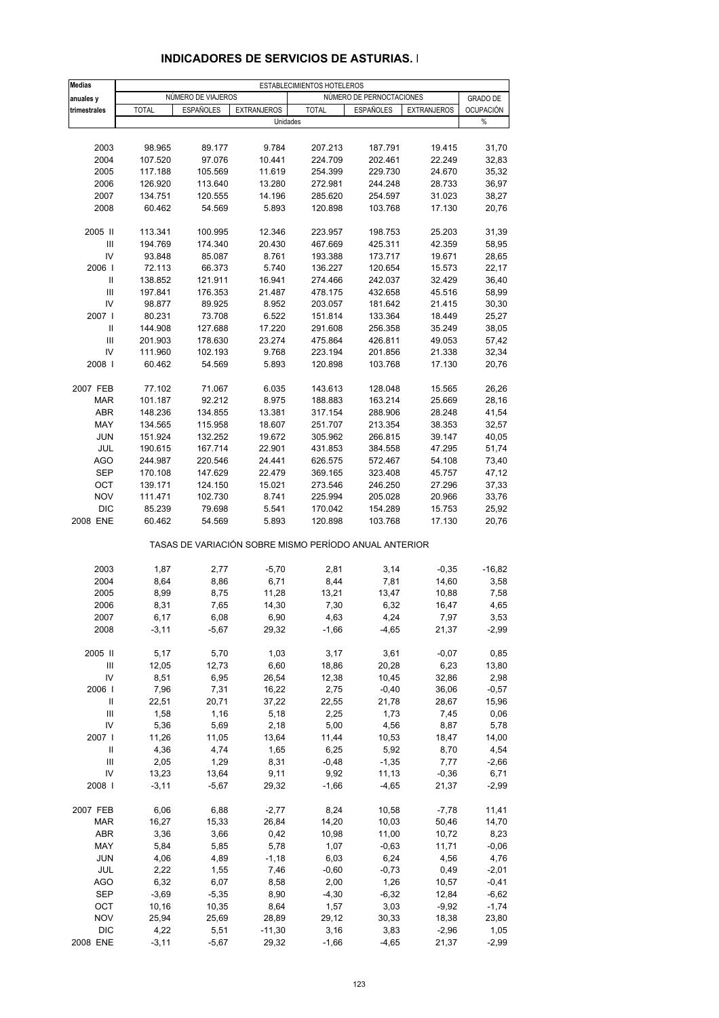| <b>Medias</b>                      |                   |                    |                                                       | ESTABLECIMIENTOS HOTELEROS |                          |                    |                  |  |
|------------------------------------|-------------------|--------------------|-------------------------------------------------------|----------------------------|--------------------------|--------------------|------------------|--|
| anuales y                          |                   | NÚMERO DE VIAJEROS |                                                       |                            | NÚMERO DE PERNOCTACIONES |                    | <b>GRADO DE</b>  |  |
| trimestrales                       | <b>TOTAL</b>      | <b>ESPAÑOLES</b>   | <b>EXTRANJEROS</b>                                    | <b>TOTAL</b>               | <b>ESPAÑOLES</b>         | <b>EXTRANJEROS</b> | <b>OCUPACIÓN</b> |  |
|                                    |                   |                    | Unidades                                              |                            |                          |                    | %                |  |
|                                    |                   |                    |                                                       |                            |                          |                    |                  |  |
| 2003                               | 98.965            | 89.177             | 9.784                                                 | 207.213                    | 187.791                  | 19.415             | 31,70            |  |
| 2004                               | 107.520           | 97.076             | 10.441                                                | 224.709                    | 202.461                  | 22.249             | 32,83            |  |
| 2005                               | 117.188           | 105.569            | 11.619                                                | 254.399                    | 229.730                  | 24.670             | 35,32            |  |
| 2006                               | 126.920           | 113.640            | 13.280                                                | 272.981                    | 244.248                  | 28.733             | 36,97            |  |
| 2007                               | 134.751           | 120.555            | 14.196                                                | 285.620                    | 254.597                  | 31.023             | 38,27            |  |
| 2008                               | 60.462            | 54.569             | 5.893                                                 | 120.898                    | 103.768                  | 17.130             | 20,76            |  |
| 2005 II                            | 113.341           | 100.995            | 12.346                                                | 223.957                    | 198.753                  | 25.203             | 31,39            |  |
| $\mathsf{III}\,$                   | 194.769           | 174.340            | 20.430                                                | 467.669                    | 425.311                  | 42.359             | 58,95            |  |
| IV                                 | 93.848            | 85.087             | 8.761                                                 | 193.388                    | 173.717                  | 19.671             | 28,65            |  |
| 2006                               | 72.113            | 66.373             | 5.740                                                 | 136.227                    | 120.654                  | 15.573             | 22,17            |  |
| Ш                                  | 138.852           | 121.911            | 16.941                                                | 274.466                    | 242.037                  | 32.429             | 36,40            |  |
| III                                | 197.841           | 176.353            | 21.487                                                | 478.175                    | 432.658                  | 45.516             | 58,99            |  |
| IV                                 | 98.877            | 89.925             | 8.952                                                 | 203.057                    | 181.642                  | 21.415             | 30,30            |  |
| 2007 l                             | 80.231            | 73.708             | 6.522                                                 | 151.814                    | 133.364                  | 18.449             | 25,27            |  |
| Ш                                  | 144.908           | 127.688            | 17.220                                                | 291.608                    | 256.358                  | 35.249             | 38,05            |  |
| III                                | 201.903           | 178.630            | 23.274                                                | 475.864                    | 426.811                  | 49.053             | 57,42            |  |
| IV                                 | 111.960           | 102.193            | 9.768                                                 | 223.194                    | 201.856                  | 21.338             | 32,34            |  |
| 2008                               | 60.462            | 54.569             | 5.893                                                 | 120.898                    | 103.768                  | 17.130             | 20,76            |  |
|                                    |                   |                    |                                                       |                            |                          |                    |                  |  |
| 2007 FEB<br><b>MAR</b>             | 77.102<br>101.187 | 71.067<br>92.212   | 6.035<br>8.975                                        | 143.613<br>188.883         | 128.048<br>163.214       | 15.565<br>25.669   | 26,26<br>28,16   |  |
| <b>ABR</b>                         | 148.236           | 134.855            | 13.381                                                | 317.154                    | 288.906                  | 28.248             | 41,54            |  |
| MAY                                | 134.565           | 115.958            | 18.607                                                | 251.707                    | 213.354                  | 38.353             | 32,57            |  |
| <b>JUN</b>                         | 151.924           | 132.252            | 19.672                                                | 305.962                    | 266.815                  | 39.147             | 40,05            |  |
| JUL                                | 190.615           | 167.714            | 22.901                                                | 431.853                    | 384.558                  | 47.295             | 51,74            |  |
| <b>AGO</b>                         | 244.987           | 220.546            | 24.441                                                | 626.575                    | 572.467                  | 54.108             | 73,40            |  |
| <b>SEP</b>                         | 170.108           | 147.629            | 22.479                                                | 369.165                    | 323.408                  | 45.757             | 47,12            |  |
| OCT                                | 139.171           | 124.150            | 15.021                                                | 273.546                    | 246.250                  | 27.296             | 37,33            |  |
| <b>NOV</b>                         | 111.471           | 102.730            | 8.741                                                 | 225.994                    | 205.028                  | 20.966             | 33,76            |  |
| <b>DIC</b>                         | 85.239            | 79.698             | 5.541                                                 | 170.042                    | 154.289                  | 15.753             | 25,92            |  |
| 2008 ENE                           | 60.462            | 54.569             | 5.893                                                 | 120.898                    | 103.768                  | 17.130             | 20,76            |  |
|                                    |                   |                    | TASAS DE VARIACIÓN SOBRE MISMO PERÍODO ANUAL ANTERIOR |                            |                          |                    |                  |  |
| 2003                               | 1,87              | 2,77               | $-5,70$                                               | 2,81                       | 3,14                     | $-0,35$            | $-16,82$         |  |
| 2004                               | 8,64              | 8,86               | 6,71                                                  | 8,44                       | 7,81                     | 14,60              | 3,58             |  |
| 2005                               | 8,99              | 8,75               | 11,28                                                 | 13,21                      | 13,47                    | 10,88              | 7,58             |  |
| 2006                               | 8,31              | 7,65               | 14,30                                                 | 7,30                       | 6,32                     | 16,47              | 4,65             |  |
| 2007                               | 6,17              | 6,08               | 6,90                                                  | 4,63                       | 4,24                     | 7,97               | 3,53             |  |
| 2008                               | $-3,11$           | $-5,67$            | 29,32                                                 | $-1,66$                    | $-4,65$                  | 21,37              | $-2,99$          |  |
|                                    |                   |                    |                                                       |                            |                          |                    |                  |  |
| 2005 II<br>Ш                       | 5,17<br>12,05     | 5,70<br>12,73      | 1,03<br>6,60                                          | 3,17<br>18,86              | 3,61<br>20,28            | $-0.07$<br>6,23    | 0,85<br>13,80    |  |
| IV                                 | 8,51              | 6,95               | 26,54                                                 | 12,38                      | 10,45                    | 32,86              | 2,98             |  |
| 2006                               | 7,96              | 7,31               | 16,22                                                 | 2,75                       | $-0,40$                  | 36,06              | $-0,57$          |  |
| Ш                                  | 22,51             | 20,71              | 37,22                                                 | 22,55                      | 21,78                    | 28,67              | 15,96            |  |
| $\ensuremath{\mathsf{III}}\xspace$ | 1,58              | 1,16               | 5,18                                                  | 2,25                       | 1,73                     | 7,45               | 0,06             |  |
| IV                                 | 5,36              | 5,69               | 2,18                                                  | 5,00                       | 4,56                     | 8,87               | 5,78             |  |
| 2007                               | 11,26             | 11,05              | 13,64                                                 | 11,44                      | 10,53                    | 18,47              | 14,00            |  |
| Ш                                  | 4,36              | 4,74               | 1,65                                                  | 6,25                       | 5,92                     | 8,70               | 4,54             |  |
| Ш                                  | 2,05              | 1,29               | 8,31                                                  | $-0,48$                    | $-1,35$                  | 7,77               | $-2,66$          |  |
| IV                                 | 13,23             | 13,64              | 9,11                                                  | 9,92                       | 11,13                    | $-0,36$            | 6,71             |  |
| 2008                               | $-3,11$           | $-5,67$            | 29,32                                                 | $-1,66$                    | $-4,65$                  | 21,37              | $-2,99$          |  |
| 2007 FEB                           | 6,06              | 6,88               | $-2,77$                                               | 8,24                       | 10,58                    | $-7,78$            | 11,41            |  |
| MAR                                | 16,27             | 15,33              | 26,84                                                 | 14,20                      | 10,03                    | 50,46              | 14,70            |  |
| <b>ABR</b>                         | 3,36              | 3,66               | 0,42                                                  | 10,98                      | 11,00                    | 10,72              | 8,23             |  |
| MAY                                | 5,84              | 5,85               | 5,78                                                  | 1,07                       | $-0,63$                  | 11,71              | $-0,06$          |  |
| <b>JUN</b>                         | 4,06              | 4,89               | $-1,18$                                               | 6,03                       | 6,24                     | 4,56               | 4,76             |  |
| JUL                                | 2,22              | 1,55               | 7,46                                                  | $-0,60$                    | $-0,73$                  | 0,49               | $-2,01$          |  |
| <b>AGO</b>                         | 6,32              | 6,07               | 8,58                                                  | 2,00                       | 1,26                     | 10,57              | $-0,41$          |  |
| SEP                                | $-3,69$           | $-5,35$            | 8,90                                                  | $-4,30$                    | $-6,32$                  | 12,84              | $-6,62$          |  |
| OCT                                | 10,16             | 10,35              | 8,64                                                  | 1,57                       | 3,03                     | $-9,92$            | $-1,74$          |  |
| <b>NOV</b>                         | 25,94             | 25,69              | 28,89                                                 | 29,12                      | 30,33                    | 18,38              | 23,80            |  |
| <b>DIC</b>                         | 4,22              | 5,51               | $-11,30$                                              | 3,16                       | 3,83                     | $-2,96$            | 1,05             |  |
| 2008 ENE                           | $-3,11$           | $-5,67$            | 29,32                                                 | $-1,66$                    | $-4,65$                  | 21,37              | $-2,99$          |  |

# **INDICADORES DE SERVICIOS DE ASTURIAS. I**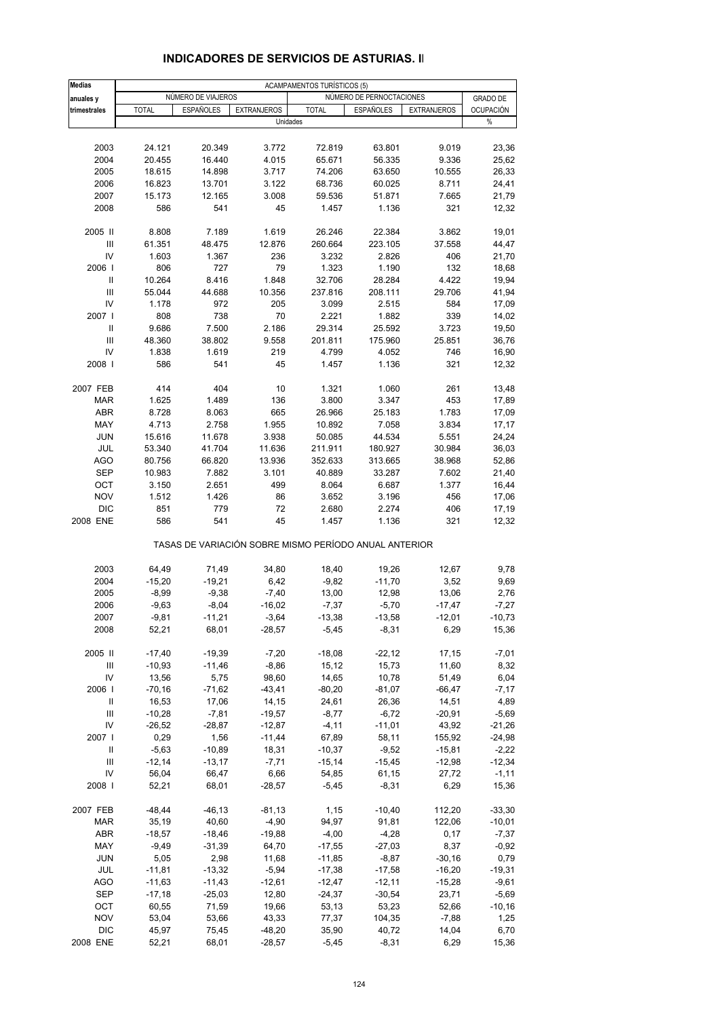| <b>Medias</b>                      | <b>ACAMPAMENTOS TURÍSTICOS (5)</b> |                                                       |                    |                |                          |                    |                  |  |
|------------------------------------|------------------------------------|-------------------------------------------------------|--------------------|----------------|--------------------------|--------------------|------------------|--|
| anuales y                          |                                    | NÚMERO DE VIAJEROS                                    |                    |                | NÚMERO DE PERNOCTACIONES |                    | <b>GRADO DE</b>  |  |
| trimestrales                       | <b>TOTAL</b>                       | <b>ESPAÑOLES</b>                                      | <b>EXTRANJEROS</b> | <b>TOTAL</b>   | <b>ESPAÑOLES</b>         | <b>EXTRANJEROS</b> | <b>OCUPACIÓN</b> |  |
|                                    |                                    |                                                       |                    | Unidades       |                          |                    | %                |  |
|                                    |                                    |                                                       |                    |                |                          |                    |                  |  |
| 2003                               | 24.121                             | 20.349                                                | 3.772              | 72.819         | 63.801                   | 9.019              | 23,36            |  |
| 2004                               | 20.455                             | 16.440                                                | 4.015              | 65.671         | 56.335                   | 9.336              | 25,62            |  |
| 2005                               | 18.615                             | 14.898                                                | 3.717              | 74.206         | 63.650                   | 10.555             | 26,33            |  |
| 2006                               | 16.823                             | 13.701                                                | 3.122              | 68.736         | 60.025                   | 8.711              | 24,41            |  |
| 2007                               | 15.173                             | 12.165                                                | 3.008              | 59.536         | 51.871                   | 7.665              | 21,79            |  |
| 2008                               | 586                                | 541                                                   | 45                 | 1.457          | 1.136                    | 321                | 12,32            |  |
|                                    |                                    |                                                       |                    |                |                          |                    |                  |  |
| 2005 II                            | 8.808                              | 7.189                                                 | 1.619              | 26.246         | 22.384                   | 3.862              | 19,01            |  |
| Ш                                  | 61.351                             | 48.475                                                | 12.876             | 260.664        | 223.105                  | 37.558             | 44,47            |  |
| IV                                 | 1.603                              | 1.367                                                 | 236                | 3.232          | 2.826                    | 406                | 21,70            |  |
| 2006                               | 806                                | 727                                                   | 79                 | 1.323          | 1.190                    | 132                | 18,68            |  |
| Ш                                  | 10.264                             | 8.416                                                 | 1.848              | 32.706         | 28.284                   | 4.422              | 19,94            |  |
| III                                | 55.044                             | 44.688                                                | 10.356             | 237.816        | 208.111                  | 29.706             | 41,94            |  |
| IV                                 | 1.178                              | 972                                                   | 205                | 3.099          | 2.515                    | 584                | 17,09            |  |
| 2007                               | 808                                | 738                                                   | 70                 | 2.221          | 1.882                    | 339                | 14,02            |  |
| $\mathsf{I}$                       | 9.686                              | 7.500                                                 | 2.186              | 29.314         | 25.592                   | 3.723              | 19,50            |  |
| $\mathbf{III}$                     | 48.360                             | 38.802                                                | 9.558              | 201.811        | 175.960                  | 25.851             | 36,76            |  |
| IV                                 | 1.838                              | 1.619                                                 | 219                | 4.799          | 4.052                    | 746                | 16,90            |  |
| 2008                               | 586                                | 541                                                   | 45                 | 1.457          | 1.136                    | 321                | 12,32            |  |
|                                    |                                    |                                                       |                    |                |                          |                    |                  |  |
| 2007 FEB                           | 414                                | 404                                                   | 10                 | 1.321          | 1.060                    | 261                | 13,48            |  |
| <b>MAR</b>                         | 1.625                              | 1.489                                                 | 136                | 3.800          | 3.347                    | 453                | 17,89            |  |
| <b>ABR</b>                         | 8.728                              | 8.063                                                 | 665                | 26.966         | 25.183                   | 1.783              | 17,09            |  |
| MAY                                | 4.713                              | 2.758                                                 | 1.955              | 10.892         | 7.058                    | 3.834              | 17,17            |  |
| <b>JUN</b>                         | 15.616                             | 11.678                                                | 3.938              | 50.085         | 44.534                   | 5.551              | 24,24            |  |
| JUL                                | 53.340                             | 41.704                                                | 11.636             | 211.911        | 180.927                  | 30.984             | 36,03            |  |
| <b>AGO</b>                         | 80.756                             | 66.820                                                | 13.936             | 352.633        | 313.665                  | 38.968             | 52,86            |  |
| <b>SEP</b>                         | 10.983                             | 7.882                                                 | 3.101              | 40.889         | 33.287                   | 7.602              | 21,40            |  |
| OCT                                | 3.150                              | 2.651                                                 | 499                | 8.064          | 6.687                    | 1.377              | 16,44            |  |
| <b>NOV</b><br><b>DIC</b>           | 1.512                              | 1.426                                                 | 86<br>72           | 3.652          | 3.196                    | 456                | 17,06            |  |
| 2008 ENE                           | 851<br>586                         | 779<br>541                                            | 45                 | 2.680<br>1.457 | 2.274<br>1.136           | 406<br>321         | 17,19<br>12,32   |  |
|                                    |                                    |                                                       |                    |                |                          |                    |                  |  |
|                                    |                                    | TASAS DE VARIACIÓN SOBRE MISMO PERÍODO ANUAL ANTERIOR |                    |                |                          |                    |                  |  |
| 2003                               | 64,49                              | 71,49                                                 | 34,80              | 18,40          | 19,26                    | 12,67              | 9,78             |  |
| 2004                               | $-15,20$                           | $-19,21$                                              | 6,42               | $-9,82$        | $-11,70$                 | 3,52               | 9,69             |  |
| 2005                               | $-8,99$                            | $-9,38$                                               | $-7,40$            | 13,00          | 12,98                    | 13,06              | 2,76             |  |
| 2006                               | $-9,63$                            | $-8,04$                                               | $-16,02$           | $-7,37$        | $-5,70$                  | $-17,47$           | $-7,27$          |  |
| 2007                               | $-9,81$                            | $-11,21$                                              | $-3,64$            | $-13,38$       | $-13,58$                 | $-12,01$           | $-10,73$         |  |
| 2008                               | 52,21                              | 68,01                                                 | $-28,57$           | $-5,45$        | $-8,31$                  | 6,29               | 15,36            |  |
|                                    |                                    |                                                       |                    |                |                          |                    |                  |  |
| 2005 II                            | $-17,40$                           | $-19,39$                                              | $-7,20$            | $-18,08$       | $-22,12$                 | 17,15              | $-7,01$          |  |
| Ш                                  | $-10,93$                           | $-11,46$                                              | $-8,86$            | 15, 12         | 15,73                    | 11,60              | 8,32             |  |
| IV                                 | 13,56                              | 5,75                                                  | 98,60              | 14,65          | 10,78                    | 51,49              | 6,04             |  |
| 2006                               | $-70,16$                           | $-71,62$                                              | $-43,41$           | $-80,20$       | $-81,07$                 | $-66,47$           | $-7,17$          |  |
| Ш                                  | 16,53                              | 17,06                                                 | 14,15              | 24,61          | 26,36                    | 14,51              | 4,89             |  |
| $\ensuremath{\mathsf{III}}\xspace$ | $-10,28$                           | $-7,81$                                               | $-19,57$           | $-8,77$        | $-6,72$                  | $-20,91$           | $-5,69$          |  |
| IV                                 | $-26,52$                           | $-28,87$                                              | $-12,87$           | $-4,11$        | $-11,01$                 | 43,92              | $-21,26$         |  |
| 2007                               | 0,29                               | 1,56                                                  | $-11,44$           | 67,89          | 58,11                    | 155,92             | $-24,98$         |  |
| Ш                                  | $-5,63$                            | $-10,89$                                              | 18,31              | $-10,37$       | $-9,52$                  | $-15,81$           | $-2,22$          |  |
| Ш                                  | $-12,14$                           | $-13,17$                                              | $-7,71$            | $-15,14$       | $-15,45$                 | $-12,98$           | $-12,34$         |  |
| IV                                 | 56,04                              | 66,47                                                 | 6,66               | 54,85          | 61,15                    | 27,72              | $-1,11$          |  |
| 2008                               | 52,21                              | 68,01                                                 | $-28,57$           | $-5,45$        | $-8,31$                  | 6,29               | 15,36            |  |
|                                    |                                    |                                                       |                    |                |                          |                    |                  |  |
| 2007 FEB                           | $-48,44$                           | $-46, 13$                                             | $-81,13$           | 1,15           | $-10,40$                 | 112,20             | $-33,30$         |  |
| <b>MAR</b>                         | 35,19                              | 40,60                                                 | $-4,90$            | 94,97          | 91,81                    | 122,06             | $-10,01$         |  |
| ABR                                | $-18,57$                           | $-18,46$                                              | $-19,88$           | $-4,00$        | $-4,28$                  | 0,17               | $-7,37$          |  |
| MAY                                | $-9,49$                            | $-31,39$                                              | 64,70              | $-17,55$       | $-27,03$                 | 8,37               | $-0,92$          |  |
| <b>JUN</b>                         | 5,05                               | 2,98                                                  | 11,68              | $-11,85$       | $-8,87$                  | $-30,16$           | 0,79             |  |
| JUL                                | $-11,81$                           | $-13,32$                                              | $-5,94$            | $-17,38$       | $-17,58$                 | $-16,20$           | $-19,31$         |  |
| AGO                                | $-11,63$                           | $-11,43$                                              | $-12,61$           | $-12,47$       | $-12,11$                 | $-15,28$           | $-9,61$          |  |
| <b>SEP</b>                         | $-17,18$                           | $-25,03$                                              | 12,80              | $-24,37$       | $-30,54$                 | 23,71              | $-5,69$          |  |
| OCT                                | 60,55                              | 71,59                                                 | 19,66              | 53,13          | 53,23                    | 52,66              | $-10,16$         |  |
| <b>NOV</b>                         | 53,04                              | 53,66                                                 | 43,33              | 77,37          | 104,35                   | $-7,88$            | 1,25             |  |
| <b>DIC</b>                         | 45,97                              | 75,45                                                 | $-48,20$           | 35,90          | 40,72                    | 14,04              | 6,70             |  |
| 2008 ENE                           | 52,21                              | 68,01                                                 | $-28,57$           | $-5,45$        | $-8,31$                  | 6,29               | 15,36            |  |

## **INDICADORES DE SERVICIOS DE ASTURIAS. II**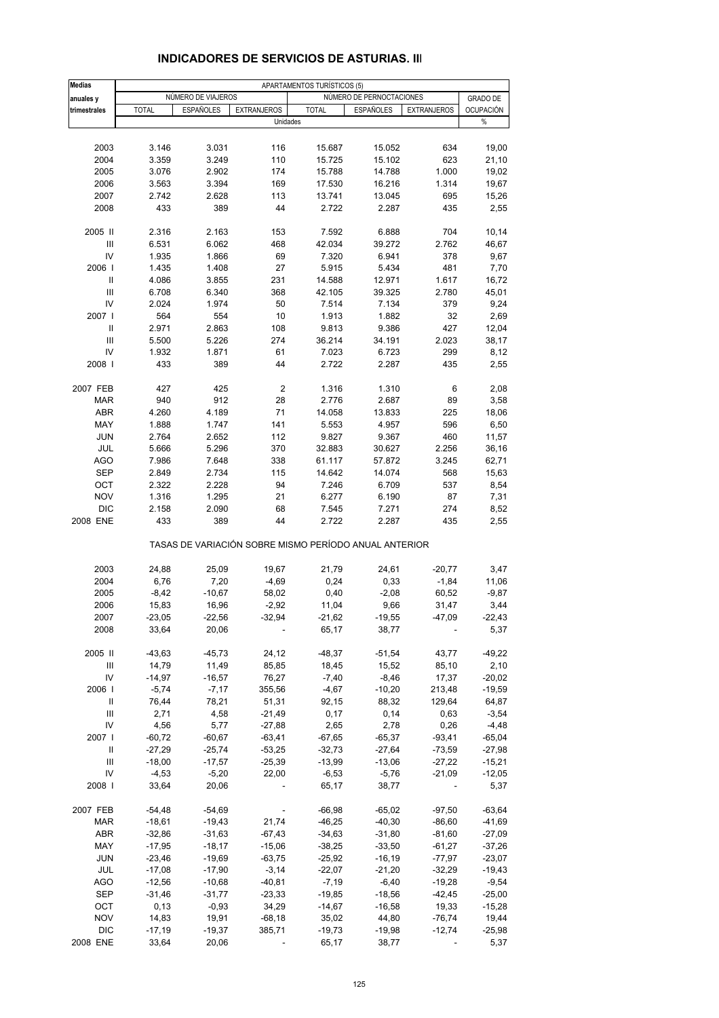| <b>Medias</b>                           | APARTAMENTOS TURÍSTICOS (5) |                    |                      |                                                       |                          |                          |                    |  |
|-----------------------------------------|-----------------------------|--------------------|----------------------|-------------------------------------------------------|--------------------------|--------------------------|--------------------|--|
| anuales y                               |                             | NÚMERO DE VIAJEROS |                      |                                                       | NÚMERO DE PERNOCTACIONES |                          | <b>GRADO DE</b>    |  |
| trimestrales                            | <b>TOTAL</b>                | <b>ESPAÑOLES</b>   | <b>EXTRANJEROS</b>   | <b>TOTAL</b>                                          | <b>ESPAÑOLES</b>         | <b>EXTRANJEROS</b>       | <b>OCUPACIÓN</b>   |  |
|                                         |                             |                    | Unidades             |                                                       |                          |                          | %                  |  |
|                                         |                             |                    |                      |                                                       |                          |                          |                    |  |
| 2003                                    | 3.146                       | 3.031              | 116                  | 15.687                                                | 15.052                   | 634                      | 19,00              |  |
| 2004                                    | 3.359                       | 3.249              | 110                  | 15.725                                                | 15.102                   | 623                      | 21,10              |  |
| 2005                                    | 3.076                       | 2.902              | 174                  | 15.788                                                | 14.788                   | 1.000                    | 19,02              |  |
| 2006                                    | 3.563                       | 3.394              | 169                  | 17.530                                                | 16.216                   | 1.314                    | 19,67              |  |
| 2007                                    | 2.742                       | 2.628              | 113                  | 13.741                                                | 13.045                   | 695                      | 15,26              |  |
| 2008                                    | 433                         | 389                | 44                   | 2.722                                                 | 2.287                    | 435                      | 2,55               |  |
|                                         |                             |                    |                      |                                                       |                          |                          |                    |  |
| 2005 II                                 | 2.316                       | 2.163              | 153                  | 7.592                                                 | 6.888                    | 704                      | 10,14              |  |
| Ш                                       | 6.531                       | 6.062              | 468                  | 42.034                                                | 39.272                   | 2.762                    | 46,67              |  |
| IV                                      | 1.935                       | 1.866              | 69                   | 7.320                                                 | 6.941                    | 378                      | 9,67               |  |
| 2006                                    | 1.435                       | 1.408              | 27                   | 5.915                                                 | 5.434                    | 481                      | 7,70               |  |
| Ш<br>III                                | 4.086                       | 3.855              | 231                  | 14.588                                                | 12.971                   | 1.617                    | 16,72              |  |
| IV                                      | 6.708<br>2.024              | 6.340<br>1.974     | 368<br>50            | 42.105<br>7.514                                       | 39.325<br>7.134          | 2.780<br>379             | 45,01<br>9,24      |  |
| 2007                                    | 564                         | 554                | 10                   | 1.913                                                 | 1.882                    | 32                       | 2,69               |  |
| $\mathbf{I}$                            | 2.971                       | 2.863              | 108                  | 9.813                                                 | 9.386                    | 427                      | 12,04              |  |
| III                                     | 5.500                       | 5.226              | 274                  | 36.214                                                | 34.191                   | 2.023                    | 38,17              |  |
| IV                                      | 1.932                       | 1.871              | 61                   | 7.023                                                 | 6.723                    | 299                      | 8,12               |  |
| 2008                                    | 433                         | 389                | 44                   | 2.722                                                 | 2.287                    | 435                      | 2,55               |  |
|                                         |                             |                    |                      |                                                       |                          |                          |                    |  |
| 2007 FEB                                | 427                         | 425                | $\boldsymbol{2}$     | 1.316                                                 | 1.310                    | 6                        | 2,08               |  |
| <b>MAR</b>                              | 940                         | 912                | 28                   | 2.776                                                 | 2.687                    | 89                       | 3,58               |  |
| <b>ABR</b>                              | 4.260                       | 4.189              | 71                   | 14.058                                                | 13.833                   | 225                      | 18,06              |  |
| MAY                                     | 1.888                       | 1.747              | 141                  | 5.553                                                 | 4.957                    | 596                      | 6,50               |  |
| <b>JUN</b>                              | 2.764                       | 2.652              | 112                  | 9.827                                                 | 9.367                    | 460                      | 11,57              |  |
| JUL                                     | 5.666                       | 5.296              | 370                  | 32.883                                                | 30.627                   | 2.256                    | 36,16              |  |
| <b>AGO</b>                              | 7.986                       | 7.648              | 338                  | 61.117                                                | 57.872                   | 3.245                    | 62,71              |  |
| <b>SEP</b>                              | 2.849                       | 2.734              | 115                  | 14.642                                                | 14.074                   | 568                      | 15,63              |  |
| OCT                                     | 2.322                       | 2.228              | 94                   | 7.246                                                 | 6.709                    | 537                      | 8,54               |  |
| <b>NOV</b>                              | 1.316                       | 1.295              | 21                   | 6.277                                                 | 6.190                    | 87                       | 7,31               |  |
| <b>DIC</b>                              | 2.158                       | 2.090              | 68                   | 7.545                                                 | 7.271                    | 274                      | 8,52               |  |
| 2008 ENE                                | 433                         | 389                | 44                   | 2.722                                                 | 2.287                    | 435                      | 2,55               |  |
|                                         |                             |                    |                      | TASAS DE VARIACIÓN SOBRE MISMO PERÍODO ANUAL ANTERIOR |                          |                          |                    |  |
| 2003                                    | 24,88                       | 25,09              | 19,67                | 21,79                                                 | 24,61                    | $-20,77$                 | 3,47               |  |
| 2004                                    | 6,76                        | 7,20               | $-4,69$              | 0,24                                                  | 0,33                     | $-1,84$                  | 11,06              |  |
| 2005                                    | $-8,42$                     | $-10,67$           | 58,02                | 0,40                                                  | $-2,08$                  | 60,52                    | $-9,87$            |  |
| 2006                                    | 15,83                       | 16,96              | $-2,92$              | 11,04                                                 | 9,66                     | 31,47                    | 3,44               |  |
| 2007                                    | $-23,05$                    | $-22,56$           | $-32,94$             | $-21,62$                                              | $-19,55$                 | 47,09                    | $-22,43$           |  |
| 2008                                    | 33,64                       | 20,06              |                      | 65,17                                                 | 38,77                    |                          | 5,37               |  |
|                                         |                             |                    |                      |                                                       |                          |                          |                    |  |
| 2005 II                                 | $-43,63$                    | $-45,73$           | 24,12                | $-48,37$                                              | $-51,54$                 | 43,77                    | $-49,22$           |  |
| Ш                                       | 14,79                       | 11,49              | 85,85                | 18,45                                                 | 15,52                    | 85,10                    | 2,10               |  |
| IV                                      | $-14,97$                    | $-16,57$           | 76,27                | $-7,40$                                               | $-8,46$                  | 17,37                    | $-20,02$           |  |
| 2006                                    | $-5,74$                     | $-7,17$            | 355,56               | $-4,67$                                               | $-10,20$                 | 213,48                   | $-19,59$           |  |
| Ш<br>$\ensuremath{\mathsf{III}}\xspace$ | 76,44                       | 78,21              | 51,31                | 92,15                                                 | 88,32                    | 129,64                   | 64,87              |  |
| IV                                      | 2,71<br>4,56                | 4,58<br>5,77       | $-21,49$<br>$-27,88$ | 0,17<br>2,65                                          | 0,14<br>2,78             | 0,63<br>0,26             | $-3,54$<br>$-4,48$ |  |
| 2007 l                                  | $-60,72$                    | $-60,67$           | $-63,41$             | $-67,65$                                              | $-65,37$                 | $-93,41$                 | $-65,04$           |  |
| Ш                                       | $-27,29$                    | $-25,74$           | $-53,25$             | $-32,73$                                              | $-27,64$                 | $-73,59$                 | $-27,98$           |  |
| III                                     | $-18,00$                    | $-17,57$           | $-25,39$             | $-13,99$                                              | $-13,06$                 | $-27,22$                 | $-15,21$           |  |
| IV                                      | $-4,53$                     | $-5,20$            | 22,00                | $-6,53$                                               | $-5,76$                  | $-21,09$                 | $-12,05$           |  |
| 2008                                    | 33,64                       | 20,06              |                      | 65,17                                                 | 38,77                    | $\overline{\phantom{a}}$ | 5,37               |  |
|                                         |                             |                    |                      |                                                       |                          |                          |                    |  |
| 2007 FEB                                | $-54,48$                    | $-54,69$           |                      | $-66,98$                                              | $-65,02$                 | $-97,50$                 | $-63,64$           |  |
| <b>MAR</b>                              | $-18,61$                    | $-19,43$           | 21,74                | $-46,25$                                              | $-40,30$                 | $-86,60$                 | $-41,69$           |  |
| <b>ABR</b>                              | $-32,86$                    | $-31,63$           | $-67,43$             | $-34,63$                                              | $-31,80$                 | $-81,60$                 | $-27,09$           |  |
| MAY                                     | $-17,95$                    | $-18,17$           | $-15,06$             | $-38,25$                                              | $-33,50$                 | $-61,27$                 | $-37,26$           |  |
| <b>JUN</b>                              | $-23,46$                    | $-19,69$           | $-63,75$             | $-25,92$                                              | $-16,19$                 | $-77,97$                 | $-23,07$           |  |
| JUL                                     | $-17,08$                    | $-17,90$           | $-3,14$              | $-22,07$                                              | $-21,20$                 | $-32,29$                 | $-19,43$           |  |
| AGO                                     | $-12,56$                    | $-10,68$           | $-40,81$             | $-7,19$                                               | $-6,40$                  | $-19,28$                 | $-9,54$            |  |
| SEP                                     | $-31,46$                    | $-31,77$           | $-23,33$             | $-19,85$                                              | $-18,56$                 | $-42,45$                 | $-25,00$           |  |
| OCT                                     | 0,13                        | $-0,93$            | 34,29                | $-14,67$                                              | $-16,58$                 | 19,33                    | $-15,28$           |  |
| <b>NOV</b>                              | 14,83                       | 19,91              | $-68,18$             | 35,02                                                 | 44,80                    | $-76,74$                 | 19,44              |  |
| <b>DIC</b>                              | $-17,19$                    | $-19,37$           | 385,71               | $-19,73$                                              | $-19,98$                 | $-12,74$                 | $-25,98$           |  |
| 2008 ENE                                | 33,64                       | 20,06              |                      | 65,17                                                 | 38,77                    | ÷                        | 5,37               |  |

### **INDICADORES DE SERVICIOS DE ASTURIAS. III**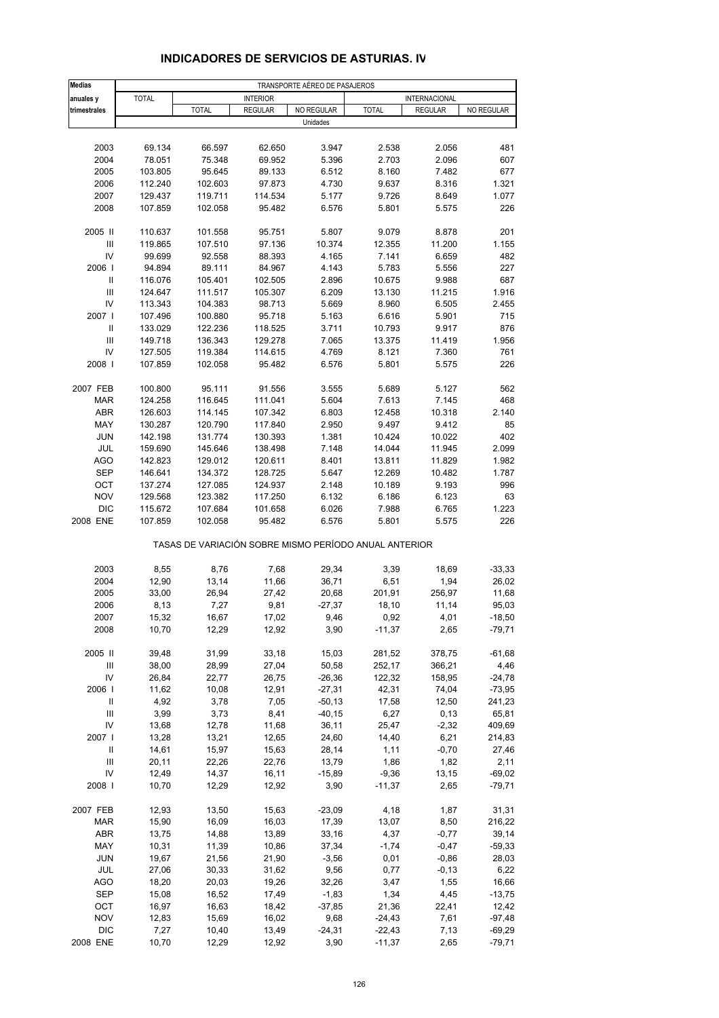| <b>Medias</b>                           | TRANSPORTE AÉREO DE PASAJEROS |                                                       |                   |                  |                      |                 |                    |  |
|-----------------------------------------|-------------------------------|-------------------------------------------------------|-------------------|------------------|----------------------|-----------------|--------------------|--|
| anuales y                               | <b>TOTAL</b>                  |                                                       | <b>INTERIOR</b>   |                  |                      | INTERNACIONAL   |                    |  |
| trimestrales                            |                               | <b>TOTAL</b>                                          | <b>REGULAR</b>    | NO REGULAR       | <b>TOTAL</b>         | <b>REGULAR</b>  | NO REGULAR         |  |
|                                         |                               |                                                       |                   | Unidades         |                      |                 |                    |  |
| 2003                                    | 69.134                        | 66.597                                                | 62.650            | 3.947            | 2.538                | 2.056           | 481                |  |
| 2004                                    | 78.051                        | 75.348                                                | 69.952            | 5.396            | 2.703                | 2.096           | 607                |  |
| 2005                                    | 103.805                       | 95.645                                                | 89.133            | 6.512            | 8.160                | 7.482           | 677                |  |
| 2006                                    | 112.240                       | 102.603                                               | 97.873            | 4.730            | 9.637                | 8.316           | 1.321              |  |
| 2007                                    | 129.437                       | 119.711                                               | 114.534           | 5.177            | 9.726                | 8.649           | 1.077              |  |
| 2008                                    | 107.859                       | 102.058                                               | 95.482            | 6.576            | 5.801                | 5.575           | 226                |  |
| 2005 II                                 | 110.637                       | 101.558                                               | 95.751            | 5.807            | 9.079                | 8.878           | 201                |  |
| III                                     | 119.865                       | 107.510                                               | 97.136            | 10.374           | 12.355               | 11.200          | 1.155              |  |
| IV                                      | 99.699                        | 92.558                                                | 88.393            | 4.165            | 7.141                | 6.659           | 482                |  |
| 2006                                    | 94.894                        | 89.111                                                | 84.967            | 4.143            | 5.783                | 5.556           | 227                |  |
| $\sf II$                                | 116.076                       | 105.401                                               | 102.505           | 2.896            | 10.675               | 9.988           | 687                |  |
| $\ensuremath{\mathsf{III}}\xspace$      | 124.647                       | 111.517                                               | 105.307           | 6.209            | 13.130               | 11.215          | 1.916              |  |
| IV<br>2007 l                            | 113.343<br>107.496            | 104.383<br>100.880                                    | 98.713<br>95.718  | 5.669<br>5.163   | 8.960<br>6.616       | 6.505<br>5.901  | 2.455<br>715       |  |
| Ш                                       | 133.029                       | 122.236                                               | 118.525           | 3.711            | 10.793               | 9.917           | 876                |  |
| III                                     | 149.718                       | 136.343                                               | 129.278           | 7.065            | 13.375               | 11.419          | 1.956              |  |
| IV                                      | 127.505                       | 119.384                                               | 114.615           | 4.769            | 8.121                | 7.360           | 761                |  |
| 2008                                    | 107.859                       | 102.058                                               | 95.482            | 6.576            | 5.801                | 5.575           | 226                |  |
| 2007 FEB                                | 100.800                       | 95.111                                                | 91.556            | 3.555            | 5.689                | 5.127           | 562                |  |
| <b>MAR</b>                              | 124.258                       | 116.645                                               | 111.041           | 5.604            | 7.613                | 7.145           | 468                |  |
| <b>ABR</b>                              | 126.603                       | 114.145                                               | 107.342           | 6.803            | 12.458               | 10.318          | 2.140              |  |
| MAY                                     | 130.287                       | 120.790                                               | 117.840           | 2.950            | 9.497                | 9.412           | 85                 |  |
| <b>JUN</b>                              | 142.198                       | 131.774                                               | 130.393           | 1.381            | 10.424               | 10.022          | 402                |  |
| JUL                                     | 159.690                       | 145.646                                               | 138.498           | 7.148            | 14.044               | 11.945          | 2.099              |  |
| <b>AGO</b>                              | 142.823                       | 129.012                                               | 120.611           | 8.401            | 13.811               | 11.829          | 1.982              |  |
| <b>SEP</b>                              | 146.641                       | 134.372                                               | 128.725           | 5.647            | 12.269               | 10.482          | 1.787              |  |
| OCT                                     | 137.274                       | 127.085                                               | 124.937           | 2.148            | 10.189               | 9.193           | 996                |  |
| <b>NOV</b>                              | 129.568                       | 123.382                                               | 117.250           | 6.132            | 6.186                | 6.123           | 63                 |  |
| <b>DIC</b><br>2008 ENE                  | 115.672<br>107.859            | 107.684<br>102.058                                    | 101.658<br>95.482 | 6.026<br>6.576   | 7.988<br>5.801       | 6.765<br>5.575  | 1.223<br>226       |  |
|                                         |                               | TASAS DE VARIACIÓN SOBRE MISMO PERÍODO ANUAL ANTERIOR |                   |                  |                      |                 |                    |  |
| 2003                                    | 8,55                          | 8,76                                                  | 7,68              | 29,34            | 3,39                 | 18,69           | $-33,33$           |  |
| 2004                                    | 12,90                         | 13,14                                                 | 11,66             | 36,71            | 6,51                 | 1,94            | 26,02              |  |
| 2005                                    | 33,00                         | 26,94                                                 | 27,42             | 20,68            | 201,91               | 256,97          | 11,68              |  |
| 2006                                    | 8,13                          | 7,27                                                  | 9,81              | $-27,37$         | 18,10                | 11,14           | 95,03              |  |
| 2007                                    | 15,32                         | 16,67                                                 | 17,02             | 9,46             | 0,92                 | 4,01            | $-18,50$           |  |
| 2008                                    | 10,70                         | 12,29                                                 | 12,92             | 3,90             | $-11,37$             | 2,65            | $-79,71$           |  |
| 2005 II                                 | 39,48                         | 31,99                                                 | 33,18             | 15,03            | 281,52               | 378,75          | $-61,68$           |  |
| Ш                                       | 38,00                         | 28,99                                                 | 27,04             | 50,58            | 252,17               | 366,21          | 4,46               |  |
| IV                                      | 26,84                         | 22,77                                                 | 26,75             | $-26,36$         | 122,32               | 158,95          | $-24,78$           |  |
| 2006                                    | 11,62                         | 10,08                                                 | 12,91             | $-27,31$         | 42,31                | 74,04           | $-73,95$           |  |
| Ш                                       | 4,92                          | 3,78                                                  | 7,05              | $-50, 13$        | 17,58                | 12,50           | 241,23             |  |
| Ш                                       | 3,99                          | 3,73                                                  | 8,41              | $-40, 15$        | 6,27                 | 0, 13           | 65,81              |  |
| IV                                      | 13,68                         | 12,78                                                 | 11,68             | 36,11            | 25,47                | $-2,32$         | 409,69             |  |
| 2007 l                                  | 13,28                         | 13,21                                                 | 12,65             | 24,60            | 14,40                | 6,21            | 214,83             |  |
| Ш<br>$\ensuremath{\mathsf{III}}\xspace$ | 14,61<br>20,11                | 15,97<br>22,26                                        | 15,63<br>22,76    | 28,14<br>13,79   | 1,11<br>1,86         | $-0,70$<br>1,82 | 27,46<br>2,11      |  |
| IV                                      | 12,49                         | 14,37                                                 | 16,11             | $-15,89$         | $-9,36$              | 13,15           | $-69,02$           |  |
| 2008                                    | 10,70                         | 12,29                                                 | 12,92             | 3,90             | $-11,37$             | 2,65            | $-79,71$           |  |
| 2007 FEB                                | 12,93                         | 13,50                                                 | 15,63             | $-23,09$         | 4,18                 | 1,87            | 31,31              |  |
| MAR                                     | 15,90                         | 16,09                                                 | 16,03             | 17,39            | 13,07                | 8,50            | 216,22             |  |
| <b>ABR</b>                              | 13,75                         | 14,88                                                 | 13,89             | 33,16            | 4,37                 | $-0,77$         | 39,14              |  |
| MAY                                     | 10,31                         | 11,39                                                 | 10,86             | 37,34            | $-1,74$              | $-0,47$         | $-59,33$           |  |
| <b>JUN</b>                              | 19,67                         | 21,56                                                 | 21,90             | $-3,56$          | 0,01                 | $-0,86$         | 28,03              |  |
| JUL                                     | 27,06                         | 30,33                                                 | 31,62             | 9,56             | 0,77                 | $-0, 13$        | 6,22               |  |
| <b>AGO</b>                              | 18,20                         | 20,03                                                 | 19,26             | 32,26            | 3,47                 | 1,55            | 16,66              |  |
| <b>SEP</b>                              | 15,08                         | 16,52                                                 | 17,49             | $-1,83$          | 1,34                 | 4,45            | $-13,75$           |  |
| OCT                                     | 16,97                         | 16,63                                                 | 18,42             | $-37,85$         | 21,36                | 22,41           | 12,42              |  |
| <b>NOV</b><br><b>DIC</b>                | 12,83                         | 15,69                                                 | 16,02             | 9,68             | $-24,43$             | 7,61            | $-97,48$           |  |
| 2008 ENE                                | 7,27<br>10,70                 | 10,40<br>12,29                                        | 13,49<br>12,92    | $-24,31$<br>3,90 | $-22,43$<br>$-11,37$ | 7,13<br>2,65    | -69,29<br>$-79,71$ |  |
|                                         |                               |                                                       |                   |                  |                      |                 |                    |  |

#### **INDICADORES DE SERVICIOS DE ASTURIAS. IV**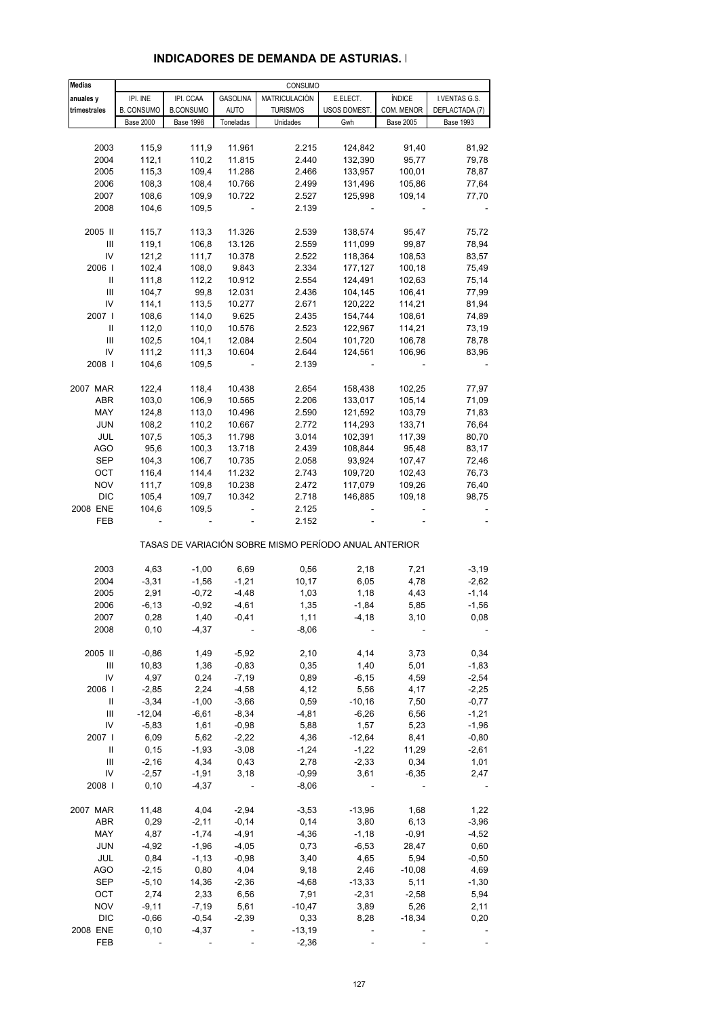| <b>Medias</b>                      |                          |                  |                 | CONSUMO                                               |              |                  |                  |
|------------------------------------|--------------------------|------------------|-----------------|-------------------------------------------------------|--------------|------------------|------------------|
| anuales y                          | IPI. INE                 | IPI. CCAA        | <b>GASOLINA</b> | MATRICULACIÓN                                         | E.ELECT.     | <b>ÍNDICE</b>    | I.VENTAS G.S.    |
| trimestrales                       | <b>B. CONSUMO</b>        | <b>B.CONSUMO</b> | <b>AUTO</b>     | <b>TURISMOS</b>                                       | USOS DOMEST. | COM. MENOR       | DEFLACTADA (7)   |
|                                    | <b>Base 2000</b>         | <b>Base 1998</b> | Toneladas       | Unidades                                              | Gwh          | <b>Base 2005</b> | <b>Base 1993</b> |
|                                    |                          |                  |                 |                                                       |              |                  |                  |
| 2003                               | 115,9                    | 111,9            | 11.961          | 2.215                                                 | 124,842      | 91,40            | 81,92            |
| 2004                               | 112,1                    | 110,2            | 11.815          | 2.440                                                 | 132,390      | 95,77            | 79,78            |
| 2005                               | 115,3                    | 109,4            | 11.286          | 2.466                                                 | 133,957      | 100,01           | 78,87            |
| 2006                               | 108,3                    | 108,4            | 10.766          | 2.499                                                 | 131,496      | 105,86           | 77,64            |
| 2007                               | 108,6                    | 109,9            | 10.722          | 2.527                                                 | 125,998      | 109,14           | 77,70            |
|                                    |                          |                  |                 |                                                       |              |                  |                  |
| 2008                               | 104,6                    | 109,5            |                 | 2.139                                                 |              |                  |                  |
| 2005 II                            | 115,7                    | 113,3            | 11.326          | 2.539                                                 | 138,574      | 95,47            | 75,72            |
|                                    |                          |                  | 13.126          |                                                       |              |                  |                  |
| Ш                                  | 119,1                    | 106,8            |                 | 2.559                                                 | 111,099      | 99,87            | 78,94            |
| IV                                 | 121,2                    | 111,7            | 10.378          | 2.522                                                 | 118,364      | 108,53           | 83,57            |
| 2006                               | 102,4                    | 108,0            | 9.843           | 2.334                                                 | 177,127      | 100,18           | 75,49            |
| Ш                                  | 111,8                    | 112,2            | 10.912          | 2.554                                                 | 124,491      | 102,63           | 75,14            |
| Ш                                  | 104,7                    | 99,8             | 12.031          | 2.436                                                 | 104,145      | 106,41           | 77,99            |
| IV                                 | 114,1                    | 113,5            | 10.277          | 2.671                                                 | 120,222      | 114,21           | 81,94            |
| 2007 l                             | 108,6                    | 114,0            | 9.625           | 2.435                                                 | 154,744      | 108,61           | 74,89            |
| $\ensuremath{\mathsf{II}}$         | 112,0                    | 110,0            | 10.576          | 2.523                                                 | 122,967      | 114,21           | 73,19            |
| $\ensuremath{\mathsf{III}}\xspace$ | 102,5                    | 104,1            | 12.084          | 2.504                                                 | 101,720      | 106,78           | 78,78            |
| IV                                 | 111,2                    | 111,3            | 10.604          | 2.644                                                 | 124,561      | 106,96           | 83,96            |
| 2008                               | 104,6                    | 109,5            |                 | 2.139                                                 |              |                  |                  |
|                                    |                          |                  |                 |                                                       |              |                  |                  |
| 2007 MAR                           | 122,4                    | 118,4            | 10.438          | 2.654                                                 | 158,438      | 102,25           | 77,97            |
| ABR                                | 103,0                    | 106,9            | 10.565          | 2.206                                                 | 133,017      | 105,14           | 71,09            |
| MAY                                | 124,8                    | 113,0            | 10.496          | 2.590                                                 | 121,592      | 103,79           | 71,83            |
| <b>JUN</b>                         | 108,2                    | 110,2            | 10.667          | 2.772                                                 | 114,293      | 133,71           | 76,64            |
| JUL                                | 107,5                    | 105,3            | 11.798          | 3.014                                                 | 102,391      | 117,39           | 80,70            |
| AGO                                | 95,6                     | 100,3            | 13.718          | 2.439                                                 | 108,844      | 95,48            | 83,17            |
| SEP                                | 104,3                    | 106,7            | 10.735          | 2.058                                                 | 93,924       | 107,47           | 72,46            |
| OCT                                | 116,4                    | 114,4            | 11.232          | 2.743                                                 | 109,720      | 102,43           | 76,73            |
| <b>NOV</b>                         | 111,7                    | 109,8            | 10.238          | 2.472                                                 | 117,079      | 109,26           | 76,40            |
| <b>DIC</b>                         | 105,4                    | 109,7            | 10.342          | 2.718                                                 | 146,885      | 109,18           | 98,75            |
| 2008 ENE                           | 104,6                    | 109,5            |                 | 2.125                                                 |              |                  |                  |
| FEB                                | $\overline{\phantom{a}}$ |                  |                 | 2.152                                                 |              |                  |                  |
|                                    |                          |                  |                 | TASAS DE VARIACIÓN SOBRE MISMO PERÍODO ANUAL ANTERIOR |              |                  |                  |
|                                    |                          |                  |                 |                                                       |              |                  |                  |
| 2003                               | 4,63                     | $-1,00$          | 6,69            | 0,56                                                  | 2,18         | 7,21             | $-3,19$          |
| 2004                               | $-3,31$                  | $-1,56$          | $-1,21$         | 10,17                                                 | 6,05         | 4,78             | $-2,62$          |
| 2005                               | 2,91                     | $-0,72$          | $-4,48$         | 1,03                                                  | 1,18         | 4,43             | $-1,14$          |
| 2006                               | $-6, 13$                 | $-0,92$          | $-4,61$         | 1,35                                                  | $-1,84$      | 5,85             | $-1,56$          |
| 2007                               | 0,28                     | 1,40             | $-0,41$         | 1,11                                                  | $-4, 18$     | 3,10             | 0,08             |
| 2008                               | 0, 10                    | $-4,37$          |                 | -8,06                                                 |              |                  |                  |
|                                    |                          |                  |                 |                                                       |              |                  |                  |
| 2005 II                            | $-0,86$                  | 1,49             | $-5,92$         | 2,10                                                  | 4,14         | 3,73             | 0,34             |
| Ш                                  | 10,83                    | 1,36             | $-0,83$         | 0,35                                                  | 1,40         | 5,01             | $-1,83$          |
| IV                                 | 4,97                     | 0,24             | $-7,19$         | 0,89                                                  | $-6, 15$     | 4,59             | $-2,54$          |
| 2006                               | $-2,85$                  | 2,24             | $-4,58$         | 4,12                                                  | 5,56         | 4,17             | $-2,25$          |
| Ш                                  | $-3,34$                  | $-1,00$          | $-3,66$         | 0,59                                                  | $-10,16$     | 7,50             | $-0,77$          |
| Ш                                  | $-12,04$                 | $-6,61$          | $-8,34$         | $-4,81$                                               | $-6,26$      | 6,56             | $-1,21$          |
| IV                                 | $-5,83$                  | 1,61             | $-0,98$         | 5,88                                                  | 1,57         | 5,23             | $-1,96$          |
| 2007                               | 6,09                     | 5,62             | $-2,22$         | 4,36                                                  | $-12,64$     | 8,41             | $-0,80$          |
| Ш                                  | 0, 15                    | $-1,93$          | $-3,08$         | $-1,24$                                               | $-1,22$      | 11,29            | $-2,61$          |
| Ш                                  | $-2,16$                  | 4,34             | 0,43            | 2,78                                                  | $-2,33$      | 0,34             | 1,01             |
| IV                                 | $-2,57$                  | $-1,91$          | 3,18            | $-0,99$                                               | 3,61         | $-6,35$          | 2,47             |
| 2008                               | 0, 10                    | $-4,37$          | $\overline{a}$  | $-8,06$                                               |              |                  |                  |
|                                    |                          |                  |                 |                                                       |              |                  |                  |
| 2007 MAR                           | 11,48                    | 4,04             | $-2,94$         | $-3,53$                                               | $-13,96$     | 1,68             | 1,22             |
| ABR                                | 0,29                     | $-2,11$          | $-0,14$         | 0,14                                                  | 3,80         | 6,13             | $-3,96$          |
| MAY                                | 4,87                     | $-1,74$          | $-4,91$         | $-4,36$                                               | $-1,18$      | $-0,91$          | $-4,52$          |
| <b>JUN</b>                         | $-4,92$                  | $-1,96$          | $-4,05$         | 0,73                                                  | $-6,53$      | 28,47            | 0,60             |
| JUL                                | 0,84                     | $-1, 13$         | $-0,98$         | 3,40                                                  | 4,65         | 5,94             | $-0,50$          |
| AGO                                | $-2,15$                  | 0,80             | 4,04            | 9,18                                                  | 2,46         | $-10,08$         | 4,69             |
| <b>SEP</b>                         | $-5,10$                  | 14,36            | $-2,36$         | $-4,68$                                               | $-13,33$     | 5,11             | $-1,30$          |
| OCT                                | 2,74                     | 2,33             | 6,56            | 7,91                                                  | $-2,31$      | $-2,58$          | 5,94             |
| <b>NOV</b>                         | $-9,11$                  | $-7,19$          | 5,61            | $-10,47$                                              | 3,89         | 5,26             | 2,11             |
| <b>DIC</b>                         | $-0,66$                  | $-0,54$          | $-2,39$         | 0,33                                                  | 8,28         | $-18,34$         | 0,20             |
| 2008 ENE                           | 0, 10                    | $-4,37$          |                 | $-13,19$                                              |              |                  |                  |
| FEB                                |                          |                  |                 | $-2,36$                                               |              |                  |                  |

### **INDICADORES DE DEMANDA DE ASTURIAS. I**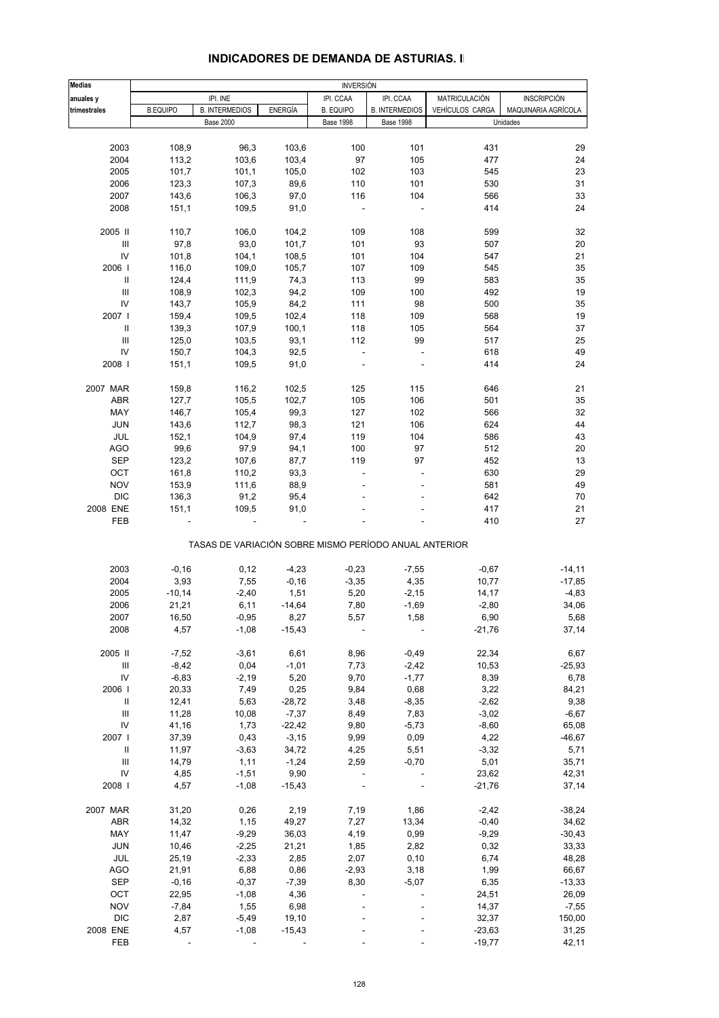| <b>Medias</b>                      |                          |                       |          | <b>INVERSIÓN</b> |                                                       |                      |                     |  |  |
|------------------------------------|--------------------------|-----------------------|----------|------------------|-------------------------------------------------------|----------------------|---------------------|--|--|
| anuales y                          |                          | IPI. INE              |          | IPI. CCAA        | IPI. CCAA                                             | <b>MATRICULACIÓN</b> | <b>INSCRIPCIÓN</b>  |  |  |
| trimestrales                       | <b>B.EQUIPO</b>          | <b>B. INTERMEDIOS</b> | ENERGÍA  | <b>B. EQUIPO</b> | <b>B. INTERMEDIOS</b>                                 | VEHÍCULOS CARGA      | MAQUINARIA AGRÍCOLA |  |  |
|                                    |                          | <b>Base 2000</b>      |          | <b>Base 1998</b> | <b>Base 1998</b>                                      |                      | Unidades            |  |  |
|                                    |                          |                       |          |                  |                                                       |                      |                     |  |  |
| 2003                               | 108,9                    | 96,3                  | 103,6    | 100              | 101                                                   | 431                  | 29                  |  |  |
| 2004                               | 113,2                    | 103,6                 | 103,4    | 97               | 105                                                   | 477                  | 24                  |  |  |
| 2005                               | 101,7                    | 101,1                 | 105,0    | 102              | 103                                                   | 545                  | 23                  |  |  |
| 2006                               | 123,3                    | 107,3                 | 89,6     | 110              | 101                                                   | 530                  | 31                  |  |  |
| 2007                               | 143,6                    | 106,3                 | 97,0     | 116              | 104                                                   | 566                  | 33                  |  |  |
| 2008                               | 151,1                    | 109,5                 | 91,0     |                  |                                                       | 414                  | 24                  |  |  |
|                                    |                          |                       |          |                  |                                                       |                      |                     |  |  |
| 2005 II                            | 110,7                    | 106,0                 | 104,2    | 109              | 108                                                   | 599                  | 32                  |  |  |
| Ш                                  | 97,8                     | 93,0                  | 101,7    | 101              | 93                                                    | 507                  | 20                  |  |  |
| IV                                 | 101,8                    | 104,1                 | 108,5    | 101              | 104                                                   | 547                  | 21                  |  |  |
| 2006                               | 116,0                    | 109,0                 | 105,7    | 107              | 109                                                   | 545                  | 35                  |  |  |
| Ш                                  | 124,4                    | 111,9                 | 74,3     | 113              | 99                                                    | 583                  | 35                  |  |  |
| III                                | 108,9                    | 102,3                 | 94,2     | 109              | 100                                                   | 492                  | 19                  |  |  |
| IV                                 | 143,7                    | 105,9                 | 84,2     | 111              | 98                                                    | 500                  | 35                  |  |  |
| 2007 l                             | 159,4                    | 109,5                 | 102,4    | 118              | 109                                                   | 568                  | 19                  |  |  |
| $\mathbf{II}$                      | 139,3                    | 107,9                 | 100,1    | 118              | 105                                                   | 564                  | 37                  |  |  |
| III                                | 125,0                    | 103,5                 | 93,1     | 112              | 99                                                    | 517                  | 25                  |  |  |
| IV                                 | 150,7                    | 104,3                 | 92,5     | ÷.               |                                                       | 618                  | 49                  |  |  |
| 2008                               | 151,1                    | 109,5                 | 91,0     |                  |                                                       | 414                  | 24                  |  |  |
|                                    |                          |                       |          |                  |                                                       |                      |                     |  |  |
| 2007 MAR                           | 159,8                    | 116,2                 | 102,5    | 125              | 115                                                   | 646                  | 21                  |  |  |
| ABR                                | 127,7                    | 105,5                 | 102,7    | 105              | 106                                                   | 501                  | 35                  |  |  |
| MAY                                | 146,7                    | 105,4                 | 99,3     | 127              | 102                                                   | 566                  | 32                  |  |  |
| <b>JUN</b>                         | 143,6                    | 112,7                 | 98,3     | 121              | 106                                                   | 624                  | 44                  |  |  |
| JUL                                | 152,1                    | 104,9                 | 97,4     | 119              | 104                                                   | 586                  | 43                  |  |  |
| <b>AGO</b>                         | 99,6                     | 97,9                  | 94,1     | 100              | 97                                                    | 512                  | 20                  |  |  |
| <b>SEP</b>                         | 123,2                    | 107,6                 | 87,7     | 119              | 97                                                    | 452                  | 13                  |  |  |
| OCT                                | 161,8                    | 110,2                 | 93,3     |                  |                                                       | 630                  | 29                  |  |  |
| <b>NOV</b>                         | 153,9                    | 111,6                 | 88,9     |                  |                                                       | 581                  | 49                  |  |  |
| <b>DIC</b>                         | 136,3                    | 91,2                  | 95,4     |                  |                                                       | 642                  | 70                  |  |  |
| 2008 ENE                           | 151,1                    | 109,5                 | 91,0     |                  |                                                       | 417                  | 21                  |  |  |
| FEB                                |                          |                       |          |                  |                                                       | 410                  | 27                  |  |  |
|                                    |                          |                       |          |                  |                                                       |                      |                     |  |  |
|                                    |                          |                       |          |                  | TASAS DE VARIACIÓN SOBRE MISMO PERÍODO ANUAL ANTERIOR |                      |                     |  |  |
| 2003                               | $-0,16$                  | 0,12                  | $-4,23$  | $-0,23$          | $-7,55$                                               | $-0,67$              | $-14,11$            |  |  |
| 2004                               | 3,93                     | 7,55                  | $-0,16$  | $-3,35$          | 4,35                                                  | 10,77                | $-17,85$            |  |  |
| 2005                               | $-10,14$                 | $-2,40$               | 1,51     | 5,20             | $-2,15$                                               | 14,17                | $-4,83$             |  |  |
| 2006                               | 21,21                    | 6,11                  | $-14,64$ | 7,80             | $-1,69$                                               | $-2,80$              | 34,06               |  |  |
| 2007                               | 16,50                    | $-0,95$               | 8,27     | 5,57             | 1,58                                                  | 6,90                 | 5,68                |  |  |
| 2008                               | 4,57                     | $-1,08$               | $-15,43$ |                  |                                                       | $-21,76$             | 37,14               |  |  |
|                                    |                          |                       |          |                  |                                                       |                      |                     |  |  |
| 2005 II                            | $-7,52$                  | $-3,61$               | 6,61     | 8,96             | $-0,49$                                               | 22,34                | 6,67                |  |  |
| Ш                                  | $-8,42$                  | 0,04                  | $-1,01$  | 7,73             | $-2,42$                                               | 10,53                | $-25,93$            |  |  |
| ${\sf IV}$                         | $-6,83$                  | $-2,19$               | 5,20     | 9,70             | $-1,77$                                               | 8,39                 | 6,78                |  |  |
| 2006                               | 20,33                    | 7,49                  | 0,25     | 9,84             | 0,68                                                  | 3,22                 | 84,21               |  |  |
| $\, \, \mathrm{II}$                | 12,41                    | 5,63                  | $-28,72$ | 3,48             | $-8,35$                                               | $-2,62$              | 9,38                |  |  |
| $\ensuremath{\mathsf{III}}\xspace$ | 11,28                    | 10,08                 | $-7,37$  | 8,49             | 7,83                                                  | $-3,02$              | $-6,67$             |  |  |
| $\mathsf{IV}$                      | 41,16                    | 1,73                  | $-22,42$ | 9,80             | $-5,73$                                               | $-8,60$              | 65,08               |  |  |
| 2007 l                             | 37,39                    | 0,43                  | $-3,15$  | 9,99             | 0,09                                                  | 4,22                 | $-46,67$            |  |  |
| Ш                                  | 11,97                    | $-3,63$               | 34,72    | 4,25             | 5,51                                                  | $-3,32$              | 5,71                |  |  |
| $\mathbf{III}$                     | 14,79                    | 1,11                  | $-1,24$  | 2,59             | $-0,70$                                               | 5,01                 | 35,71               |  |  |
| IV                                 | 4,85                     | $-1,51$               | 9,90     |                  |                                                       | 23,62                | 42,31               |  |  |
| 2008                               | 4,57                     | $-1,08$               | $-15,43$ |                  |                                                       | $-21,76$             | 37,14               |  |  |
|                                    |                          |                       |          |                  |                                                       |                      |                     |  |  |
| 2007 MAR                           | 31,20                    | 0,26                  | 2,19     | 7,19             | 1,86                                                  | $-2,42$              | $-38,24$            |  |  |
| <b>ABR</b>                         | 14,32                    | 1,15                  | 49,27    | 7,27             | 13,34                                                 | $-0,40$              | 34,62               |  |  |
| MAY                                | 11,47                    | $-9,29$               | 36,03    | 4,19             | 0,99                                                  | $-9,29$              | $-30,43$            |  |  |
| <b>JUN</b>                         | 10,46                    | $-2,25$               | 21,21    | 1,85             | 2,82                                                  | 0,32                 | 33,33               |  |  |
| JUL                                | 25,19                    | $-2,33$               | 2,85     | 2,07             | 0, 10                                                 | 6,74                 | 48,28               |  |  |
| <b>AGO</b>                         | 21,91                    | 6,88                  | 0,86     | $-2,93$          | 3,18                                                  | 1,99                 | 66,67               |  |  |
| <b>SEP</b>                         | $-0,16$                  | $-0,37$               | $-7,39$  | 8,30             | $-5,07$                                               | 6,35                 | $-13,33$            |  |  |
| OCT                                | 22,95                    | $-1,08$               | 4,36     |                  |                                                       | 24,51                | 26,09               |  |  |
| <b>NOV</b>                         | $-7,84$                  | 1,55                  | 6,98     |                  |                                                       | 14,37                | $-7,55$             |  |  |
| <b>DIC</b>                         | 2,87                     | $-5,49$               | 19,10    |                  |                                                       | 32,37                | 150,00              |  |  |
| 2008 ENE                           | 4,57                     | $-1,08$               | $-15,43$ |                  |                                                       | $-23,63$             | 31,25               |  |  |
| FEB                                | $\overline{\phantom{a}}$ |                       |          |                  |                                                       | $-19,77$             | 42,11               |  |  |

#### **INDICADORES DE DEMANDA DE ASTURIAS. II**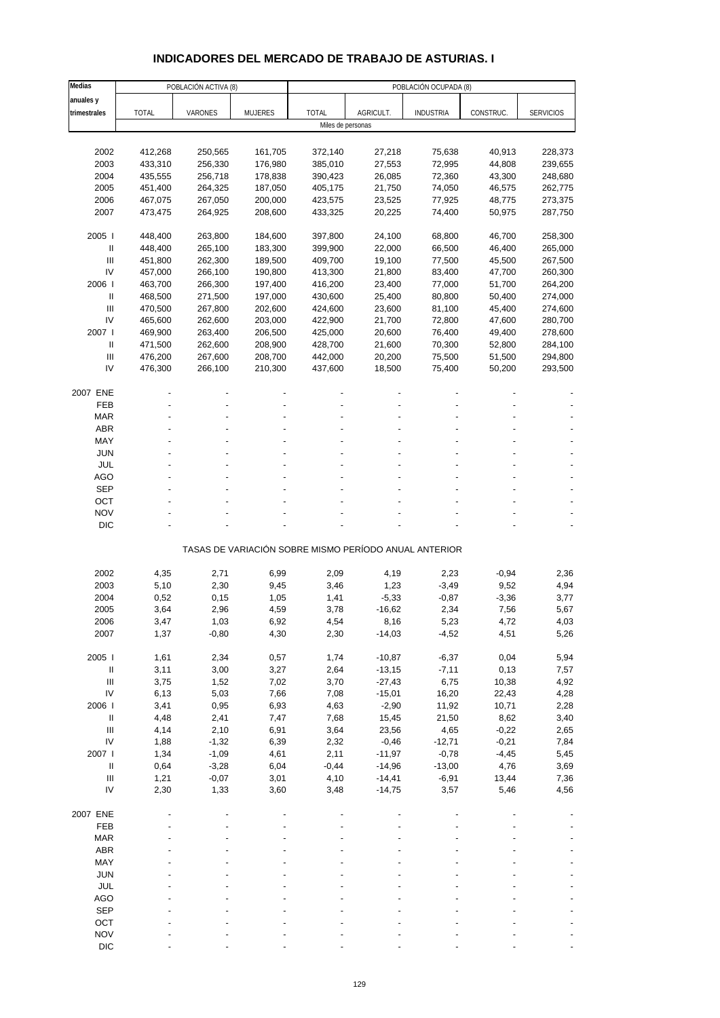# **INDICADORES DEL MERCADO DE TRABAJO DE ASTURIAS. I**

| Medias                             |              | POBLACIÓN ACTIVA (8) |                |                   |                                                       | POBLACIÓN OCUPADA (8) |           |                  |
|------------------------------------|--------------|----------------------|----------------|-------------------|-------------------------------------------------------|-----------------------|-----------|------------------|
| anuales y                          |              |                      |                |                   |                                                       |                       |           |                  |
| trimestrales                       | <b>TOTAL</b> | VARONES              | <b>MUJERES</b> | <b>TOTAL</b>      | AGRICULT.                                             | <b>INDUSTRIA</b>      | CONSTRUC. | <b>SERVICIOS</b> |
|                                    |              |                      |                | Miles de personas |                                                       |                       |           |                  |
|                                    |              |                      |                |                   |                                                       |                       |           |                  |
| 2002                               | 412,268      | 250,565              | 161,705        | 372,140           | 27,218                                                | 75,638                | 40,913    | 228,373          |
| 2003                               | 433,310      | 256,330              | 176,980        | 385,010           | 27,553                                                | 72,995                | 44,808    | 239,655          |
| 2004                               | 435,555      | 256,718              | 178,838        | 390,423           | 26,085                                                | 72,360                | 43,300    | 248,680          |
| 2005                               | 451,400      | 264,325              | 187,050        | 405,175           | 21,750                                                | 74,050                | 46,575    | 262,775          |
| 2006                               | 467,075      | 267,050              | 200,000        | 423,575           | 23,525                                                | 77,925                | 48,775    | 273,375          |
| 2007                               | 473,475      | 264,925              | 208,600        | 433,325           | 20,225                                                | 74,400                | 50,975    | 287,750          |
|                                    |              |                      |                |                   |                                                       |                       |           |                  |
| 2005                               | 448,400      | 263,800              | 184,600        | 397,800           | 24,100                                                | 68,800                | 46,700    | 258,300          |
| $\mathbf{II}$                      | 448,400      | 265,100              | 183,300        | 399,900           | 22,000                                                | 66,500                | 46,400    | 265,000          |
| III                                | 451,800      | 262,300              | 189,500        | 409,700           | 19,100                                                | 77,500                | 45,500    | 267,500          |
| IV                                 | 457,000      | 266,100              | 190,800        | 413,300           | 21,800                                                | 83,400                | 47,700    | 260,300          |
| 2006                               | 463,700      | 266,300              | 197,400        | 416,200           | 23,400                                                | 77,000                | 51,700    | 264,200          |
| Ш                                  | 468,500      | 271,500              | 197,000        | 430,600           | 25,400                                                | 80,800                | 50,400    | 274,000          |
| III                                | 470,500      | 267,800              | 202,600        | 424,600           | 23,600                                                | 81,100                | 45,400    | 274,600          |
| IV                                 | 465,600      | 262,600              | 203,000        | 422,900           | 21,700                                                | 72,800                | 47,600    | 280,700          |
| 2007 l                             | 469,900      | 263,400              | 206,500        | 425,000           | 20,600                                                | 76,400                | 49,400    | 278,600          |
| $\mathbf{II}$                      | 471,500      | 262,600              | 208,900        | 428,700           | 21,600                                                | 70,300                | 52,800    | 284,100          |
| $\ensuremath{\mathsf{III}}\xspace$ | 476,200      | 267,600              | 208,700        | 442,000           | 20,200                                                | 75,500                | 51,500    | 294,800          |
| IV                                 | 476,300      | 266,100              | 210,300        | 437,600           | 18,500                                                | 75,400                | 50,200    | 293,500          |
|                                    |              |                      |                |                   |                                                       |                       |           |                  |
| 2007 ENE                           |              |                      |                |                   |                                                       |                       |           |                  |
| <b>FEB</b>                         |              |                      |                |                   |                                                       |                       |           |                  |
| <b>MAR</b>                         |              |                      |                |                   |                                                       |                       |           |                  |
| <b>ABR</b>                         |              |                      |                |                   |                                                       |                       |           |                  |
| MAY                                |              |                      |                |                   |                                                       |                       |           |                  |
| <b>JUN</b>                         |              |                      |                |                   |                                                       |                       |           |                  |
| <b>JUL</b>                         |              |                      |                |                   |                                                       |                       |           |                  |
| AGO                                |              |                      |                |                   |                                                       |                       |           |                  |
| <b>SEP</b>                         |              |                      |                |                   |                                                       |                       |           |                  |
| OCT                                |              |                      |                |                   |                                                       |                       |           |                  |
| <b>NOV</b>                         |              |                      |                |                   |                                                       |                       |           |                  |
| <b>DIC</b>                         |              |                      |                |                   |                                                       |                       |           |                  |
|                                    |              |                      |                |                   | TASAS DE VARIACIÓN SOBRE MISMO PERÍODO ANUAL ANTERIOR |                       |           |                  |
|                                    |              |                      |                |                   |                                                       |                       |           |                  |
| 2002                               | 4,35         | 2,71                 | 6,99           | 2,09              | 4,19                                                  | 2,23                  | $-0,94$   | 2,36             |
| 2003                               | 5,10         | 2,30                 | 9,45           | 3,46              | 1,23                                                  | $-3,49$               | 9,52      | 4,94             |
| 2004                               | 0,52         | 0,15                 | 1,05           | 1,41              | $-5,33$                                               | $-0,87$               | $-3,36$   | 3,77             |
| 2005                               | 3,64         | 2,96                 | 4,59           | 3,78              | $-16,62$                                              | 2,34                  | 7,56      | 5,67             |
| 2006                               | 3,47         | 1,03                 | 6,92           | 4,54              | 8,16                                                  | 5,23                  | 4,72      | 4,03             |
| 2007                               | 1,37         | $-0,80$              | 4,30           | 2,30              | $-14,03$                                              | $-4,52$               | 4,51      | 5,26             |
|                                    |              |                      |                |                   |                                                       |                       |           |                  |
| 2005 l                             | 1,61         | 2,34                 | 0,57           | 1,74              | $-10,87$                                              | $-6,37$               | 0,04      | 5,94             |
| $\, \parallel$                     | 3,11         | 3,00                 | 3,27           | 2,64              | $-13,15$                                              | $-7,11$               | 0,13      | 7,57             |
| $\mathop{\mathrm{III}}\nolimits$   | 3,75         | 1,52                 | 7,02           | 3,70              | $-27,43$                                              | 6,75                  | 10,38     | 4,92             |
| IV                                 | 6,13         | 5,03                 | 7,66           | 7,08              | $-15,01$                                              | 16,20                 | 22,43     | 4,28             |
| 2006                               | 3,41         | 0,95                 | 6,93           | 4,63              | $-2,90$                                               | 11,92                 | 10,71     | 2,28             |
| $\, \parallel$                     | 4,48         | 2,41                 | 7,47           | 7,68              | 15,45                                                 | 21,50                 | 8,62      | 3,40             |
| $\ensuremath{\mathsf{III}}\xspace$ | 4,14         | 2,10                 | 6,91           | 3,64              | 23,56                                                 | 4,65                  | $-0,22$   | 2,65             |
| IV                                 | 1,88         | $-1,32$              | 6,39           | 2,32              | $-0,46$                                               | $-12,71$              | $-0,21$   | 7,84             |
| 2007 l                             | 1,34         | $-1,09$              | 4,61           | 2,11              | $-11,97$                                              | $-0,78$               | $-4,45$   | 5,45             |
| $\, \parallel$                     | 0,64         | $-3,28$              | 6,04           | $-0,44$           | $-14,96$                                              | $-13,00$              | 4,76      | 3,69             |
| $\mathop{\mathrm{III}}\nolimits$   | 1,21         | $-0,07$              | 3,01           | 4,10              | $-14,41$                                              | $-6,91$               | 13,44     | 7,36             |
| IV                                 | 2,30         | 1,33                 | 3,60           | 3,48              | $-14,75$                                              | 3,57                  | 5,46      | 4,56             |
| 2007 ENE                           |              |                      |                |                   |                                                       |                       |           |                  |
| FEB                                |              |                      |                |                   |                                                       |                       |           |                  |
| <b>MAR</b>                         |              |                      |                |                   |                                                       |                       |           |                  |
| <b>ABR</b>                         |              |                      |                |                   |                                                       |                       |           |                  |
| MAY                                |              |                      |                |                   |                                                       |                       |           |                  |
| <b>JUN</b>                         |              |                      |                |                   |                                                       |                       |           |                  |
| <b>JUL</b>                         |              |                      |                |                   |                                                       |                       |           |                  |
| <b>AGO</b>                         |              |                      |                |                   |                                                       |                       |           |                  |
| <b>SEP</b>                         |              |                      |                |                   |                                                       |                       |           |                  |
| OCT                                |              |                      |                |                   |                                                       |                       |           |                  |
| <b>NOV</b>                         |              |                      |                |                   |                                                       |                       |           |                  |
| <b>DIC</b>                         |              |                      |                |                   |                                                       |                       |           |                  |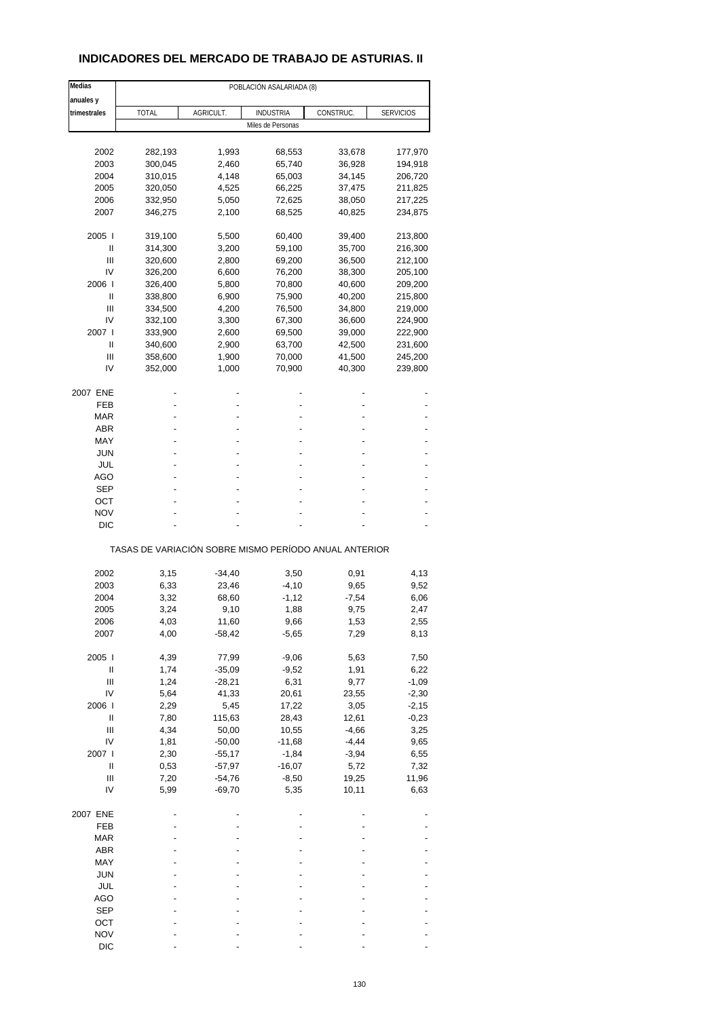## **INDICADORES DEL MERCADO DE TRABAJO DE ASTURIAS. II**

| Medias                             |                                                       |           | POBLACIÓN ASALARIADA (8) |           |                  |
|------------------------------------|-------------------------------------------------------|-----------|--------------------------|-----------|------------------|
| anuales y                          |                                                       |           |                          |           |                  |
| trimestrales                       | <b>TOTAL</b>                                          | AGRICULT. | <b>INDUSTRIA</b>         | CONSTRUC. | <b>SERVICIOS</b> |
|                                    |                                                       |           | Miles de Personas        |           |                  |
|                                    |                                                       |           |                          |           |                  |
| 2002                               | 282,193                                               | 1,993     | 68,553                   | 33,678    | 177,970          |
| 2003                               | 300,045                                               | 2,460     | 65,740                   | 36,928    | 194,918          |
| 2004                               | 310,015                                               | 4,148     | 65,003                   | 34,145    | 206,720          |
| 2005                               | 320,050                                               | 4,525     | 66,225                   | 37,475    | 211,825          |
| 2006                               | 332,950                                               | 5,050     | 72,625                   | 38,050    | 217,225          |
| 2007                               | 346,275                                               | 2,100     | 68,525                   | 40,825    | 234,875          |
|                                    |                                                       |           |                          |           |                  |
| 2005 l                             | 319,100                                               | 5,500     | 60,400                   | 39,400    | 213,800          |
| Ш                                  | 314,300                                               | 3,200     | 59,100                   | 35,700    | 216,300          |
| Ш                                  | 320,600                                               | 2,800     | 69,200                   | 36,500    | 212,100          |
| IV                                 | 326,200                                               | 6,600     | 76,200                   | 38,300    | 205,100          |
| 2006                               | 326,400                                               | 5,800     | 70,800                   | 40,600    | 209,200          |
| Ш                                  | 338,800                                               | 6,900     | 75,900                   | 40,200    | 215,800          |
| Ш                                  | 334,500                                               | 4,200     | 76,500                   | 34,800    | 219,000          |
| IV                                 | 332,100                                               | 3,300     | 67,300                   | 36,600    | 224,900          |
| 2007 l                             | 333,900                                               | 2,600     | 69,500                   | 39,000    | 222,900          |
| Ш                                  | 340,600                                               | 2,900     | 63,700                   | 42,500    | 231,600          |
|                                    |                                                       |           |                          |           |                  |
| Ш                                  | 358,600                                               | 1,900     | 70,000                   | 41,500    | 245,200          |
| IV                                 | 352,000                                               | 1,000     | 70,900                   | 40,300    | 239,800          |
| 2007 ENE                           |                                                       |           |                          |           |                  |
| FEB                                |                                                       |           |                          |           |                  |
| MAR                                |                                                       |           |                          |           |                  |
| ABR                                |                                                       |           |                          |           |                  |
|                                    |                                                       |           |                          |           |                  |
| MAY                                |                                                       |           |                          |           |                  |
| JUN                                |                                                       |           |                          |           |                  |
| JUL                                |                                                       |           |                          |           |                  |
| AGO                                |                                                       |           |                          |           |                  |
| SEP                                |                                                       |           |                          |           |                  |
| ост                                |                                                       |           |                          |           |                  |
| <b>NOV</b>                         |                                                       |           |                          |           |                  |
|                                    |                                                       |           |                          |           |                  |
| DIC                                |                                                       |           |                          |           |                  |
|                                    | TASAS DE VARIACIÓN SOBRE MISMO PERÍODO ANUAL ANTERIOR |           |                          |           |                  |
|                                    |                                                       |           |                          |           |                  |
| 2002                               | 3,15                                                  | -34,40    | 3,50                     | 0,91      | 4,13             |
| 2003                               | 6,33                                                  | 23,46     | $-4,10$                  | 9,65      | 9,52             |
| 2004                               | 3,32                                                  | 68,60     | $-1,12$                  | $-7,54$   | 6,06             |
| 2005                               | 3,24                                                  | 9,10      | 1,88                     | 9,75      | 2,47             |
| 2006                               | 4,03                                                  | 11,60     | 9,66                     | 1,53      | 2,55             |
| 2007                               | 4,00                                                  | $-58,42$  | $-5,65$                  | 7,29      | 8,13             |
|                                    |                                                       |           |                          |           |                  |
| 2005 l                             | 4,39                                                  | 77,99     | $-9,06$                  | 5,63      | 7,50             |
| $\sf II$                           | 1,74                                                  | $-35,09$  | $-9,52$                  | 1,91      | 6,22             |
| Ш                                  | 1,24                                                  | $-28,21$  | 6,31                     | 9,77      | $-1,09$          |
| IV                                 | 5,64                                                  | 41,33     | 20,61                    | 23,55     | $-2,30$          |
| 2006                               | 2,29                                                  | 5,45      | 17,22                    | 3,05      | $-2,15$          |
| Ш                                  | 7,80                                                  | 115,63    | 28,43                    | 12,61     | $-0,23$          |
| $\ensuremath{\mathsf{III}}\xspace$ |                                                       |           |                          |           |                  |
|                                    | 4,34                                                  | 50,00     | 10,55                    | $-4,66$   | 3,25             |
| IV                                 | 1,81                                                  | $-50,00$  | $-11,68$                 | $-4,44$   | 9,65             |
| 2007 l                             | 2,30                                                  | $-55,17$  | $-1,84$                  | $-3,94$   | 6,55             |
| $\sf II$                           | 0,53                                                  | $-57,97$  | $-16,07$                 | 5,72      | 7,32             |
| Ш                                  | 7,20                                                  | $-54,76$  | $-8,50$                  | 19,25     | 11,96            |
| IV                                 | 5,99                                                  | $-69,70$  | 5,35                     | 10,11     | 6,63             |
|                                    |                                                       |           |                          |           |                  |
| 2007 ENE                           |                                                       |           |                          |           |                  |
| FEB                                |                                                       |           |                          |           |                  |
| <b>MAR</b>                         |                                                       |           |                          |           |                  |
| ABR                                |                                                       |           |                          |           |                  |
| MAY                                |                                                       |           |                          |           |                  |
|                                    |                                                       |           |                          |           |                  |
| <b>JUN</b>                         |                                                       |           |                          |           |                  |
| JUL                                |                                                       |           |                          |           |                  |
| AGO                                |                                                       |           |                          |           |                  |
| <b>SEP</b>                         |                                                       |           |                          |           |                  |
| OCT                                |                                                       |           |                          |           |                  |
| <b>NOV</b>                         |                                                       |           |                          |           |                  |
| <b>DIC</b>                         |                                                       |           |                          |           |                  |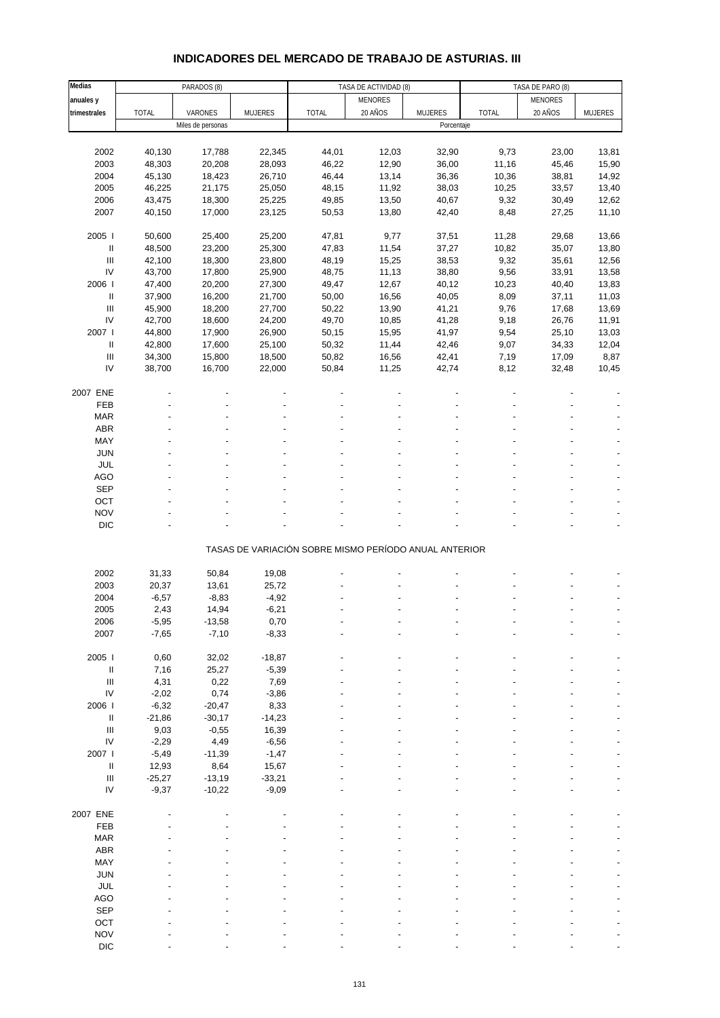# **INDICADORES DEL MERCADO DE TRABAJO DE ASTURIAS. III**

| Medias                                |              | PARADOS (8)       |                | TASA DE ACTIVIDAD (8)                                 |                |                | TASA DE PARO (8) |                |                          |
|---------------------------------------|--------------|-------------------|----------------|-------------------------------------------------------|----------------|----------------|------------------|----------------|--------------------------|
| anuales y                             |              |                   |                |                                                       | <b>MENORES</b> |                |                  | <b>MENORES</b> |                          |
|                                       |              | VARONES           |                |                                                       | 20 AÑOS        | <b>MUJERES</b> | <b>TOTAL</b>     | 20 AÑOS        |                          |
| trimestrales                          | <b>TOTAL</b> |                   | <b>MUJERES</b> | <b>TOTAL</b>                                          |                |                |                  |                | <b>MUJERES</b>           |
|                                       |              | Miles de personas |                |                                                       |                | Porcentaje     |                  |                |                          |
|                                       |              |                   |                |                                                       |                |                |                  |                |                          |
| 2002                                  | 40,130       | 17,788            | 22,345         | 44,01                                                 | 12,03          | 32,90          | 9,73             | 23,00          | 13,81                    |
| 2003                                  | 48,303       | 20,208            | 28,093         | 46,22                                                 | 12,90          | 36,00          | 11,16            | 45,46          | 15,90                    |
| 2004                                  | 45,130       | 18,423            | 26,710         | 46,44                                                 | 13,14          | 36,36          | 10,36            | 38,81          | 14,92                    |
|                                       |              |                   |                |                                                       |                |                |                  |                |                          |
| 2005                                  | 46,225       | 21,175            | 25,050         | 48,15                                                 | 11,92          | 38,03          | 10,25            | 33,57          | 13,40                    |
| 2006                                  | 43,475       | 18,300            | 25,225         | 49,85                                                 | 13,50          | 40,67          | 9,32             | 30,49          | 12,62                    |
| 2007                                  | 40,150       | 17,000            | 23,125         | 50,53                                                 | 13,80          | 42,40          | 8,48             | 27,25          | 11,10                    |
|                                       |              |                   |                |                                                       |                |                |                  |                |                          |
| 2005 l                                | 50,600       | 25,400            | 25,200         | 47,81                                                 | 9,77           | 37,51          | 11,28            | 29,68          | 13,66                    |
|                                       |              |                   |                |                                                       |                |                |                  |                |                          |
| $\ensuremath{\mathsf{II}}$            | 48,500       | 23,200            | 25,300         | 47,83                                                 | 11,54          | 37,27          | 10,82            | 35,07          | 13,80                    |
| $\begin{array}{c} \hline \end{array}$ | 42,100       | 18,300            | 23,800         | 48,19                                                 | 15,25          | 38,53          | 9,32             | 35,61          | 12,56                    |
| IV                                    | 43,700       | 17,800            | 25,900         | 48,75                                                 | 11,13          | 38,80          | 9,56             | 33,91          | 13,58                    |
| 2006                                  | 47,400       | 20,200            | 27,300         | 49,47                                                 | 12,67          | 40,12          | 10,23            | 40,40          | 13,83                    |
| $\ensuremath{\mathsf{II}}$            | 37,900       | 16,200            | 21,700         | 50,00                                                 | 16,56          | 40,05          | 8,09             | 37,11          | 11,03                    |
|                                       |              |                   |                |                                                       |                |                |                  |                |                          |
| $\mathbf{III}$                        | 45,900       | 18,200            | 27,700         | 50,22                                                 | 13,90          | 41,21          | 9,76             | 17,68          | 13,69                    |
| IV                                    | 42,700       | 18,600            | 24,200         | 49,70                                                 | 10,85          | 41,28          | 9,18             | 26,76          | 11,91                    |
| 2007 l                                | 44,800       | 17,900            | 26,900         | 50,15                                                 | 15,95          | 41,97          | 9,54             | 25,10          | 13,03                    |
| $\ensuremath{\mathsf{II}}$            | 42,800       | 17,600            | 25,100         | 50,32                                                 | 11,44          | 42,46          | 9,07             | 34,33          | 12,04                    |
|                                       |              |                   |                |                                                       |                |                |                  |                |                          |
| $\begin{array}{c} \Pi \end{array}$    | 34,300       | 15,800            | 18,500         | 50,82                                                 | 16,56          | 42,41          | 7,19             | 17,09          | 8,87                     |
| IV                                    | 38,700       | 16,700            | 22,000         | 50,84                                                 | 11,25          | 42,74          | 8,12             | 32,48          | 10,45                    |
|                                       |              |                   |                |                                                       |                |                |                  |                |                          |
| 2007 ENE                              |              |                   |                |                                                       |                |                |                  |                |                          |
| FEB                                   |              |                   |                |                                                       |                |                |                  |                |                          |
|                                       |              |                   |                |                                                       |                |                |                  |                |                          |
| <b>MAR</b>                            |              |                   |                |                                                       |                |                |                  |                |                          |
| ABR                                   |              |                   |                |                                                       |                |                |                  |                |                          |
| MAY                                   |              |                   |                |                                                       |                |                |                  |                |                          |
| <b>JUN</b>                            |              |                   |                |                                                       |                |                |                  |                |                          |
| <b>JUL</b>                            |              |                   |                |                                                       |                |                |                  |                |                          |
|                                       |              |                   |                |                                                       |                |                |                  |                |                          |
| <b>AGO</b>                            |              |                   |                |                                                       |                |                |                  |                |                          |
| <b>SEP</b>                            |              |                   |                |                                                       |                |                |                  |                |                          |
| OCT                                   |              |                   |                |                                                       |                |                |                  |                |                          |
| <b>NOV</b>                            |              |                   |                |                                                       |                |                |                  |                |                          |
|                                       |              |                   |                |                                                       |                |                |                  |                |                          |
| <b>DIC</b>                            |              |                   |                |                                                       |                |                |                  |                | $\overline{\phantom{a}}$ |
|                                       |              |                   |                |                                                       |                |                |                  |                |                          |
|                                       |              |                   |                | TASAS DE VARIACIÓN SOBRE MISMO PERÍODO ANUAL ANTERIOR |                |                |                  |                |                          |
|                                       |              |                   |                |                                                       |                |                |                  |                |                          |
| 2002                                  | 31,33        | 50,84             | 19,08          |                                                       |                |                |                  |                |                          |
| 2003                                  | 20,37        | 13,61             | 25,72          |                                                       |                |                |                  |                |                          |
| 2004                                  | $-6,57$      | $-8,83$           | $-4,92$        |                                                       |                |                |                  |                |                          |
|                                       |              |                   |                |                                                       |                |                |                  |                |                          |
| 2005                                  | 2,43         | 14,94             | $-6,21$        |                                                       |                |                |                  |                |                          |
| 2006                                  | -5,95        | $-13,58$          | 0,70           |                                                       |                |                |                  |                |                          |
| 2007                                  | $-7,65$      | $-7,10$           | $-8,33$        |                                                       |                |                |                  |                |                          |
|                                       |              |                   |                |                                                       |                |                |                  |                |                          |
| 2005                                  | 0,60         | 32,02             | $-18,87$       |                                                       |                |                |                  |                |                          |
|                                       |              |                   |                |                                                       |                |                |                  |                |                          |
| $\ensuremath{\mathsf{II}}$            | 7,16         | 25,27             | $-5,39$        |                                                       |                |                |                  |                |                          |
| III                                   | 4,31         | 0,22              | 7,69           |                                                       |                |                |                  |                |                          |
| IV                                    | $-2,02$      | 0,74              | $-3,86$        |                                                       |                |                |                  |                |                          |
| 2006                                  | $-6,32$      | $-20,47$          | 8,33           |                                                       |                |                |                  |                |                          |
| Ш                                     | $-21,86$     | $-30,17$          | $-14,23$       |                                                       |                |                |                  |                |                          |
|                                       |              |                   |                |                                                       |                |                |                  |                |                          |
| $\ensuremath{\mathsf{III}}\xspace$    | 9,03         | $-0,55$           | 16,39          |                                                       |                |                |                  |                |                          |
| IV                                    | $-2,29$      | 4,49              | $-6,56$        |                                                       |                |                |                  |                |                          |
| 2007 l                                | $-5,49$      | $-11,39$          | $-1,47$        |                                                       |                |                |                  |                |                          |
| $\ensuremath{\mathsf{II}}$            | 12,93        | 8,64              | 15,67          |                                                       |                |                |                  |                |                          |
| $\begin{array}{c} \Pi \end{array}$    | $-25,27$     | $-13,19$          | $-33,21$       |                                                       |                |                |                  |                |                          |
|                                       |              |                   |                |                                                       |                |                |                  |                |                          |
| IV                                    | $-9,37$      | $-10,22$          | $-9,09$        |                                                       |                |                |                  |                |                          |
|                                       |              |                   |                |                                                       |                |                |                  |                |                          |
| 2007 ENE                              |              |                   |                |                                                       |                |                |                  |                |                          |
| FEB                                   |              |                   |                |                                                       |                |                |                  |                |                          |
| <b>MAR</b>                            |              |                   |                |                                                       |                |                |                  |                |                          |
| ABR                                   |              |                   |                |                                                       |                |                |                  |                |                          |
|                                       |              |                   |                |                                                       |                |                |                  |                |                          |
| MAY                                   |              |                   |                |                                                       |                |                |                  |                |                          |
| <b>JUN</b>                            |              |                   |                |                                                       |                |                |                  |                |                          |
| JUL                                   |              |                   |                |                                                       |                |                |                  |                |                          |
| <b>AGO</b>                            |              |                   |                |                                                       |                |                |                  |                |                          |
| <b>SEP</b>                            |              |                   |                |                                                       |                |                |                  |                |                          |
|                                       |              |                   |                |                                                       |                |                |                  |                |                          |
| OCT                                   |              |                   |                |                                                       |                |                |                  |                |                          |
| <b>NOV</b>                            |              |                   |                |                                                       |                |                |                  |                |                          |
| <b>DIC</b>                            |              |                   |                |                                                       |                |                |                  |                |                          |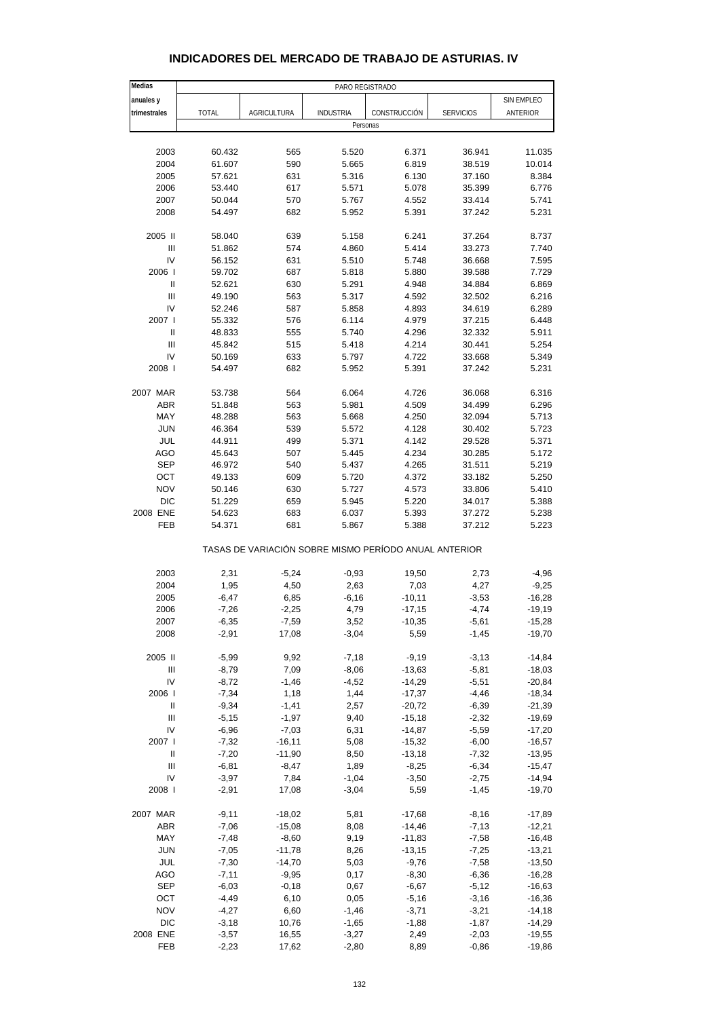## **INDICADORES DEL MERCADO DE TRABAJO DE ASTURIAS. IV**

| Medias         | PARO REGISTRADO |                    |                                                       |                |                  |            |
|----------------|-----------------|--------------------|-------------------------------------------------------|----------------|------------------|------------|
| anuales y      |                 |                    |                                                       |                |                  | SIN EMPLEO |
| trimestrales   | <b>TOTAL</b>    | <b>AGRICULTURA</b> | <b>INDUSTRIA</b>                                      | CONSTRUCCIÓN   | <b>SERVICIOS</b> | ANTERIOR   |
|                |                 |                    | Personas                                              |                |                  |            |
| 2003           | 60.432          | 565                | 5.520                                                 | 6.371          | 36.941           | 11.035     |
| 2004           | 61.607          | 590                |                                                       |                | 38.519           | 10.014     |
| 2005           | 57.621          | 631                | 5.665<br>5.316                                        | 6.819<br>6.130 | 37.160           | 8.384      |
|                |                 |                    |                                                       |                |                  |            |
| 2006           | 53.440          | 617                | 5.571                                                 | 5.078          | 35.399           | 6.776      |
| 2007           | 50.044          | 570                | 5.767                                                 | 4.552          | 33.414           | 5.741      |
| 2008           | 54.497          | 682                | 5.952                                                 | 5.391          | 37.242           | 5.231      |
| 2005 II        | 58.040          | 639                | 5.158                                                 | 6.241          | 37.264           | 8.737      |
| Ш              | 51.862          | 574                | 4.860                                                 | 5.414          | 33.273           | 7.740      |
| IV             | 56.152          | 631                | 5.510                                                 | 5.748          | 36.668           | 7.595      |
| 2006           | 59.702          | 687                | 5.818                                                 | 5.880          | 39.588           | 7.729      |
| Ш              | 52.621          | 630                | 5.291                                                 | 4.948          | 34.884           | 6.869      |
| $\mathbf{III}$ | 49.190          | 563                | 5.317                                                 | 4.592          | 32.502           | 6.216      |
| IV             | 52.246          | 587                | 5.858                                                 | 4.893          | 34.619           | 6.289      |
| 2007 l         | 55.332          | 576                | 6.114                                                 | 4.979          | 37.215           | 6.448      |
| Ш              | 48.833          | 555                | 5.740                                                 | 4.296          | 32.332           | 5.911      |
| Ш              | 45.842          | 515                | 5.418                                                 | 4.214          | 30.441           | 5.254      |
|                |                 |                    |                                                       |                |                  |            |
| IV             | 50.169          | 633                | 5.797                                                 | 4.722          | 33.668           | 5.349      |
| 2008           | 54.497          | 682                | 5.952                                                 | 5.391          | 37.242           | 5.231      |
| 2007 MAR       | 53.738          | 564                | 6.064                                                 | 4.726          | 36.068           | 6.316      |
| <b>ABR</b>     | 51.848          | 563                | 5.981                                                 | 4.509          | 34.499           | 6.296      |
| MAY            | 48.288          | 563                | 5.668                                                 | 4.250          | 32.094           | 5.713      |
| <b>JUN</b>     | 46.364          | 539                | 5.572                                                 | 4.128          | 30.402           | 5.723      |
| JUL            | 44.911          | 499                | 5.371                                                 | 4.142          | 29.528           | 5.371      |
| AGO            | 45.643          | 507                | 5.445                                                 | 4.234          | 30.285           | 5.172      |
| <b>SEP</b>     | 46.972          | 540                | 5.437                                                 | 4.265          | 31.511           | 5.219      |
|                |                 |                    |                                                       |                |                  |            |
| OCT            | 49.133          | 609                | 5.720                                                 | 4.372          | 33.182           | 5.250      |
| <b>NOV</b>     | 50.146          | 630                | 5.727                                                 | 4.573          | 33.806           | 5.410      |
| <b>DIC</b>     | 51.229          | 659                | 5.945                                                 | 5.220          | 34.017           | 5.388      |
| 2008 ENE       | 54.623          | 683                | 6.037                                                 | 5.393          | 37.272           | 5.238      |
| <b>FEB</b>     | 54.371          | 681                | 5.867                                                 | 5.388          | 37.212           | 5.223      |
|                |                 |                    | TASAS DE VARIACIÓN SOBRE MISMO PERÍODO ANUAL ANTERIOR |                |                  |            |
| 2003           | 2,31            | $-5,24$            | $-0,93$                                               | 19,50          | 2,73             | $-4,96$    |
| 2004           | 1,95            | 4,50               | 2,63                                                  | 7,03           | 4,27             | $-9,25$    |
| 2005           | $-6,47$         | 6,85               | $-6,16$                                               | $-10,11$       | $-3,53$          | $-16,28$   |
| 2006           | $-7,26$         | $-2,25$            | 4,79                                                  | $-17,15$       | $-4,74$          | $-19,19$   |
| 2007           | $-6,35$         | $-7,59$            | 3,52                                                  | $-10,35$       | $-5,61$          | $-15,28$   |
| 2008           | $-2,91$         | 17,08              | $-3,04$                                               | 5,59           | $-1,45$          | $-19,70$   |
|                |                 |                    |                                                       |                |                  |            |
| 2005 II        | $-5,99$         | 9,92               | $-7,18$                                               | $-9,19$        | $-3,13$          | $-14,84$   |
| Ш              | $-8,79$         | 7,09               | $-8,06$                                               | $-13,63$       | $-5,81$          | $-18,03$   |
| IV             | $-8,72$         | $-1,46$            | $-4,52$                                               | $-14,29$       | $-5,51$          | $-20,84$   |
| 2006           | $-7,34$         | 1,18               | 1,44                                                  | $-17,37$       | $-4,46$          | $-18,34$   |
| Ш              | $-9,34$         | $-1,41$            | 2,57                                                  | $-20,72$       | $-6,39$          | $-21,39$   |
| Ш              | $-5,15$         | $-1,97$            | 9,40                                                  | $-15,18$       | $-2,32$          | $-19,69$   |
| IV             | $-6,96$         | $-7,03$            | 6,31                                                  | $-14,87$       | $-5,59$          | $-17,20$   |
| 2007 l         | $-7,32$         | $-16,11$           | 5,08                                                  | $-15,32$       | $-6,00$          | $-16,57$   |
| Ш              | $-7,20$         | $-11,90$           | 8,50                                                  | $-13,18$       | $-7,32$          | $-13,95$   |
| Ш              | $-6, 81$        | -8,47              | 1,89                                                  | $-8,25$        | $-6,34$          | $-15,47$   |
| IV             | $-3,97$         | 7,84               | $-1,04$                                               | $-3,50$        | $-2,75$          | $-14,94$   |
| 2008           | $-2,91$         | 17,08              | $-3,04$                                               | 5,59           | $-1,45$          | $-19,70$   |
|                |                 |                    |                                                       |                |                  |            |
| 2007 MAR       | $-9,11$         | $-18,02$           | 5,81                                                  | $-17,68$       | $-8,16$          | $-17,89$   |
| <b>ABR</b>     | $-7,06$         | $-15,08$           | 8,08                                                  | $-14,46$       | $-7,13$          | $-12,21$   |
| MAY            | $-7,48$         | $-8,60$            | 9,19                                                  | $-11,83$       | $-7,58$          | $-16,48$   |
| <b>JUN</b>     | $-7,05$         | $-11,78$           | 8,26                                                  | $-13,15$       | $-7,25$          | $-13,21$   |
| JUL            | $-7,30$         | $-14,70$           | 5,03                                                  | $-9,76$        | $-7,58$          | $-13,50$   |
| <b>AGO</b>     | $-7,11$         | $-9,95$            | 0,17                                                  | $-8,30$        | $-6,36$          | $-16,28$   |
| <b>SEP</b>     | $-6,03$         | $-0,18$            | 0,67                                                  | $-6,67$        | $-5,12$          | $-16,63$   |
| OCT            | $-4,49$         | 6,10               | 0,05                                                  | $-5,16$        | $-3,16$          | $-16,36$   |
| <b>NOV</b>     | $-4,27$         | 6,60               | $-1,46$                                               | $-3,71$        | $-3,21$          | $-14,18$   |
| <b>DIC</b>     | $-3,18$         | 10,76              | $-1,65$                                               | $-1,88$        | $-1,87$          | $-14,29$   |
| 2008 ENE       | $-3,57$         | 16,55              | $-3,27$                                               | 2,49           | $-2,03$          | $-19,55$   |
| <b>FEB</b>     | $-2,23$         | 17,62              | $-2,80$                                               | 8,89           | $-0,86$          | $-19,86$   |
|                |                 |                    |                                                       |                |                  |            |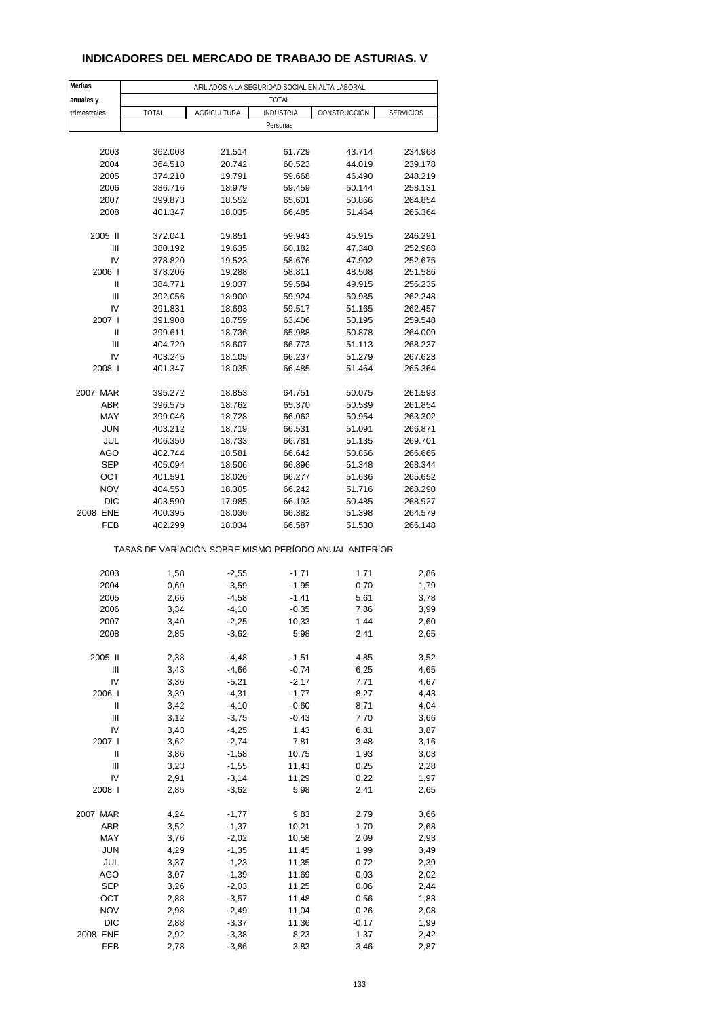### **INDICADORES DEL MERCADO DE TRABAJO DE ASTURIAS. V**

| Medias            |                                                       | AFILIADOS A LA SEGURIDAD SOCIAL EN ALTA LABORAL |                  |                  |                    |
|-------------------|-------------------------------------------------------|-------------------------------------------------|------------------|------------------|--------------------|
| anuales y         |                                                       |                                                 | <b>TOTAL</b>     |                  |                    |
| trimestrales      | TOTAL                                                 | <b>AGRICULTURA</b>                              | <b>INDUSTRIA</b> | CONSTRUCCIÓN     | <b>SERVICIOS</b>   |
|                   |                                                       |                                                 | Personas         |                  |                    |
|                   |                                                       |                                                 |                  |                  |                    |
| 2003              | 362.008                                               | 21.514                                          | 61.729           | 43.714           | 234.968            |
| 2004              | 364.518                                               | 20.742                                          | 60.523           | 44.019           | 239.178            |
| 2005              | 374.210                                               | 19.791                                          | 59.668           | 46.490           | 248.219            |
| 2006              | 386.716                                               | 18.979                                          | 59.459           | 50.144           | 258.131            |
| 2007              | 399.873                                               | 18.552                                          | 65.601           | 50.866           | 264.854            |
| 2008              | 401.347                                               | 18.035                                          | 66.485           | 51.464           | 265.364            |
|                   |                                                       |                                                 |                  |                  |                    |
| 2005 II<br>Ш      | 372.041                                               | 19.851                                          | 59.943           | 45.915           | 246.291            |
| IV                | 380.192<br>378.820                                    | 19.635<br>19.523                                | 60.182<br>58.676 | 47.340<br>47.902 | 252.988<br>252.675 |
| 2006              | 378.206                                               | 19.288                                          | 58.811           | 48.508           | 251.586            |
| $\mathbf{I}$      | 384.771                                               | 19.037                                          | 59.584           | 49.915           | 256.235            |
| Ш                 | 392.056                                               | 18.900                                          | 59.924           | 50.985           | 262.248            |
| IV                | 391.831                                               | 18.693                                          | 59.517           | 51.165           | 262.457            |
| 2007 l            | 391.908                                               | 18.759                                          | 63.406           | 50.195           | 259.548            |
| $\mathbf{I}$      | 399.611                                               | 18.736                                          | 65.988           | 50.878           | 264.009            |
| Ш                 | 404.729                                               | 18.607                                          | 66.773           | 51.113           | 268.237            |
| IV                | 403.245                                               | 18.105                                          | 66.237           | 51.279           | 267.623            |
| 2008              | 401.347                                               | 18.035                                          | 66.485           | 51.464           | 265.364            |
|                   |                                                       |                                                 |                  |                  |                    |
| 2007 MAR          | 395.272                                               | 18.853                                          | 64.751           | 50.075           | 261.593            |
| ABR               | 396.575                                               | 18.762                                          | 65.370           | 50.589           | 261.854            |
| MAY               | 399.046                                               | 18.728                                          | 66.062           | 50.954           | 263.302            |
| <b>JUN</b>        | 403.212                                               | 18.719                                          | 66.531           | 51.091           | 266.871            |
| JUL               | 406.350                                               | 18.733                                          | 66.781           | 51.135           | 269.701            |
| AGO<br><b>SEP</b> | 402.744                                               | 18.581                                          | 66.642           | 50.856           | 266.665<br>268.344 |
| OCT               | 405.094<br>401.591                                    | 18.506<br>18.026                                | 66.896<br>66.277 | 51.348<br>51.636 | 265.652            |
| <b>NOV</b>        | 404.553                                               | 18.305                                          | 66.242           | 51.716           | 268.290            |
| <b>DIC</b>        | 403.590                                               | 17.985                                          | 66.193           | 50.485           | 268.927            |
| 2008 ENE          | 400.395                                               | 18.036                                          | 66.382           | 51.398           | 264.579            |
| FEB               | 402.299                                               | 18.034                                          | 66.587           | 51.530           | 266.148            |
|                   | TASAS DE VARIACIÓN SOBRE MISMO PERÍODO ANUAL ANTERIOR |                                                 |                  |                  |                    |
| 2003              | 1,58                                                  | $-2,55$                                         | $-1,71$          | 1,71             | 2,86               |
| 2004              | 0,69                                                  | $-3,59$                                         | $-1,95$          | 0,70             | 1,79               |
| 2005              | 2,66                                                  | $-4,58$                                         | $-1,41$          | 5,61             | 3,78               |
| 2006              | 3,34                                                  | $-4,10$                                         | $-0,35$          | 7,86             | 3,99               |
| 2007              | 3,40                                                  | -2,25                                           | 10,33            | 1,44             | 2,60               |
| 2008              | 2,85                                                  | $-3,62$                                         | 5,98             | 2,41             | 2,65               |
|                   |                                                       |                                                 |                  |                  |                    |
| 2005 II           | 2,38                                                  | -4,48                                           | $-1,51$          | 4,85             | 3,52               |
| Ш                 | 3,43                                                  | $-4,66$                                         | $-0,74$          | 6,25             | 4,65               |
| IV                | 3,36                                                  | $-5,21$                                         | $-2,17$          | 7,71             | 4,67               |
| 2006              | 3,39                                                  | $-4,31$                                         | $-1,77$          | 8,27             | 4,43               |
| Ш                 | 3,42                                                  | $-4,10$                                         | $-0,60$          | 8,71             | 4,04               |
| Ш                 | 3,12                                                  | $-3,75$                                         | $-0,43$          | 7,70             | 3,66               |
| IV                | 3,43                                                  | $-4,25$                                         | 1,43             | 6,81             | 3,87               |
| 2007 l<br>Ш       | 3,62                                                  | $-2,74$<br>$-1,58$                              | 7,81<br>10,75    | 3,48<br>1,93     | 3,16<br>3,03       |
| Ш                 | 3,86<br>3,23                                          | $-1,55$                                         | 11,43            | 0,25             | 2,28               |
| IV                | 2,91                                                  | $-3,14$                                         | 11,29            | 0,22             | 1,97               |
| 2008              | 2,85                                                  | $-3,62$                                         | 5,98             | 2,41             | 2,65               |
|                   |                                                       |                                                 |                  |                  |                    |
| 2007 MAR          | 4,24                                                  | $-1,77$                                         | 9,83             | 2,79             | 3,66               |
| ABR               | 3,52                                                  | $-1,37$                                         | 10,21            | 1,70             | 2,68               |
| MAY               | 3,76                                                  | $-2,02$                                         | 10,58            | 2,09             | 2,93               |
| <b>JUN</b>        | 4,29                                                  | $-1,35$                                         | 11,45            | 1,99             | 3,49               |
| JUL               | 3,37                                                  | $-1,23$                                         | 11,35            | 0,72             | 2,39               |
| <b>AGO</b>        | 3,07                                                  | $-1,39$                                         | 11,69            | $-0,03$          | 2,02               |
| SEP               | 3,26                                                  | $-2,03$                                         | 11,25            | 0,06             | 2,44               |
| OCT               | 2,88                                                  | $-3,57$                                         | 11,48            | 0,56             | 1,83               |
| <b>NOV</b>        | 2,98                                                  | $-2,49$                                         | 11,04            | 0,26             | 2,08               |
| DIC               | 2,88                                                  | $-3,37$                                         | 11,36            | $-0,17$          | 1,99               |
| 2008 ENE<br>FEB   | 2,92                                                  | $-3,38$                                         | 8,23<br>3,83     | 1,37             | 2,42               |
|                   | 2,78                                                  | $-3,86$                                         |                  | 3,46             | 2,87               |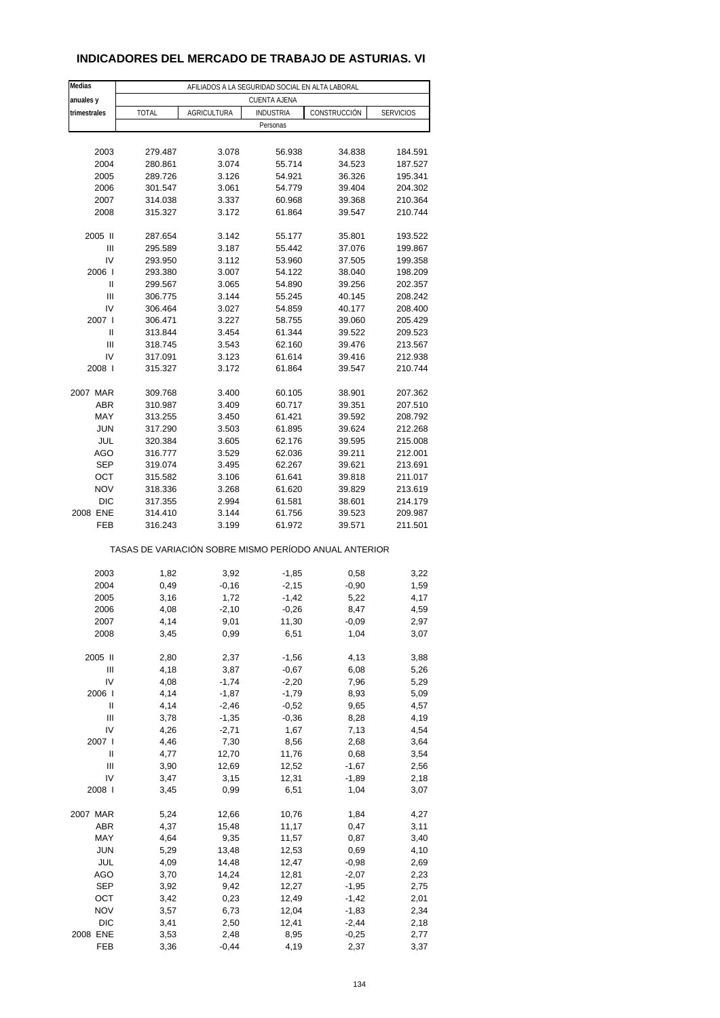### **INDICADORES DEL MERCADO DE TRABAJO DE ASTURIAS. VI**

| Medias       |              |             | AFILIADOS A LA SEGURIDAD SOCIAL EN ALTA LABORAL       |                  |                  |
|--------------|--------------|-------------|-------------------------------------------------------|------------------|------------------|
| anuales y    |              |             | <b>CUENTA AJENA</b>                                   |                  |                  |
| trimestrales | <b>TOTAL</b> | AGRICULTURA | <b>INDUSTRIA</b>                                      | CONSTRUCCIÓN     | <b>SERVICIOS</b> |
|              |              |             | Personas                                              |                  |                  |
|              |              |             |                                                       |                  |                  |
| 2003         | 279.487      | 3.078       | 56.938                                                | 34.838           | 184.591          |
| 2004         | 280.861      | 3.074       | 55.714                                                | 34.523           | 187.527          |
| 2005         | 289.726      | 3.126       | 54.921                                                | 36.326           | 195.341          |
| 2006         | 301.547      | 3.061       | 54.779                                                | 39.404           | 204.302          |
| 2007         | 314.038      | 3.337       | 60.968                                                | 39.368           | 210.364          |
| 2008         | 315.327      | 3.172       | 61.864                                                | 39.547           | 210.744          |
|              |              |             |                                                       |                  |                  |
| 2005 II      | 287.654      | 3.142       | 55.177                                                | 35.801           | 193.522          |
| Ш            | 295.589      | 3.187       | 55.442                                                | 37.076           | 199.867          |
| IV           | 293.950      | 3.112       | 53.960                                                | 37.505           | 199.358          |
| 2006         | 293.380      | 3.007       | 54.122                                                | 38.040           | 198.209          |
| Ш            | 299.567      | 3.065       | 54.890                                                | 39.256           | 202.357          |
| Ш            | 306.775      | 3.144       | 55.245                                                | 40.145           | 208.242          |
| IV           | 306.464      | 3.027       | 54.859                                                | 40.177           | 208.400          |
| 2007 l       | 306.471      | 3.227       | 58.755                                                | 39.060           | 205.429          |
| Ш            | 313.844      | 3.454       | 61.344                                                | 39.522           | 209.523          |
| Ш            | 318.745      | 3.543       | 62.160                                                | 39.476           | 213.567          |
| IV           | 317.091      | 3.123       | 61.614                                                | 39.416           | 212.938          |
| 2008         | 315.327      | 3.172       | 61.864                                                | 39.547           | 210.744          |
|              |              |             |                                                       |                  |                  |
| 2007 MAR     | 309.768      | 3.400       | 60.105                                                | 38.901           | 207.362          |
| <b>ABR</b>   | 310.987      | 3.409       | 60.717                                                | 39.351           | 207.510          |
| MAY          | 313.255      | 3.450       | 61.421                                                | 39.592           | 208.792          |
| <b>JUN</b>   | 317.290      | 3.503       | 61.895                                                | 39.624           | 212.268          |
| JUL          | 320.384      | 3.605       | 62.176                                                | 39.595           | 215.008          |
| <b>AGO</b>   | 316.777      | 3.529       | 62.036                                                | 39.211           | 212.001          |
| <b>SEP</b>   | 319.074      | 3.495       | 62.267                                                | 39.621           | 213.691          |
| OCT          | 315.582      | 3.106       | 61.641                                                | 39.818           | 211.017          |
| <b>NOV</b>   | 318.336      | 3.268       | 61.620                                                | 39.829           | 213.619          |
| <b>DIC</b>   | 317.355      | 2.994       | 61.581                                                | 38.601           | 214.179          |
| 2008 ENE     | 314.410      | 3.144       | 61.756                                                |                  | 209.987          |
| FEB          | 316.243      | 3.199       | 61.972                                                | 39.523<br>39.571 | 211.501          |
|              |              |             |                                                       |                  |                  |
|              |              |             | TASAS DE VARIACIÓN SOBRE MISMO PERÍODO ANUAL ANTERIOR |                  |                  |
| 2003         | 1,82         | 3,92        | $-1,85$                                               | 0,58             | 3,22             |
| 2004         | 0,49         | $-0,16$     |                                                       |                  |                  |
|              |              |             | $-2,15$                                               | $-0,90$          | 1,59             |
| 2005         | 3,16         | 1,72        | $-1,42$                                               | 5,22             | 4,17             |
| 2006         | 4,08         | $-2,10$     | $-0,26$                                               | 8,47             | 4,59             |
| 2007         | 4,14         | 9,01        | 11,30                                                 | -0,09            | 2,97             |
| 2008         | 3,45         | 0,99        | 6,51                                                  | 1,04             | 3,07             |
| 2005 II      | 2,80         | 2,37        | $-1,56$                                               | 4,13             | 3,88             |
| Ш            | 4,18         | 3,87        | $-0,67$                                               | 6,08             | 5,26             |
| IV           | 4,08         | $-1,74$     | $-2,20$                                               | 7,96             | 5,29             |
| 2006         | 4,14         | $-1,87$     | $-1,79$                                               |                  |                  |
| Ш            |              | $-2,46$     |                                                       | 8,93<br>9,65     | 5,09             |
|              | 4,14         |             | $-0,52$                                               |                  | 4,57             |
| Ш            | 3,78         | $-1,35$     | $-0,36$                                               | 8,28             | 4,19             |
| IV           | 4,26         | $-2,71$     | 1,67                                                  | 7,13             | 4,54             |
| 2007 l       | 4,46         | 7,30        | 8,56                                                  | 2,68             | 3,64             |
| Ш            | 4,77         | 12,70       | 11,76                                                 | 0,68             | 3,54             |
| Ш            | 3,90         | 12,69       | 12,52                                                 | $-1,67$          | 2,56             |
| IV           | 3,47         | 3,15        | 12,31                                                 | $-1,89$          | 2,18             |
| 2008         | 3,45         | 0,99        | 6,51                                                  | 1,04             | 3,07             |
| 2007 MAR     | 5,24         | 12,66       | 10,76                                                 | 1,84             | 4,27             |
| ABR          | 4,37         | 15,48       | 11,17                                                 | 0,47             | 3,11             |
| MAY          | 4,64         | 9,35        | 11,57                                                 | 0,87             | 3,40             |
| <b>JUN</b>   | 5,29         | 13,48       | 12,53                                                 | 0,69             | 4,10             |
| JUL          | 4,09         | 14,48       | 12,47                                                 | $-0,98$          | 2,69             |
| AGO          | 3,70         | 14,24       | 12,81                                                 | $-2,07$          | 2,23             |
| <b>SEP</b>   | 3,92         | 9,42        | 12,27                                                 | $-1,95$          | 2,75             |
| OCT          | 3,42         | 0,23        | 12,49                                                 | $-1,42$          | 2,01             |
| <b>NOV</b>   | 3,57         | 6,73        | 12,04                                                 | $-1,83$          | 2,34             |
| DIC          | 3,41         | 2,50        | 12,41                                                 | $-2,44$          | 2,18             |
| 2008 ENE     |              |             |                                                       |                  |                  |
|              | 3,53         | 2,48        | 8,95                                                  | $-0,25$          | 2,77             |
| FEB          | 3,36         | $-0,44$     | 4,19                                                  | 2,37             | 3,37             |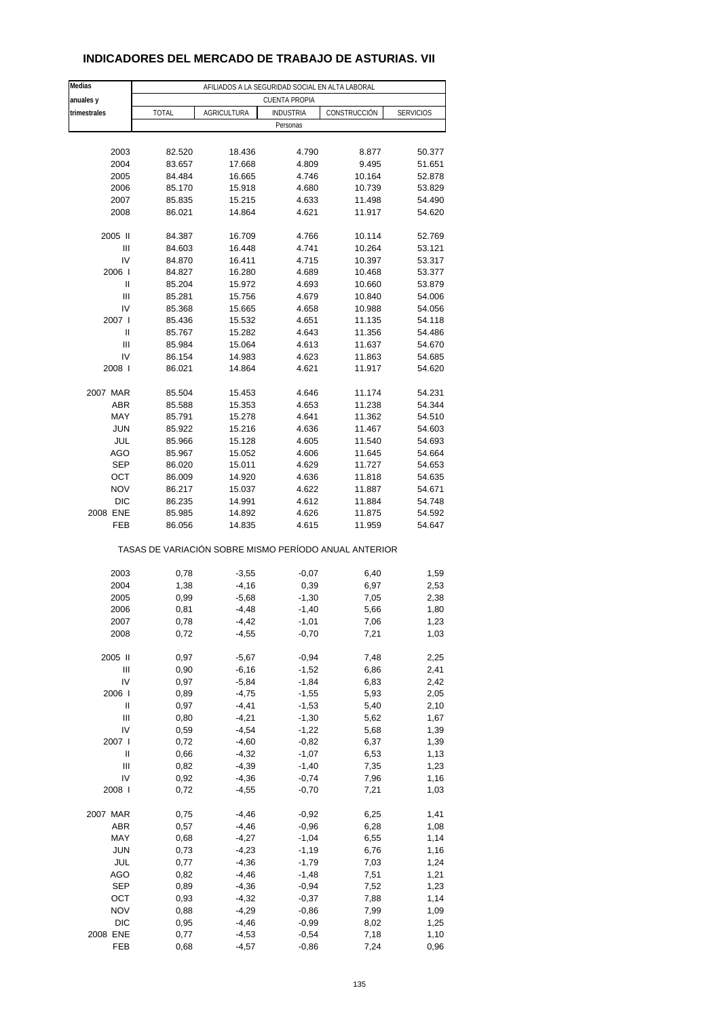| Medias          |                                                       | AFILIADOS A LA SEGURIDAD SOCIAL EN ALTA LABORAL |                      |              |                  |
|-----------------|-------------------------------------------------------|-------------------------------------------------|----------------------|--------------|------------------|
| anuales y       |                                                       |                                                 | <b>CUENTA PROPIA</b> |              |                  |
| trimestrales    | <b>TOTAL</b>                                          | <b>AGRICULTURA</b>                              | <b>INDUSTRIA</b>     | CONSTRUCCIÓN | <b>SERVICIOS</b> |
|                 |                                                       |                                                 | Personas             |              |                  |
|                 |                                                       |                                                 |                      |              |                  |
| 2003            | 82.520                                                | 18.436                                          | 4.790                | 8.877        | 50.377           |
| 2004            | 83.657                                                | 17.668                                          | 4.809                | 9.495        | 51.651           |
| 2005            | 84.484                                                | 16.665                                          | 4.746                | 10.164       | 52.878           |
| 2006            | 85.170                                                | 15.918                                          | 4.680                | 10.739       | 53.829           |
| 2007            | 85.835                                                | 15.215                                          | 4.633                | 11.498       | 54.490           |
| 2008            | 86.021                                                | 14.864                                          | 4.621                | 11.917       | 54.620           |
|                 |                                                       |                                                 |                      |              |                  |
| 2005 II         | 84.387                                                | 16.709                                          | 4.766                | 10.114       | 52.769           |
| Ш               | 84.603                                                | 16.448                                          | 4.741                | 10.264       | 53.121           |
| IV              | 84.870                                                | 16.411                                          | 4.715                | 10.397       | 53.317           |
| 2006            | 84.827                                                | 16.280                                          | 4.689                | 10.468       | 53.377           |
| Ш               | 85.204                                                | 15.972                                          | 4.693                | 10.660       | 53.879           |
| Ш               | 85.281                                                | 15.756                                          | 4.679                | 10.840       | 54.006           |
| IV              | 85.368                                                | 15.665                                          | 4.658                | 10.988       | 54.056           |
| 2007 l          | 85.436                                                | 15.532                                          | 4.651                | 11.135       | 54.118           |
| $\mathsf{II}%$  | 85.767                                                | 15.282                                          | 4.643                | 11.356       | 54.486           |
| Ш               | 85.984                                                | 15.064                                          | 4.613                | 11.637       | 54.670           |
| IV              | 86.154                                                | 14.983                                          | 4.623                | 11.863       | 54.685           |
| 2008            | 86.021                                                | 14.864                                          | 4.621                | 11.917       | 54.620           |
|                 |                                                       |                                                 |                      |              |                  |
| 2007 MAR        | 85.504                                                | 15.453                                          | 4.646                | 11.174       | 54.231           |
| <b>ABR</b>      | 85.588                                                | 15.353                                          | 4.653                | 11.238       | 54.344           |
| MAY             | 85.791                                                | 15.278                                          | 4.641                | 11.362       | 54.510           |
| <b>JUN</b>      | 85.922                                                | 15.216                                          | 4.636                | 11.467       | 54.603           |
| JUL             | 85.966                                                | 15.128                                          | 4.605                | 11.540       | 54.693           |
| <b>AGO</b>      | 85.967                                                | 15.052                                          | 4.606                | 11.645       | 54.664           |
| SEP             | 86.020                                                | 15.011                                          | 4.629                | 11.727       | 54.653           |
| OCT             | 86.009                                                | 14.920                                          | 4.636                | 11.818       | 54.635           |
| <b>NOV</b>      | 86.217                                                | 15.037                                          | 4.622                | 11.887       | 54.671           |
| <b>DIC</b>      | 86.235                                                | 14.991                                          | 4.612                | 11.884       | 54.748           |
| 2008 ENE        | 85.985                                                | 14.892                                          | 4.626                | 11.875       | 54.592           |
| FEB             | 86.056                                                | 14.835                                          | 4.615                | 11.959       | 54.647           |
|                 | TASAS DE VARIACIÓN SOBRE MISMO PERÍODO ANUAL ANTERIOR |                                                 |                      |              |                  |
| 2003            | 0,78                                                  | $-3,55$                                         | $-0,07$              | 6,40         | 1,59             |
| 2004            | 1,38                                                  | $-4,16$                                         | 0,39                 | 6,97         | 2,53             |
| 2005            | 0,99                                                  | $-5,68$                                         | $-1,30$              | 7,05         | 2,38             |
| 2006            | 0,81                                                  | $-4,48$                                         | $-1,40$              | 5,66         | 1,80             |
| 2007            | 0,78                                                  | $-4,42$                                         | $-1,01$              | 7,06         | 1,23             |
| 2008            | 0,72                                                  | $-4,55$                                         | $-0,70$              | 7,21         | 1,03             |
|                 |                                                       |                                                 |                      |              |                  |
| 2005 II         | 0,97                                                  | $-5,67$                                         | $-0,94$              | 7,48         | 2,25             |
| Ш               | 0,90                                                  | $-6,16$                                         | $-1,52$              | 6,86         | 2,41             |
| IV              | 0,97                                                  | $-5,84$                                         | $-1,84$              | 6,83         | 2,42             |
| 2006            | 0,89                                                  | $-4,75$                                         | $-1,55$              | 5,93         | 2,05             |
| Ш               | 0,97                                                  | $-4, 41$                                        | $-1,53$              | 5,40         | 2,10             |
| Ш               | 0,80                                                  | $-4,21$                                         | $-1,30$              | 5,62         | 1,67             |
| IV              | 0,59                                                  | $-4,54$                                         | $-1,22$              | 5,68         | 1,39             |
| 2007 l          | 0,72                                                  | $-4,60$                                         | $-0,82$              | 6,37         | 1,39             |
| Ш               | 0,66                                                  | $-4,32$                                         | $-1,07$              | 6,53         | 1,13             |
| $\mathbf{III}$  | 0,82                                                  | $-4,39$                                         | $-1,40$              | 7,35         | 1,23             |
| IV              | 0,92                                                  | $-4,36$                                         | $-0,74$              | 7,96         | 1,16             |
| 2008            | 0,72                                                  | $-4,55$                                         | $-0,70$              | 7,21         | 1,03             |
|                 |                                                       |                                                 |                      |              |                  |
| 2007 MAR        | 0,75                                                  | $-4,46$                                         | $-0,92$              | 6,25         | 1,41             |
| ABR             | 0,57                                                  | $-4,46$                                         | $-0,96$              | 6,28         | 1,08             |
| MAY             | 0,68                                                  | $-4,27$                                         | $-1,04$              | 6,55         | 1,14             |
| <b>JUN</b>      | 0,73                                                  | $-4,23$                                         | $-1,19$              | 6,76         | 1,16             |
| JUL             | 0,77                                                  | $-4,36$                                         | $-1,79$              | 7,03         | 1,24             |
| AGO             | 0,82                                                  | $-4,46$                                         | $-1,48$              | 7,51         | 1,21             |
| SEP             | 0,89                                                  | $-4,36$                                         | $-0,94$              | 7,52         | 1,23             |
| OCT             | 0,93                                                  | $-4,32$                                         | $-0,37$              | 7,88         | 1,14             |
| <b>NOV</b>      | 0,88                                                  | $-4,29$                                         | $-0,86$              | 7,99         | 1,09             |
| DIC             | 0,95                                                  | $-4,46$                                         | $-0,99$              | 8,02         | 1,25             |
| 2008 ENE<br>FEB | 0,77<br>0,68                                          | $-4,53$<br>$-4,57$                              | $-0,54$<br>$-0,86$   | 7,18<br>7,24 | 1,10<br>0,96     |
|                 |                                                       |                                                 |                      |              |                  |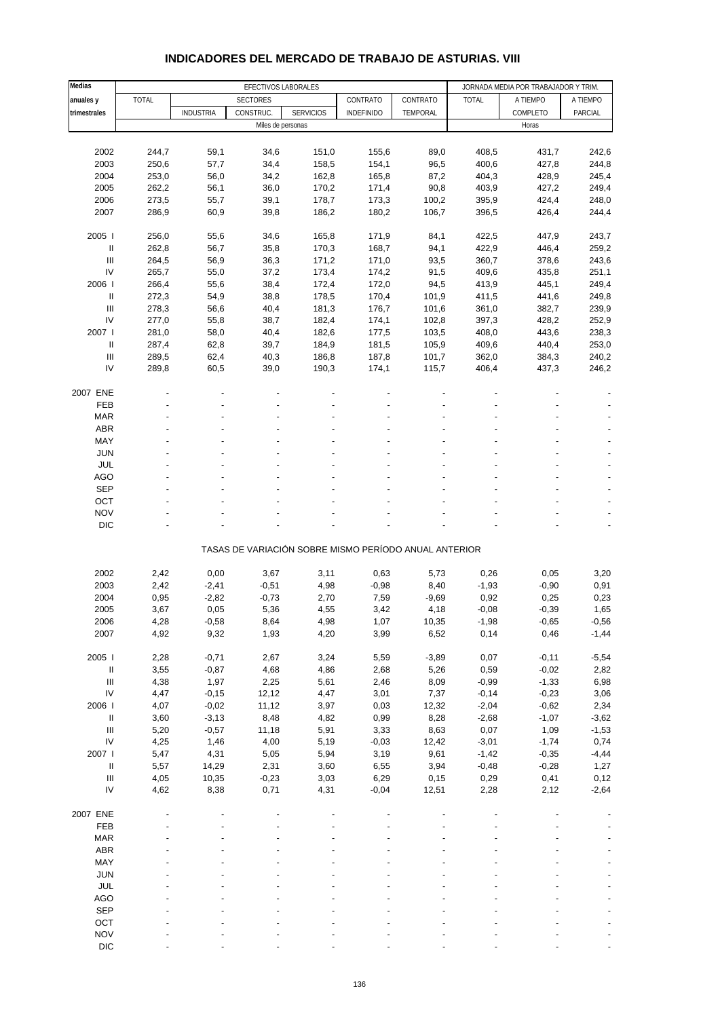#### **Medias EFECTIVOS LABORALES EXAMPLE AND A SECTIVOS LABORALES EXAMPLE AND A SECTIVOS LABORALES anuales y** TOTAL SECTORES CONTRATO CONTRATO TOTAL A TIEMPO A TIEMPO trimestrales **| INDUSTRIA CONSTRUC. SERVICIOS | INDEFINIDO | TEMPORAL | COMPLETO | PARCIAL** Miles de personas Horas Horas Horas Horas Horas Horas Horas Horas Horas Horas Horas Horas Horas Horas Horas Horas Horas Horas Horas Horas Horas Horas Horas Horas Horas Horas Horas Horas Horas Horas Horas Horas Horas Horas 2002 244,7 59,1 34,6 151,0 155,6 89,0 408,5 431,7 242,6 2003 250,6 57,7 34,4 158,5 154,1 96,5 400,6 427,8 244,8 2004 253,0 56,0 34,2 162,8 165,8 87,2 404,3 428,9 245,4 2005 262,2 56,1 36,0 170,2 171,4 90,8 403,9 427,2 249,4 2006 273,5 55,7 39,1 178,7 173,3 100,2 395,9 424,4 248,0 2007 286,9 60,9 39,8 186,2 180,2 106,7 396,5 426,4 244,4 2005 I 256,0 55,6 34,6 165,8 171,9 84,1 422,5 447,9 243,7 II 262,8 56,7 35,8 170,3 168,7 94,1 422,9 446,4 259,2 III 264,5 56,9 36,3 171,2 171,0 93,5 360,7 378,6 243,6 IV 265,7 55,0 37,2 173,4 174,2 91,5 409,6 435,8 251,1 2006 I 266,4 55,6 38,4 172,4 172,0 94,5 413,9 445,1 249,4 II 272,3 54,9 38,8 178,5 170,4 101,9 411,5 441,6 249,8 III 278,3 56,6 40,4 181,3 176,7 101,6 361,0 382,7 239,9 IV 277,0 55,8 38,7 182,4 174,1 102,8 397,3 428,2 252,9 2007 I 281,0 58,0 40,4 182,6 177,5 103,5 408,0 443,6 238,3 II 287,4 62,8 39,7 184,9 181,5 105,9 409,6 440,4 253,0 III 289,5 62,4 40,3 186,8 187,8 101,7 362,0 384,3 240,2 IV 289,8 60,5 39,0 190,3 174,1 115,7 406,4 437,3 246,2 2007 ENE - - - - - -- -- FEB - - - - - - - - - MAR - - - - - - - - -  $ABR$  , and  $\begin{array}{ccc} - & - & - & - & - \end{array}$  . The contract of  $\begin{array}{ccc} - & - & - \end{array}$  . ABR MAY - - - - - - - - - JUN - - - - - - - - - JUL - - - - - - - - - AGO - - - - - - - - - SEP - - - - - - - - - OCT the set of the set of the set of the set of the set of the set of the set of the set of the set of the set  $NOV$  , and  $S$  -  $S$  -  $S$  -  $S$  -  $S$  -  $S$  -  $S$  -  $S$  -  $S$  -  $S$  -  $S$  -  $S$  -  $S$  -  $S$  -  $S$  -  $S$  -  $S$  -  $S$  -  $S$  -  $S$  -  $S$  -  $S$  -  $S$  -  $S$  -  $S$  -  $S$  -  $S$  -  $S$  -  $S$  -  $S$  -  $S$  -  $S$  -  $S$  -  $S$  -  $S$  - DIC  $\qquad \qquad \qquad \qquad \qquad \qquad \qquad \qquad \qquad \qquad \qquad \qquad \qquad \qquad \qquad \qquad \qquad \qquad -$ TASAS DE VARIACIÓN SOBRE MISMO PERÍODO ANUAL ANTERIOR 2002 2,42 0,00 3,67 3,11 0,63 5,73 0,26 0,05 3,20 2003 2,42 -2,41 -0,51 4,98 -0,98 8,40 -1,93 -0,90 0,91 2004 0,95 -2,82 -0,73 2,70 7,59 -9,69 0,92 0,25 0,23 2005 3,67 0,05 5,36 4,55 3,42 4,18 -0,08 -0,39 1,65 2006 4,28 -0,58 8,64 4,98 1,07 10,35 -1,98 -0,65 -0,56 2007 4,92 9,32 1,93 4,20 3,99 6,52 0,14 0,46 -1,44 2005 I 2,28 -0,71 2,67 3,24 5,59 -3,89 0,07 -0,11 -5,54 II 3,55 -0,87 4,68 4,86 2,68 5,26 0,59 -0,02 2,82 III 4,38 1,97 2,25 5,61 2,46 8,09 -0,99 -1,33 6,98 IV 4,47 -0,15 12,12 4,47 3,01 7,37 -0,14 -0,23 3,06 2006 I 4,07 -0,02 11,12 3,97 0,03 12,32 -2,04 -0,62 2,34 II 3,60 -3,13 8,48 4,82 0,99 8,28 -2,68 -1,07 -3,62 III 5,20 -0,57 11,18 5,91 3,33 8,63 0,07 1,09 -1,53 IV 4,25 1,46 4,00 5,19 -0,03 12,42 -3,01 -1,74 0,74 2007 I 5,47 4,31 5,05 5,94 3,19 9,61 -1,42 -0,35 -4,44 II 5,57 14,29 2,31 3,60 6,55 3,94 -0,48 -0,28 1,27 III 4,05 10,35 -0,23 3,03 6,29 0,15 0,29 0,41 0,12 IV 4,62 8,38 0,71 4,31 -0,04 12,51 2,28 2,12 -2,64 2007 ENE - - - - - -- -- FEB - - - - - - - - - MAR - - - - - - - - -  $ABR$  , and  $\begin{array}{ccc} - & - & - & - & - \end{array}$  . The contract of  $\begin{array}{ccc} - & - & - \end{array}$  . ABR MAY - - - - - - - - - JUN - - - - - - - - - JUL - - - - - - - - - AGO - - - - - - - - - SEP - - - - - - - - - OCT the set of the set of the set of the set of the set of the set of the set of the set of the set of the set

#### **INDICADORES DEL MERCADO DE TRABAJO DE ASTURIAS. VIII**

 $NOV$  , and  $S$  -  $S$  -  $S$  -  $S$  -  $S$  -  $S$  -  $S$  -  $S$  -  $S$  -  $S$  -  $S$  -  $S$  -  $S$  -  $S$  -  $S$  -  $S$  -  $S$  -  $S$  -  $S$  -  $S$  -  $S$  -  $S$  -  $S$  -  $S$  -  $S$  -  $S$  -  $S$  -  $S$  -  $S$  -  $S$  -  $S$  -  $S$  -  $S$  -  $S$  -  $S$  - DIC  $\qquad \qquad \qquad \qquad \qquad \qquad \qquad \qquad \qquad \qquad \qquad \qquad \qquad \qquad \qquad \qquad \qquad \qquad -$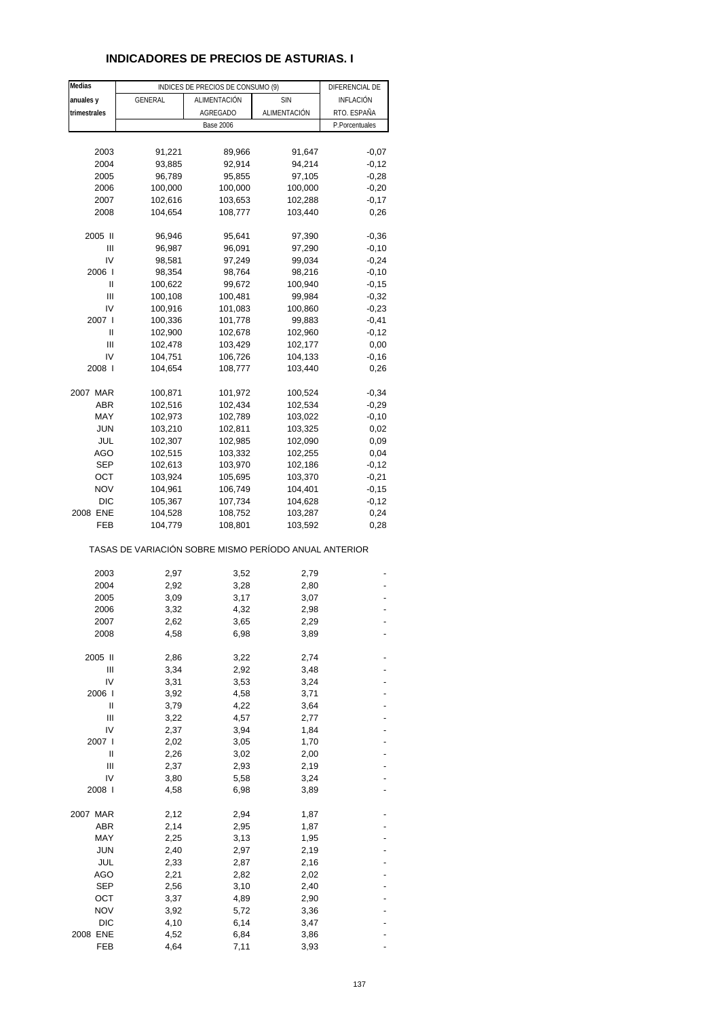## **INDICADORES DE PRECIOS DE ASTURIAS. I**

| Medias       |                                                       | INDICES DE PRECIOS DE CONSUMO (9) |              | DIFERENCIAL DE |
|--------------|-------------------------------------------------------|-----------------------------------|--------------|----------------|
| anuales y    | <b>GENERAL</b>                                        | ALIMENTACIÓN                      | <b>SIN</b>   | INFLACIÓN      |
| trimestrales |                                                       | AGREGADO                          | ALIMENTACIÓN | RTO. ESPAÑA    |
|              |                                                       | <b>Base 2006</b>                  |              | P.Porcentuales |
|              |                                                       |                                   |              |                |
| 2003         | 91,221                                                | 89,966                            | 91,647       | $-0,07$        |
| 2004         | 93,885                                                | 92,914                            | 94,214       | $-0,12$        |
| 2005         | 96,789                                                | 95,855                            | 97,105       | $-0,28$        |
| 2006         | 100,000                                               | 100,000                           | 100,000      | $-0,20$        |
| 2007         | 102,616                                               | 103,653                           | 102,288      | $-0,17$        |
| 2008         | 104,654                                               | 108,777                           | 103,440      | 0,26           |
|              |                                                       |                                   |              |                |
| 2005 II      | 96,946                                                | 95,641                            | 97,390       | $-0,36$        |
| Ш            | 96,987                                                | 96,091                            | 97,290       | $-0,10$        |
| IV           | 98,581                                                | 97,249                            | 99,034       | $-0,24$        |
| 2006         | 98,354                                                | 98,764                            | 98,216       | $-0,10$        |
| Ш            | 100,622                                               | 99,672                            | 100,940      | $-0,15$        |
| Ш            | 100,108                                               | 100,481                           | 99,984       | $-0,32$        |
| IV           | 100,916                                               | 101,083                           | 100,860      | $-0,23$        |
| 2007 l       | 100,336                                               | 101,778                           | 99,883       | $-0,41$        |
| Ш            | 102,900                                               | 102,678                           | 102,960      | $-0,12$        |
| Ш            | 102,478                                               | 103,429                           | 102,177      | 0,00           |
| IV           | 104,751                                               | 106,726                           | 104,133      | $-0,16$        |
| 2008 l       | 104,654                                               | 108,777                           | 103,440      | 0,26           |
|              |                                                       |                                   |              |                |
| 2007 MAR     | 100,871                                               | 101,972                           | 100,524      | $-0,34$        |
| ABR          | 102,516                                               | 102,434                           | 102,534      | $-0,29$        |
| MAY          | 102,973                                               | 102,789                           | 103,022      | $-0,10$        |
| <b>JUN</b>   | 103,210                                               | 102,811                           | 103,325      | 0,02           |
| JUL          | 102,307                                               | 102,985                           | 102,090      | 0,09           |
| AGO          | 102,515                                               | 103,332                           | 102,255      | 0,04           |
| <b>SEP</b>   | 102,613                                               | 103,970                           | 102,186      | $-0,12$        |
| ОСТ          | 103,924                                               | 105,695                           | 103,370      | $-0,21$        |
| <b>NOV</b>   | 104,961                                               | 106,749                           | 104,401      | $-0,15$        |
| <b>DIC</b>   | 105,367                                               | 107,734                           | 104,628      | $-0,12$        |
| 2008 ENE     | 104,528                                               | 108,752                           | 103,287      | 0,24           |
| FEB          | 104,779                                               | 108,801                           | 103,592      | 0,28           |
|              | TASAS DE VARIACIÓN SOBRE MISMO PERÍODO ANUAL ANTERIOR |                                   |              |                |
| 2003         | 2,97                                                  | 3,52                              | 2,79         |                |
| 2004         | 2,92                                                  | 3,28                              | 2,80         |                |
| 2005         | 3,09                                                  | 3,17                              | 3,07         |                |
| 2006         | 3,32                                                  | 4,32                              | 2,98         |                |
|              |                                                       |                                   |              |                |
| 2007<br>2008 | 2,62<br>4,58                                          | 3,65<br>6,98                      | 2,29<br>3,89 |                |
|              |                                                       |                                   |              |                |
| 2005 II      | 2,86                                                  | 3,22                              | 2,74         |                |
| Ш            | 3,34                                                  | 2,92                              | 3,48         |                |
| IV           | 3,31                                                  | 3,53                              | 3,24         |                |
| 2006 l       | 3,92                                                  | 4,58                              | 3,71         |                |
| II           | 3,79                                                  | 4,22                              | 3,64         |                |
| Ш            | 3,22                                                  | 4,57                              | 2,77         |                |
| IV           | 2,37                                                  | 3,94                              | 1,84         |                |
| 2007 l       | 2,02                                                  | 3,05                              | 1,70         |                |
| II           | 2,26                                                  | 3,02                              | 2,00         |                |
| Ш            | 2,37                                                  | 2,93                              | 2,19         |                |
| IV           | 3,80                                                  | 5,58                              | 3,24         |                |
| 2008 l       | 4,58                                                  | 6,98                              | 3,89         |                |
|              |                                                       |                                   |              |                |
| 2007 MAR     | 2,12                                                  | 2,94                              | 1,87         |                |
| <b>ABR</b>   | 2,14                                                  | 2,95                              | 1,87         |                |
| MAY          | 2,25                                                  | 3,13                              | 1,95         |                |
| <b>JUN</b>   | 2,40                                                  | 2,97                              | 2,19         |                |
| JUL          | 2,33                                                  | 2,87                              | 2,16         |                |
| AGO          | 2,21                                                  | 2,82                              | 2,02         |                |
| <b>SEP</b>   | 2,56                                                  | 3,10                              | 2,40         |                |
| ост          | 3,37                                                  | 4,89                              | 2,90         |                |
| <b>NOV</b>   | 3,92                                                  | 5,72                              | 3,36         |                |
| <b>DIC</b>   | 4,10                                                  | 6,14                              | 3,47         |                |
| 2008 ENE     | 4,52                                                  | 6,84                              | 3,86         |                |
| FEB          | 4,64                                                  | 7,11                              | 3,93         |                |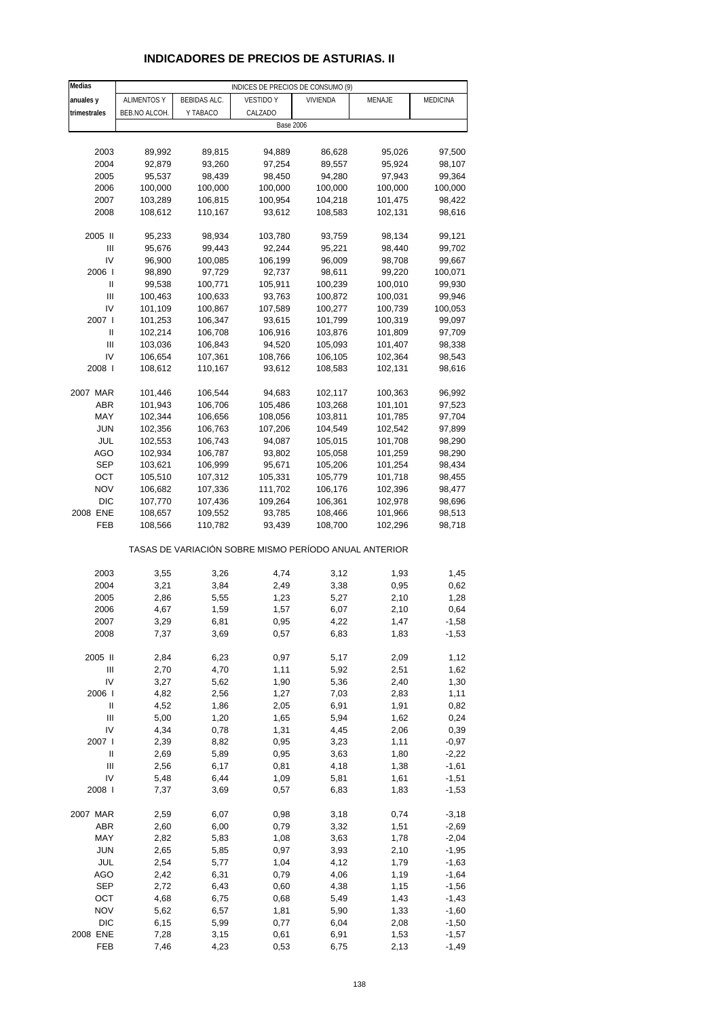# **INDICADORES DE PRECIOS DE ASTURIAS. II**

| Medias                     |                    |              | INDICES DE PRECIOS DE CONSUMO (9)                     |          |         |          |
|----------------------------|--------------------|--------------|-------------------------------------------------------|----------|---------|----------|
| anuales y                  | <b>ALIMENTOS Y</b> | BEBIDAS ALC. | <b>VESTIDO Y</b>                                      | VIVIENDA | MENAJE  | MEDICINA |
| trimestrales               | BEB.NO ALCOH.      | Y TABACO     | CALZADO                                               |          |         |          |
|                            |                    |              | <b>Base 2006</b>                                      |          |         |          |
|                            |                    |              |                                                       |          |         |          |
| 2003                       | 89,992             | 89,815       | 94,889                                                | 86,628   | 95,026  | 97,500   |
| 2004                       | 92,879             | 93,260       | 97,254                                                | 89,557   | 95,924  | 98,107   |
| 2005                       | 95,537             | 98,439       | 98,450                                                | 94,280   | 97,943  | 99,364   |
| 2006                       | 100,000            |              |                                                       |          |         |          |
| 2007                       |                    | 100,000      | 100,000                                               | 100,000  | 100,000 | 100,000  |
|                            | 103,289            | 106,815      | 100,954                                               | 104,218  | 101,475 | 98,422   |
| 2008                       | 108,612            | 110,167      | 93,612                                                | 108,583  | 102,131 | 98,616   |
| 2005 II                    |                    | 98,934       |                                                       |          | 98,134  |          |
| Ш                          | 95,233             |              | 103,780                                               | 93,759   |         | 99,121   |
| IV                         | 95,676             | 99,443       | 92,244                                                | 95,221   | 98,440  | 99,702   |
| 2006                       | 96,900             | 100,085      | 106,199                                               | 96,009   | 98,708  | 99,667   |
|                            | 98,890             | 97,729       | 92,737                                                | 98,611   | 99,220  | 100,071  |
| Ш                          | 99,538             | 100,771      | 105,911                                               | 100,239  | 100,010 | 99,930   |
| $\mathbf{III}$             | 100,463            | 100,633      | 93,763                                                | 100,872  | 100,031 | 99,946   |
| IV                         | 101,109            | 100,867      | 107,589                                               | 100,277  | 100,739 | 100,053  |
| 2007 l                     | 101,253            | 106,347      | 93,615                                                | 101,799  | 100,319 | 99,097   |
| Ш                          | 102,214            | 106,708      | 106,916                                               | 103,876  | 101,809 | 97,709   |
| Ш                          | 103,036            | 106,843      | 94,520                                                | 105,093  | 101,407 | 98,338   |
| IV                         | 106,654            | 107,361      | 108,766                                               | 106,105  | 102,364 | 98,543   |
| 2008                       | 108,612            | 110,167      | 93,612                                                | 108,583  | 102,131 | 98,616   |
|                            |                    |              |                                                       |          |         |          |
| 2007 MAR                   | 101,446            | 106,544      | 94,683                                                | 102,117  | 100,363 | 96,992   |
| ABR                        | 101,943            | 106,706      | 105,486                                               | 103,268  | 101,101 | 97,523   |
| MAY                        | 102,344            | 106,656      | 108,056                                               | 103,811  | 101,785 | 97,704   |
| JUN                        | 102,356            | 106,763      | 107,206                                               | 104,549  | 102,542 | 97,899   |
| JUL                        | 102,553            | 106,743      | 94,087                                                | 105,015  | 101,708 | 98,290   |
| <b>AGO</b>                 | 102,934            | 106,787      | 93,802                                                | 105,058  | 101,259 | 98,290   |
| SEP                        | 103,621            | 106,999      | 95,671                                                | 105,206  | 101,254 | 98,434   |
| OCT                        | 105,510            | 107,312      | 105,331                                               | 105,779  | 101,718 | 98,455   |
| <b>NOV</b>                 | 106,682            | 107,336      | 111,702                                               | 106,176  | 102,396 | 98,477   |
| <b>DIC</b>                 | 107,770            | 107,436      | 109,264                                               | 106,361  | 102,978 | 98,696   |
| 2008 ENE                   | 108,657            | 109,552      | 93,785                                                | 108,466  | 101,966 | 98,513   |
| FEB                        | 108,566            | 110,782      | 93,439                                                | 108,700  | 102,296 | 98,718   |
|                            |                    |              | TASAS DE VARIACIÓN SOBRE MISMO PERÍODO ANUAL ANTERIOR |          |         |          |
| 2003                       | 3,55               | 3,26         | 4,74                                                  | 3,12     | 1,93    | 1,45     |
| 2004                       | 3,21               | 3,84         | 2,49                                                  | 3,38     | 0,95    | 0,62     |
| 2005                       | 2,86               | 5,55         | 1,23                                                  | 5,27     | 2,10    | 1,28     |
| 2006                       | 4,67               | 1,59         | 1,57                                                  | 6,07     | 2,10    | 0,64     |
| 2007                       | 3,29               | 6,81         | 0,95                                                  | 4,22     | 1,47    | $-1,58$  |
| 2008                       | 7,37               | 3,69         | 0,57                                                  | 6,83     | 1,83    | $-1,53$  |
|                            |                    |              |                                                       |          |         |          |
| 2005 II                    | 2,84               | 6,23         | 0,97                                                  | 5,17     | 2,09    | 1,12     |
| $\mathsf{III}$             | 2,70               | 4,70         | 1,11                                                  | 5,92     | 2,51    | 1,62     |
| IV                         | 3,27               | 5,62         | 1,90                                                  | 5,36     | 2,40    | 1,30     |
| 2006                       | 4,82               | 2,56         | 1,27                                                  | 7,03     | 2,83    | 1,11     |
| $\ensuremath{\mathsf{II}}$ | 4,52               | 1,86         | 2,05                                                  | 6,91     | 1,91    | 0,82     |
| Ш                          | 5,00               | 1,20         | 1,65                                                  | 5,94     | 1,62    | 0,24     |
| IV                         | 4,34               | 0,78         | 1,31                                                  | 4,45     | 2,06    | 0,39     |
| 2007 l                     | 2,39               | 8,82         | 0,95                                                  | 3,23     | 1,11    | $-0,97$  |
| Ш                          | 2,69               | 5,89         | 0,95                                                  | 3,63     | 1,80    | $-2,22$  |
| $\mathsf{III}$             | 2,56               | 6,17         | 0,81                                                  | 4,18     | 1,38    | $-1,61$  |
| IV                         | 5,48               | 6,44         | 1,09                                                  | 5,81     | 1,61    | $-1,51$  |
| 2008 l                     | 7,37               | 3,69         | 0,57                                                  | 6,83     | 1,83    | $-1,53$  |
|                            |                    |              |                                                       |          |         |          |
| 2007 MAR                   | 2,59               | 6,07         | 0,98                                                  | 3,18     | 0,74    | $-3,18$  |
| ABR                        | 2,60               | 6,00         | 0,79                                                  | 3,32     | 1,51    | $-2,69$  |
| MAY                        | 2,82               | 5,83         | 1,08                                                  | 3,63     | 1,78    | $-2,04$  |
| <b>JUN</b>                 | 2,65               | 5,85         | 0,97                                                  | 3,93     | 2,10    | $-1,95$  |
| JUL                        | 2,54               | 5,77         | 1,04                                                  | 4,12     | 1,79    | $-1,63$  |
| <b>AGO</b>                 | 2,42               | 6,31         | 0,79                                                  | 4,06     | 1,19    | $-1,64$  |
| <b>SEP</b>                 | 2,72               | 6,43         | 0,60                                                  | 4,38     | 1,15    | $-1,56$  |
| OCT                        | 4,68               | 6,75         | 0,68                                                  | 5,49     | 1,43    | $-1,43$  |
| <b>NOV</b>                 | 5,62               | 6,57         | 1,81                                                  | 5,90     | 1,33    | $-1,60$  |
| <b>DIC</b>                 | 6, 15              | 5,99         | 0,77                                                  | 6,04     | 2,08    | $-1,50$  |
| 2008 ENE                   | 7,28               | 3,15         | 0,61                                                  | 6,91     | 1,53    | $-1,57$  |
| FEB                        | 7,46               | 4,23         | 0,53                                                  | 6,75     | 2,13    | $-1,49$  |
|                            |                    |              |                                                       |          |         |          |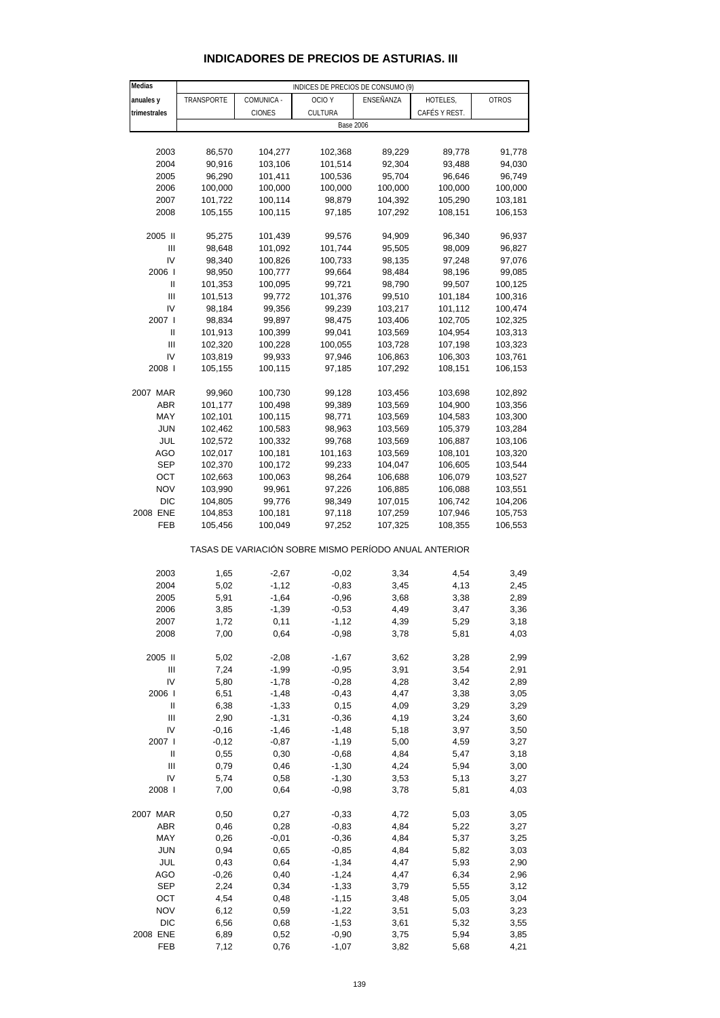| Medias         |              |               | INDICES DE PRECIOS DE CONSUMO (9)                     |                  |               |              |
|----------------|--------------|---------------|-------------------------------------------------------|------------------|---------------|--------------|
| anuales y      | TRANSPORTE   | COMUNICA -    | OCIO <sub>Y</sub>                                     | ENSEÑANZA        | HOTELES,      | <b>OTROS</b> |
| trimestrales   |              | <b>CIONES</b> | CULTURA                                               |                  | CAFÉS Y REST. |              |
|                |              |               |                                                       | <b>Base 2006</b> |               |              |
|                |              |               |                                                       |                  |               |              |
| 2003           | 86,570       | 104,277       | 102,368                                               | 89,229           | 89,778        | 91,778       |
| 2004           | 90,916       | 103,106       | 101,514                                               | 92,304           | 93,488        | 94,030       |
| 2005           | 96,290       | 101,411       | 100,536                                               | 95,704           | 96,646        | 96,749       |
| 2006           | 100,000      | 100,000       | 100,000                                               | 100,000          | 100,000       | 100,000      |
| 2007           | 101,722      | 100,114       | 98,879                                                | 104,392          | 105,290       | 103,181      |
|                |              |               | 97,185                                                | 107,292          |               |              |
| 2008           | 105,155      | 100,115       |                                                       |                  | 108,151       | 106,153      |
| 2005 II        | 95,275       | 101,439       | 99,576                                                | 94,909           | 96,340        | 96,937       |
| Ш              | 98,648       | 101,092       | 101,744                                               | 95,505           | 98,009        | 96,827       |
| IV             | 98,340       | 100,826       | 100,733                                               | 98,135           | 97,248        | 97,076       |
| 2006           | 98,950       | 100,777       | 99,664                                                | 98,484           | 98,196        | 99,085       |
| Ш              | 101,353      | 100,095       | 99,721                                                | 98,790           | 99,507        | 100,125      |
| Ш              | 101,513      | 99,772        | 101,376                                               | 99,510           | 101,184       | 100,316      |
| IV             | 98,184       | 99,356        | 99,239                                                | 103,217          | 101,112       | 100,474      |
| 2007 l         | 98,834       |               |                                                       |                  | 102,705       | 102,325      |
|                |              | 99,897        | 98,475                                                | 103,406          |               |              |
| Ш              | 101,913      | 100,399       | 99,041                                                | 103,569          | 104,954       | 103,313      |
| Ш              | 102,320      | 100,228       | 100,055                                               | 103,728          | 107,198       | 103,323      |
| IV             | 103,819      | 99,933        | 97,946                                                | 106,863          | 106,303       | 103,761      |
| 2008           | 105,155      | 100,115       | 97,185                                                | 107,292          | 108,151       | 106,153      |
| 2007 MAR       | 99,960       | 100,730       | 99,128                                                | 103,456          | 103,698       | 102,892      |
| <b>ABR</b>     | 101,177      | 100,498       | 99,389                                                | 103,569          | 104,900       | 103,356      |
|                |              |               |                                                       |                  |               |              |
| MAY            | 102,101      | 100,115       | 98,771                                                | 103,569          | 104,583       | 103,300      |
| <b>JUN</b>     | 102,462      | 100,583       | 98,963                                                | 103,569          | 105,379       | 103,284      |
| JUL            | 102,572      | 100,332       | 99,768                                                | 103,569          | 106,887       | 103,106      |
| AGO            | 102,017      | 100,181       | 101,163                                               | 103,569          | 108,101       | 103,320      |
| SEP            | 102,370      | 100,172       | 99,233                                                | 104,047          | 106,605       | 103,544      |
| ОСТ            | 102,663      | 100,063       | 98,264                                                | 106,688          | 106,079       | 103,527      |
| <b>NOV</b>     | 103,990      | 99,961        | 97,226                                                | 106,885          | 106,088       | 103,551      |
| <b>DIC</b>     | 104,805      | 99,776        | 98,349                                                | 107,015          | 106,742       | 104,206      |
| 2008 ENE       | 104,853      | 100,181       | 97,118                                                | 107,259          | 107,946       | 105,753      |
| FEB            | 105,456      | 100,049       | 97,252                                                | 107,325          | 108,355       | 106,553      |
|                |              |               | TASAS DE VARIACIÓN SOBRE MISMO PERÍODO ANUAL ANTERIOR |                  |               |              |
|                |              |               |                                                       |                  |               |              |
| 2003           | 1,65         | $-2,67$       | $-0,02$                                               | 3,34             | 4,54          | 3,49         |
| 2004           | 5,02         | $-1,12$       | $-0,83$                                               | 3,45             | 4,13          | 2,45         |
| 2005           | 5,91         | $-1,64$       | $-0,96$                                               | 3,68             | 3,38          | 2,89         |
| 2006           | 3,85         | $-1,39$       | $-0,53$                                               | 4,49             | 3,47          | 3,36         |
| 2007           | 1,72         | 0,11          | $-1, 12$                                              | 4,39             | 5,29          | 3,18         |
| 2008           | 7,00         | 0,64          | $-0,98$                                               | 3,78             | 5,81          | 4,03         |
|                |              |               |                                                       |                  |               |              |
| 2005 II        | 5,02         | $-2,08$       | $-1,67$                                               | 3,62             | 3,28          | 2,99         |
| Ш              | 7,24         | $-1,99$       | $-0,95$                                               | 3,91             | 3,54          | 2,91         |
| IV             | 5,80         | $-1,78$       | $-0,28$                                               | 4,28             | 3,42          | 2,89         |
| 2006           | 6,51         | $-1,48$       | $-0,43$                                               | 4,47             | 3,38          | 3,05         |
| $\mathbf{I}$   | 6,38         | $-1,33$       | 0,15                                                  | 4,09             | 3,29          | 3,29         |
| $\mathbf{III}$ | 2,90         | $-1,31$       | $-0,36$                                               | 4,19             | 3,24          | 3,60         |
| IV             | $-0,16$      | $-1,46$       | $-1,48$                                               | 5,18             | 3,97          | 3,50         |
| 2007 l         | $-0,12$      | $-0,87$       | $-1,19$                                               | 5,00             | 4,59          | 3,27         |
| $\mathbf{I}$   |              |               |                                                       |                  |               |              |
|                | 0,55         | 0,30          | $-0,68$                                               | 4,84             | 5,47          | 3,18         |
| Ш              | 0,79         | 0,46          | $-1,30$                                               | 4,24             | 5,94          | 3,00         |
| IV<br>2008     | 5,74<br>7,00 | 0,58<br>0,64  | $-1,30$                                               | 3,53<br>3,78     | 5,13          | 3,27         |
|                |              |               | $-0,98$                                               |                  | 5,81          | 4,03         |
| 2007 MAR       | 0,50         | 0,27          | $-0,33$                                               | 4,72             | 5,03          | 3,05         |
| ABR            | 0,46         | 0,28          | $-0,83$                                               | 4,84             | 5,22          | 3,27         |
| MAY            | 0,26         | $-0,01$       | $-0,36$                                               | 4,84             | 5,37          | 3,25         |
| <b>JUN</b>     | 0,94         | 0,65          | $-0,85$                                               | 4,84             | 5,82          | 3,03         |
| JUL            | 0,43         | 0,64          | $-1,34$                                               | 4,47             | 5,93          | 2,90         |
| AGO            | $-0,26$      | 0,40          | $-1,24$                                               | 4,47             | 6,34          | 2,96         |
|                |              |               |                                                       |                  |               |              |
| <b>SEP</b>     | 2,24         | 0,34          | $-1,33$                                               | 3,79             | 5,55          | 3,12         |
| OCT            | 4,54         | 0,48          | $-1,15$                                               | 3,48             | 5,05          | 3,04         |
| <b>NOV</b>     | 6,12         | 0,59          | $-1,22$                                               | 3,51             | 5,03          | 3,23         |
| <b>DIC</b>     | 6,56         | 0,68          | $-1,53$                                               | 3,61             | 5,32          | 3,55         |

### **INDICADORES DE PRECIOS DE ASTURIAS. III**

2008 ENE 6,89 0,52 -0,90 3,75 5,94 3,85 FEB 7,12 0,76 -1,07 3,82 5,68 4,21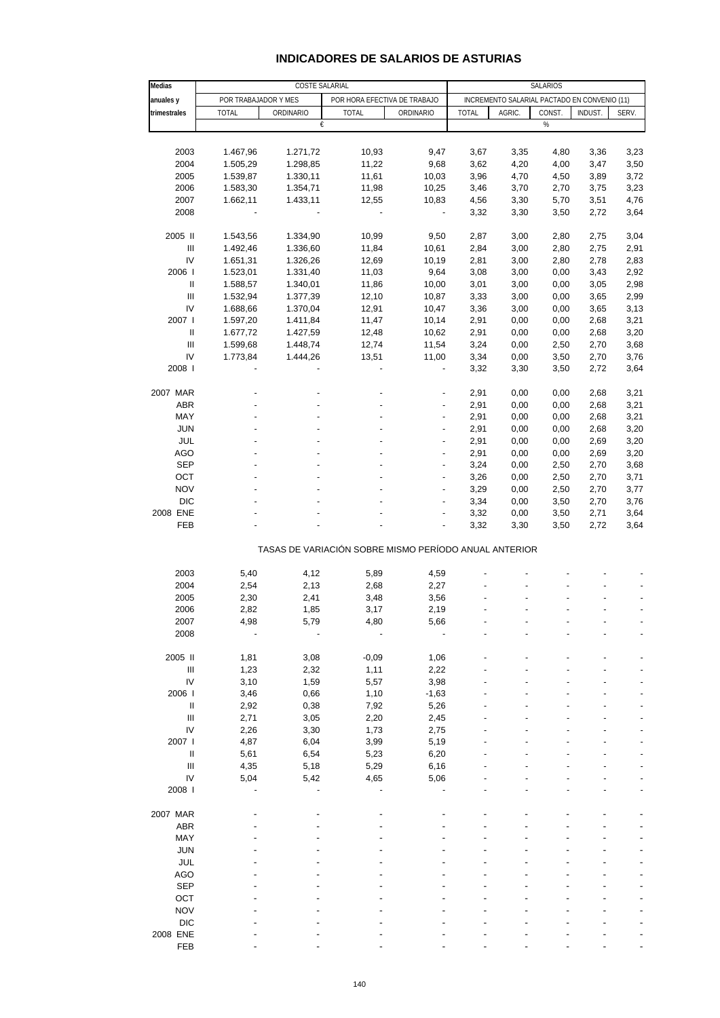## **INDICADORES DE SALARIOS DE ASTURIAS**

| Medias                             |                      | <b>COSTE SALARIAL</b> |                                                       |                          |              |                                              | <b>SALARIOS</b> |         |       |
|------------------------------------|----------------------|-----------------------|-------------------------------------------------------|--------------------------|--------------|----------------------------------------------|-----------------|---------|-------|
| anuales y                          | POR TRABAJADOR Y MES |                       | POR HORA EFECTIVA DE TRABAJO                          |                          |              | INCREMENTO SALARIAL PACTADO EN CONVENIO (11) |                 |         |       |
| trimestrales                       | <b>TOTAL</b>         | ORDINARIO             | <b>TOTAL</b>                                          | ORDINARIO                | <b>TOTAL</b> | AGRIC.                                       | CONST.          | INDUST. | SERV. |
|                                    |                      | €                     |                                                       |                          |              |                                              | %               |         |       |
|                                    |                      |                       |                                                       |                          |              |                                              |                 |         |       |
| 2003                               | 1.467,96             | 1.271,72              | 10,93                                                 | 9,47                     | 3,67         | 3,35                                         | 4,80            | 3,36    | 3,23  |
| 2004                               | 1.505,29             | 1.298,85              | 11,22                                                 | 9,68                     | 3,62         | 4,20                                         | 4,00            | 3,47    | 3,50  |
| 2005                               | 1.539,87             | 1.330,11              | 11,61                                                 | 10,03                    | 3,96         | 4,70                                         | 4,50            | 3,89    | 3,72  |
| 2006                               | 1.583,30             | 1.354,71              | 11,98                                                 | 10,25                    | 3,46         | 3,70                                         | 2,70            | 3,75    | 3,23  |
| 2007                               | 1.662,11             | 1.433,11              | 12,55                                                 | 10,83                    | 4,56         | 3,30                                         | 5,70            | 3,51    | 4,76  |
| 2008                               |                      |                       | $\blacksquare$                                        | $\overline{\phantom{a}}$ | 3,32         | 3,30                                         | 3,50            | 2,72    | 3,64  |
|                                    |                      |                       |                                                       |                          |              |                                              |                 |         |       |
| 2005 II                            | 1.543,56             | 1.334,90              | 10,99                                                 | 9,50                     | 2,87         | 3,00                                         | 2,80            | 2,75    | 3,04  |
| $\ensuremath{\mathsf{III}}\xspace$ | 1.492,46             | 1.336,60              | 11,84                                                 | 10,61                    | 2,84         | 3,00                                         | 2,80            | 2,75    | 2,91  |
| IV                                 | 1.651,31             | 1.326,26              | 12,69                                                 | 10,19                    | 2,81         | 3,00                                         | 2,80            | 2,78    | 2,83  |
| 2006                               | 1.523,01             | 1.331,40              | 11,03                                                 | 9,64                     | 3,08         | 3,00                                         | 0,00            | 3,43    | 2,92  |
| $\sf II$                           | 1.588,57             | 1.340,01              | 11,86                                                 | 10,00                    | 3,01         | 3,00                                         | 0,00            | 3,05    | 2,98  |
| $\ensuremath{\mathsf{III}}\xspace$ | 1.532,94             | 1.377,39              | 12,10                                                 | 10,87                    | 3,33         | 3,00                                         | 0,00            | 3,65    | 2,99  |
| IV                                 | 1.688,66             | 1.370,04              | 12,91                                                 | 10,47                    | 3,36         | 3,00                                         | 0,00            | 3,65    | 3,13  |
| 2007 l                             | 1.597,20             | 1.411,84              | 11,47                                                 | 10,14                    | 2,91         | 0,00                                         | 0,00            | 2,68    | 3,21  |
| $\sf II$                           | 1.677,72             | 1.427,59              | 12,48                                                 | 10,62                    | 2,91         | 0,00                                         | 0,00            | 2,68    | 3,20  |
| $\ensuremath{\mathsf{III}}\xspace$ | 1.599,68             | 1.448,74              | 12,74                                                 | 11,54                    | 3,24         | 0,00                                         | 2,50            | 2,70    | 3,68  |
| IV                                 | 1.773,84             | 1.444,26              | 13,51                                                 | 11,00                    | 3,34         | 0,00                                         | 3,50            | 2,70    | 3,76  |
| 2008                               |                      |                       |                                                       | $\overline{\phantom{m}}$ | 3,32         | 3,30                                         | 3,50            | 2,72    | 3,64  |
|                                    |                      |                       |                                                       |                          |              |                                              |                 |         |       |
| 2007 MAR                           |                      |                       |                                                       |                          | 2,91         | 0,00                                         | 0,00            | 2,68    | 3,21  |
| ABR                                |                      |                       |                                                       |                          | 2,91         | 0,00                                         | 0,00            | 2,68    | 3,21  |
| MAY                                |                      |                       |                                                       |                          | 2,91         | 0,00                                         | 0,00            | 2,68    | 3,21  |
| <b>JUN</b>                         |                      |                       |                                                       |                          | 2,91         | 0,00                                         | 0,00            | 2,68    | 3,20  |
| JUL                                |                      |                       |                                                       | ÷,                       | 2,91         | 0,00                                         | 0,00            | 2,69    | 3,20  |
| AGO                                |                      |                       |                                                       | $\overline{a}$           | 2,91         | 0,00                                         | 0,00            | 2,69    | 3,20  |
| <b>SEP</b>                         |                      |                       |                                                       | $\overline{a}$           | 3,24         | 0,00                                         | 2,50            | 2,70    | 3,68  |
| OCT                                |                      |                       |                                                       |                          | 3,26         | 0,00                                         | 2,50            | 2,70    | 3,71  |
| <b>NOV</b>                         |                      |                       |                                                       | $\overline{a}$           | 3,29         | 0,00                                         | 2,50            | 2,70    | 3,77  |
| <b>DIC</b>                         |                      |                       |                                                       |                          |              |                                              |                 |         |       |
|                                    |                      |                       |                                                       | Ĭ.                       | 3,34         | 0,00                                         | 3,50            | 2,70    | 3,76  |
| 2008 ENE                           |                      |                       |                                                       |                          | 3,32         | 0,00                                         | 3,50            | 2,71    | 3,64  |
| FEB                                |                      |                       |                                                       |                          | 3,32         | 3,30                                         | 3,50            | 2,72    | 3,64  |
|                                    |                      |                       | TASAS DE VARIACIÓN SOBRE MISMO PERÍODO ANUAL ANTERIOR |                          |              |                                              |                 |         |       |
|                                    |                      |                       |                                                       |                          |              |                                              |                 |         |       |
| 2003                               | 5,40                 | 4,12                  | 5,89                                                  | 4,59                     |              |                                              |                 |         |       |
| 2004                               | 2,54                 | 2,13                  | 2,68                                                  | 2,27                     |              |                                              |                 |         |       |
| 2005                               | 2,30                 | 2,41                  | 3,48                                                  | 3,56                     |              |                                              |                 |         |       |
| 2006                               | 2,82                 | 1,85                  | 3,17                                                  | 2,19                     |              |                                              |                 |         |       |
| 2007                               | 4,98                 | 5,79                  | 4,80                                                  | 5,66                     |              |                                              |                 |         |       |
| 2008                               |                      |                       |                                                       |                          |              |                                              |                 |         |       |
| 2005 II                            | 1,81                 | 3,08                  | $-0,09$                                               | 1,06                     |              |                                              |                 |         |       |
|                                    |                      |                       |                                                       |                          |              |                                              |                 |         |       |
| $\ensuremath{\mathsf{III}}\xspace$ | 1,23                 | 2,32                  | 1,11                                                  | 2,22                     |              |                                              |                 |         |       |
| IV                                 | 3,10                 | 1,59                  | 5,57                                                  | 3,98                     |              |                                              |                 |         |       |
| 2006                               | 3,46                 | 0,66                  | 1,10                                                  | $-1,63$                  |              |                                              |                 |         |       |
| Ш                                  | 2,92                 | 0,38                  | 7,92                                                  | 5,26                     |              |                                              |                 |         |       |
| $\mathbf{III}$                     | 2,71                 | 3,05                  | 2,20                                                  | 2,45                     |              |                                              |                 |         |       |
| IV                                 | 2,26                 | 3,30                  | 1,73                                                  | 2,75                     |              |                                              |                 |         |       |
| 2007 l                             | 4,87                 | 6,04                  | 3,99                                                  | 5,19                     |              |                                              |                 |         |       |
| Ш                                  | 5,61                 | 6,54                  | 5,23                                                  | 6,20                     |              |                                              |                 |         |       |
| Ш                                  | 4,35                 | 5,18                  | 5,29                                                  | 6,16                     |              |                                              |                 |         |       |
| IV                                 | 5,04                 | 5,42                  | 4,65                                                  | 5,06                     |              |                                              |                 |         |       |
| 2008                               |                      |                       |                                                       |                          |              |                                              |                 |         |       |
|                                    |                      |                       |                                                       |                          |              |                                              |                 |         |       |
| 2007 MAR                           |                      |                       |                                                       |                          |              |                                              |                 |         |       |
| ABR                                |                      |                       |                                                       |                          |              |                                              |                 |         |       |
| MAY                                |                      |                       |                                                       |                          |              |                                              |                 |         |       |
| <b>JUN</b>                         |                      |                       |                                                       |                          |              |                                              |                 |         |       |
| JUL                                |                      |                       |                                                       |                          |              |                                              |                 |         |       |
| <b>AGO</b>                         |                      |                       |                                                       |                          |              |                                              |                 |         |       |
| <b>SEP</b>                         |                      |                       |                                                       |                          |              |                                              |                 |         |       |
| OCT                                |                      |                       |                                                       |                          |              |                                              |                 |         |       |
| <b>NOV</b>                         |                      |                       |                                                       |                          |              |                                              |                 |         |       |
| <b>DIC</b>                         |                      |                       |                                                       |                          |              |                                              |                 |         |       |
| 2008 ENE                           |                      |                       |                                                       |                          |              |                                              |                 |         |       |
| FEB                                |                      |                       |                                                       |                          |              |                                              |                 |         |       |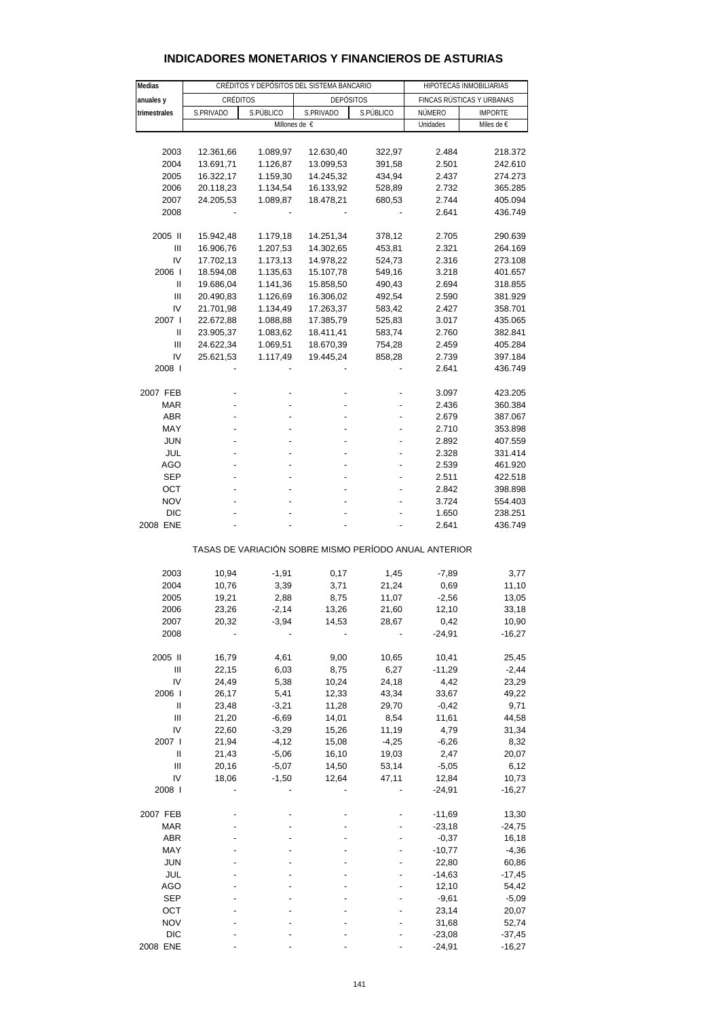| Medias       |                        | CRÉDITOS Y DEPÓSITOS DEL SISTEMA BANCARIO |                                                       | HIPOTECAS INMOBILIARIAS |                           |                |  |  |  |  |  |  |  |
|--------------|------------------------|-------------------------------------------|-------------------------------------------------------|-------------------------|---------------------------|----------------|--|--|--|--|--|--|--|
| anuales y    | CRÉDITOS               |                                           | <b>DEPÓSITOS</b>                                      |                         | FINCAS RÚSTICAS Y URBANAS |                |  |  |  |  |  |  |  |
| trimestrales | S.PRIVADO<br>S.PÚBLICO |                                           | S.PRIVADO                                             | S.PÚBLICO               | NÚMERO                    | <b>IMPORTE</b> |  |  |  |  |  |  |  |
|              |                        |                                           | Millones de €                                         |                         | Unidades                  | Miles de €     |  |  |  |  |  |  |  |
|              |                        |                                           |                                                       |                         |                           |                |  |  |  |  |  |  |  |
| 2003         | 12.361,66              | 1.089,97                                  | 12.630,40                                             | 322,97                  | 2.484                     | 218.372        |  |  |  |  |  |  |  |
| 2004         | 13.691,71              | 1.126,87                                  | 13.099,53                                             | 391,58                  | 2.501                     | 242.610        |  |  |  |  |  |  |  |
| 2005         | 16.322,17              | 1.159,30                                  | 14.245,32                                             | 434,94                  | 2.437                     | 274.273        |  |  |  |  |  |  |  |
| 2006         | 20.118,23              | 1.134,54                                  | 16.133,92                                             | 528,89                  | 2.732                     | 365.285        |  |  |  |  |  |  |  |
| 2007         | 24.205,53              | 1.089,87                                  | 18.478,21                                             | 680,53                  | 2.744                     | 405.094        |  |  |  |  |  |  |  |
| 2008         |                        |                                           |                                                       |                         | 2.641                     | 436.749        |  |  |  |  |  |  |  |
|              |                        |                                           |                                                       |                         |                           |                |  |  |  |  |  |  |  |
| 2005 II      | 15.942,48              | 1.179,18                                  | 14.251,34                                             | 378,12                  | 2.705                     | 290.639        |  |  |  |  |  |  |  |
| Ш            | 16.906,76              | 1.207,53                                  | 14.302,65                                             | 453,81                  | 2.321                     | 264.169        |  |  |  |  |  |  |  |
| IV           | 17.702,13              | 1.173,13                                  | 14.978,22                                             | 524,73                  | 2.316                     | 273.108        |  |  |  |  |  |  |  |
| 2006         | 18.594,08              | 1.135,63                                  | 15.107,78                                             | 549,16                  | 3.218                     | 401.657        |  |  |  |  |  |  |  |
| Ш            | 19.686,04              | 1.141,36                                  | 15.858,50                                             | 490,43                  | 2.694                     | 318.855        |  |  |  |  |  |  |  |
| Ш            | 20.490,83              | 1.126,69                                  | 16.306,02                                             | 492,54                  | 2.590                     | 381.929        |  |  |  |  |  |  |  |
| IV           | 21.701,98              | 1.134,49                                  | 17.263,37                                             | 583,42                  | 2.427                     | 358.701        |  |  |  |  |  |  |  |
| 2007 l       | 22.672,88              | 1.088,88                                  | 17.385,79                                             | 525,83                  | 3.017                     | 435.065        |  |  |  |  |  |  |  |
| Ш            | 23.905,37              | 1.083,62                                  | 18.411,41                                             | 583,74                  | 2.760                     | 382.841        |  |  |  |  |  |  |  |
| Ш            | 24.622,34              | 1.069,51                                  | 18.670,39                                             | 754,28                  | 2.459                     | 405.284        |  |  |  |  |  |  |  |
| IV           | 25.621,53              | 1.117,49                                  | 19.445,24                                             | 858,28                  | 2.739                     | 397.184        |  |  |  |  |  |  |  |
| 2008         |                        |                                           |                                                       |                         | 2.641                     | 436.749        |  |  |  |  |  |  |  |
|              |                        |                                           |                                                       |                         |                           |                |  |  |  |  |  |  |  |
| 2007 FEB     |                        |                                           |                                                       |                         | 3.097                     | 423.205        |  |  |  |  |  |  |  |
| <b>MAR</b>   |                        |                                           |                                                       |                         | 2.436                     | 360.384        |  |  |  |  |  |  |  |
| <b>ABR</b>   |                        |                                           |                                                       |                         | 2.679                     | 387.067        |  |  |  |  |  |  |  |
| MAY          |                        |                                           |                                                       |                         | 2.710                     | 353.898        |  |  |  |  |  |  |  |
| <b>JUN</b>   |                        |                                           |                                                       |                         | 2.892                     | 407.559        |  |  |  |  |  |  |  |
| JUL          |                        |                                           |                                                       |                         | 2.328                     | 331.414        |  |  |  |  |  |  |  |
| AGO          |                        |                                           |                                                       |                         | 2.539                     | 461.920        |  |  |  |  |  |  |  |
| <b>SEP</b>   |                        |                                           |                                                       |                         | 2.511                     | 422.518        |  |  |  |  |  |  |  |
| OCT          |                        |                                           |                                                       |                         | 2.842                     | 398.898        |  |  |  |  |  |  |  |
| <b>NOV</b>   |                        |                                           |                                                       |                         | 3.724                     | 554.403        |  |  |  |  |  |  |  |
| <b>DIC</b>   |                        |                                           |                                                       |                         | 1.650                     | 238.251        |  |  |  |  |  |  |  |
| 2008 ENE     |                        |                                           |                                                       |                         | 2.641                     | 436.749        |  |  |  |  |  |  |  |
|              |                        |                                           |                                                       |                         |                           |                |  |  |  |  |  |  |  |
|              |                        |                                           | TASAS DE VARIACIÓN SOBRE MISMO PERÍODO ANUAL ANTERIOR |                         |                           |                |  |  |  |  |  |  |  |
|              |                        |                                           |                                                       |                         |                           |                |  |  |  |  |  |  |  |
| 2003         | 10,94                  | $-1,91$                                   | 0,17                                                  | 1,45                    | $-7,89$                   | 3,77           |  |  |  |  |  |  |  |
| 2004         | 10,76                  | 3,39                                      | 3,71                                                  | 21,24                   | 0,69                      | 11,10          |  |  |  |  |  |  |  |
| 2005         | 19,21                  | 2,88                                      | 8,75                                                  | 11,07                   | $-2,56$                   | 13,05          |  |  |  |  |  |  |  |
| 2006         | 23,26                  | $-2,14$                                   | 13,26                                                 | 21,60                   | 12,10                     | 33,18          |  |  |  |  |  |  |  |
| 2007         | 20,32                  | $-3,94$                                   | 14,53                                                 | 28.67                   | 0,42                      | 10,90          |  |  |  |  |  |  |  |
| 2008         |                        |                                           |                                                       |                         | $-24,91$                  | -16,27         |  |  |  |  |  |  |  |
|              |                        |                                           |                                                       |                         |                           |                |  |  |  |  |  |  |  |
| 2005 II      | 16,79                  | 4,61                                      | 9,00                                                  | 10,65                   | 10,41                     | 25,45          |  |  |  |  |  |  |  |
| Ш            | 22,15                  | 6,03                                      | 8,75                                                  | 6,27                    | $-11,29$                  | $-2,44$        |  |  |  |  |  |  |  |
| IV           | 24,49                  | 5,38                                      | 10,24                                                 | 24,18                   | 4,42                      | 23,29          |  |  |  |  |  |  |  |
| 2006         | 26,17                  | 5,41                                      | 12,33                                                 | 43,34                   | 33,67                     | 49,22          |  |  |  |  |  |  |  |
| Ш            | 23,48                  | $-3,21$                                   | 11,28                                                 | 29,70                   | $-0,42$                   | 9,71           |  |  |  |  |  |  |  |
| Ш            | 21,20                  | $-6,69$                                   | 14,01                                                 | 8,54                    | 11,61                     | 44,58          |  |  |  |  |  |  |  |
| IV           | 22,60                  | $-3,29$                                   | 15,26                                                 | 11,19                   | 4,79                      | 31,34          |  |  |  |  |  |  |  |
| 2007 l       | 21,94                  | $-4, 12$                                  | 15,08                                                 | $-4,25$                 | $-6,26$                   | 8,32           |  |  |  |  |  |  |  |
| Ш            | 21,43                  | $-5,06$                                   | 16,10                                                 | 19,03                   | 2,47                      | 20,07          |  |  |  |  |  |  |  |
| Ш            | 20,16                  | $-5,07$                                   | 14,50                                                 | 53,14                   | $-5,05$                   | 6,12           |  |  |  |  |  |  |  |
| IV           | 18,06                  | $-1,50$                                   | 12,64                                                 | 47,11                   | 12,84                     | 10,73          |  |  |  |  |  |  |  |
| 2008 l       |                        |                                           |                                                       |                         | $-24,91$                  | $-16,27$       |  |  |  |  |  |  |  |
|              |                        |                                           |                                                       |                         |                           |                |  |  |  |  |  |  |  |
| 2007 FEB     |                        |                                           |                                                       |                         | $-11,69$                  | 13,30          |  |  |  |  |  |  |  |
| MAR          |                        |                                           |                                                       |                         | $-23,18$                  | $-24,75$       |  |  |  |  |  |  |  |
| ABR          |                        |                                           |                                                       |                         | $-0,37$                   | 16,18          |  |  |  |  |  |  |  |
| MAY          |                        |                                           |                                                       |                         | $-10,77$                  | $-4,36$        |  |  |  |  |  |  |  |
| <b>JUN</b>   |                        |                                           |                                                       |                         | 22,80                     | 60,86          |  |  |  |  |  |  |  |
|              |                        |                                           |                                                       |                         |                           |                |  |  |  |  |  |  |  |

#### **INDICADORES MONETARIOS Y FINANCIEROS DE ASTURIAS**

 JUL - - - - -14,63 -17,45 AGO - - - - - - - - 12,10 54,42 SEP - - - - - - - - - - - - - - - - - 5,09 OCT - - - - - - 23,14 20,07 NOV - - - - - - - - - 31,68 52,74 DIC - - - - -23,08 -37,45 2008 ENE ---- -24,91 -16,27